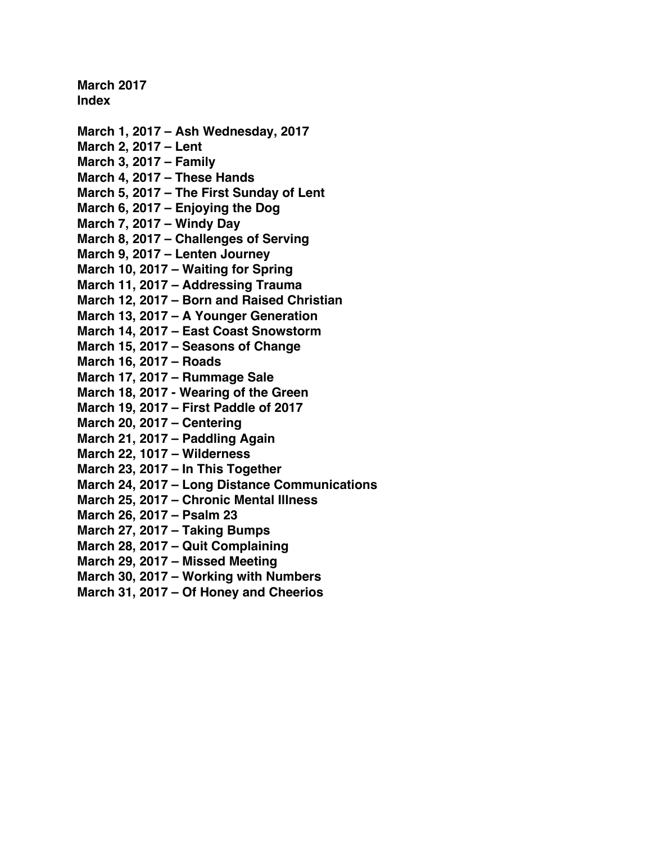**March 2017 Index**

**March 1, 2017 – [Ash Wednesday, 2017](#page-1-0) [March 2, 2017 –](#page-3-0) Lent [March 3, 2017 –](#page-5-0) Family [March 4, 2017 –](#page-7-0) These Hands March 5, 2017 – [The First Sunday of Lent](#page-9-0) March 6, 2017 – [Enjoying the Dog](#page-11-0) [March 7, 2017 –](#page-13-0) Windy Day March 8, 2017 – [Challenges of Serving](#page-15-0) March 9, 2017 – [Lenten Journey](#page-17-0) March 10, 2017 – [Waiting for Spring](#page-19-0) March 11, 2017 – [Addressing Trauma](#page-21-0) March 12, 2017 – [Born and Raised Christian](#page-23-0) March 13, 2017 – [A Younger Generation](#page-25-0) March 14, 2017 – [East Coast Snowstorm](#page-27-0) March 15, 2017 – [Seasons of Change](#page-30-0) [March 16, 2017 –](#page-32-0) Roads [March 17, 2017 –](#page-34-0) Rummage Sale March 18, 2017 - [Wearing of the Green](#page-36-0) March 19, 2017 – [First Paddle of 2017](#page-38-0) [March 20, 2017 –](#page-41-0) Centering [March 21, 2017 –](#page-43-0) Paddling Again [March 22, 1017 –](#page-46-0) Wilderness [March 23, 2017 –](#page-48-0) In This Together March 24, 2017 – [Long Distance Communications](#page-50-0) March 25, 2017 – [Chronic Mental Illness](#page-52-0) [March 26, 2017 –](#page-54-0) Psalm 23 [March 27, 2017 –](#page-56-0) Taking Bumps March 28, 2017 – [Quit Complaining](#page-59-0) [March 29, 2017 –](#page-61-0) Missed Meeting March 30, 2017 – [Working with Numbers](#page-63-0) March 31, 2017 – [Of Honey and Cheerios](#page-65-0)**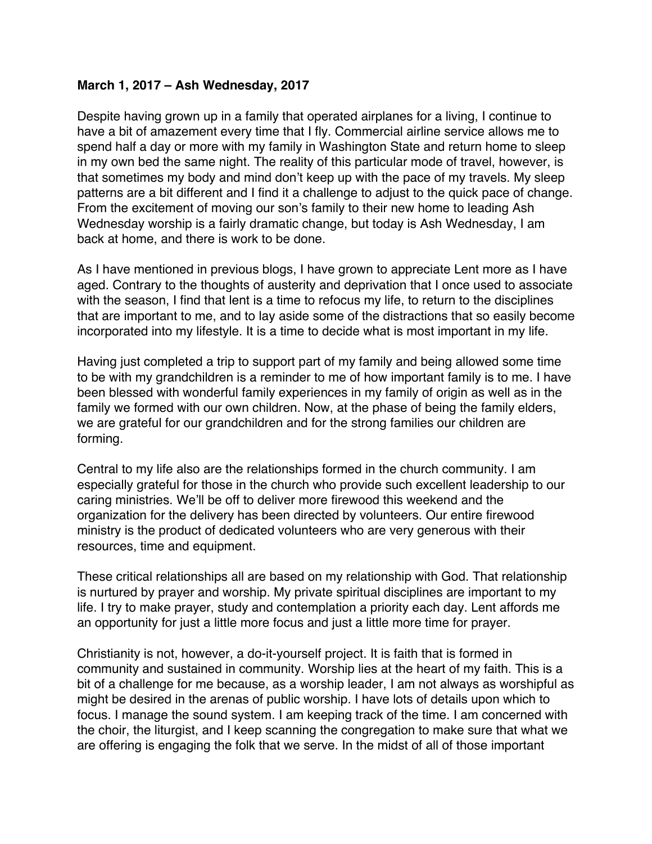### <span id="page-1-0"></span>**March 1, 2017 – Ash Wednesday, 2017**

Despite having grown up in a family that operated airplanes for a living, I continue to have a bit of amazement every time that I fly. Commercial airline service allows me to spend half a day or more with my family in Washington State and return home to sleep in my own bed the same night. The reality of this particular mode of travel, however, is that sometimes my body and mind don't keep up with the pace of my travels. My sleep patterns are a bit different and I find it a challenge to adjust to the quick pace of change. From the excitement of moving our son's family to their new home to leading Ash Wednesday worship is a fairly dramatic change, but today is Ash Wednesday, I am back at home, and there is work to be done.

As I have mentioned in previous blogs, I have grown to appreciate Lent more as I have aged. Contrary to the thoughts of austerity and deprivation that I once used to associate with the season, I find that lent is a time to refocus my life, to return to the disciplines that are important to me, and to lay aside some of the distractions that so easily become incorporated into my lifestyle. It is a time to decide what is most important in my life.

Having just completed a trip to support part of my family and being allowed some time to be with my grandchildren is a reminder to me of how important family is to me. I have been blessed with wonderful family experiences in my family of origin as well as in the family we formed with our own children. Now, at the phase of being the family elders, we are grateful for our grandchildren and for the strong families our children are forming.

Central to my life also are the relationships formed in the church community. I am especially grateful for those in the church who provide such excellent leadership to our caring ministries. We'll be off to deliver more firewood this weekend and the organization for the delivery has been directed by volunteers. Our entire firewood ministry is the product of dedicated volunteers who are very generous with their resources, time and equipment.

These critical relationships all are based on my relationship with God. That relationship is nurtured by prayer and worship. My private spiritual disciplines are important to my life. I try to make prayer, study and contemplation a priority each day. Lent affords me an opportunity for just a little more focus and just a little more time for prayer.

Christianity is not, however, a do-it-yourself project. It is faith that is formed in community and sustained in community. Worship lies at the heart of my faith. This is a bit of a challenge for me because, as a worship leader, I am not always as worshipful as might be desired in the arenas of public worship. I have lots of details upon which to focus. I manage the sound system. I am keeping track of the time. I am concerned with the choir, the liturgist, and I keep scanning the congregation to make sure that what we are offering is engaging the folk that we serve. In the midst of all of those important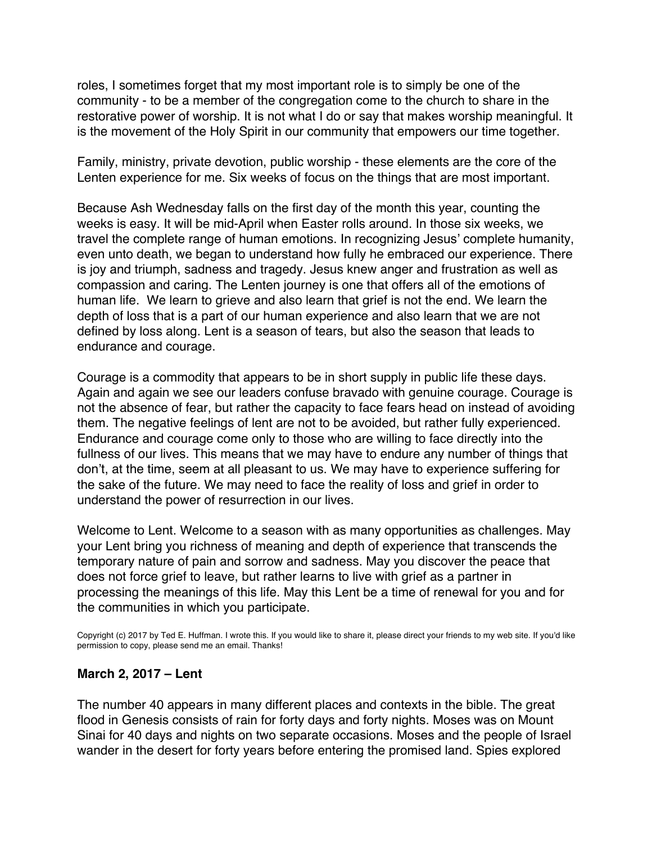roles, I sometimes forget that my most important role is to simply be one of the community - to be a member of the congregation come to the church to share in the restorative power of worship. It is not what I do or say that makes worship meaningful. It is the movement of the Holy Spirit in our community that empowers our time together.

Family, ministry, private devotion, public worship - these elements are the core of the Lenten experience for me. Six weeks of focus on the things that are most important.

Because Ash Wednesday falls on the first day of the month this year, counting the weeks is easy. It will be mid-April when Easter rolls around. In those six weeks, we travel the complete range of human emotions. In recognizing Jesus' complete humanity, even unto death, we began to understand how fully he embraced our experience. There is joy and triumph, sadness and tragedy. Jesus knew anger and frustration as well as compassion and caring. The Lenten journey is one that offers all of the emotions of human life. We learn to grieve and also learn that grief is not the end. We learn the depth of loss that is a part of our human experience and also learn that we are not defined by loss along. Lent is a season of tears, but also the season that leads to endurance and courage.

Courage is a commodity that appears to be in short supply in public life these days. Again and again we see our leaders confuse bravado with genuine courage. Courage is not the absence of fear, but rather the capacity to face fears head on instead of avoiding them. The negative feelings of lent are not to be avoided, but rather fully experienced. Endurance and courage come only to those who are willing to face directly into the fullness of our lives. This means that we may have to endure any number of things that don't, at the time, seem at all pleasant to us. We may have to experience suffering for the sake of the future. We may need to face the reality of loss and grief in order to understand the power of resurrection in our lives.

Welcome to Lent. Welcome to a season with as many opportunities as challenges. May your Lent bring you richness of meaning and depth of experience that transcends the temporary nature of pain and sorrow and sadness. May you discover the peace that does not force grief to leave, but rather learns to live with grief as a partner in processing the meanings of this life. May this Lent be a time of renewal for you and for the communities in which you participate.

Copyright (c) 2017 by Ted E. Huffman. I wrote this. If you would like to share it, please direct your friends to my web site. If you'd like permission to copy, please send me an email. Thanks!

### **March 2, 2017 – Lent**

The number 40 appears in many different places and contexts in the bible. The great flood in Genesis consists of rain for forty days and forty nights. Moses was on Mount Sinai for 40 days and nights on two separate occasions. Moses and the people of Israel wander in the desert for forty years before entering the promised land. Spies explored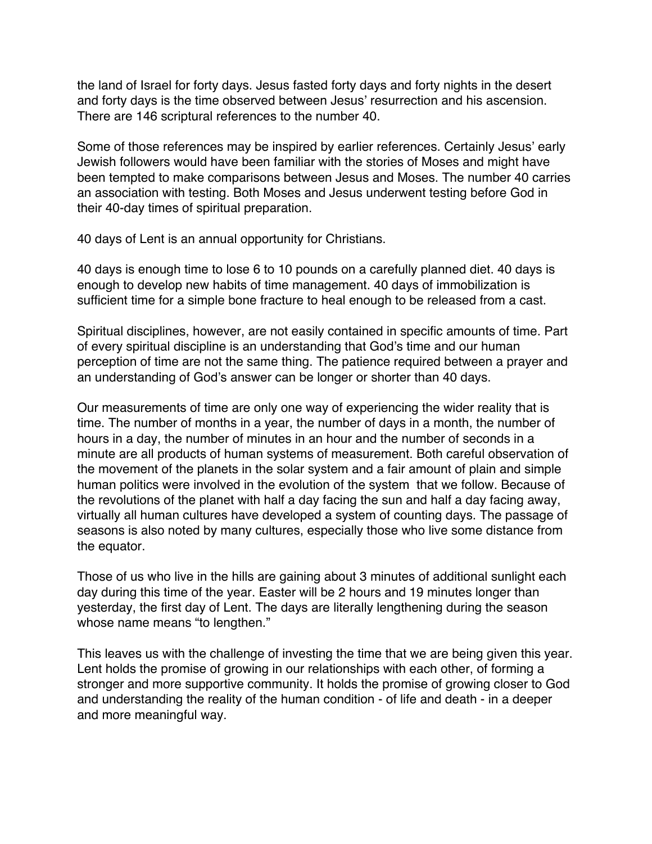<span id="page-3-0"></span>the land of Israel for forty days. Jesus fasted forty days and forty nights in the desert and forty days is the time observed between Jesus' resurrection and his ascension. There are 146 scriptural references to the number 40.

Some of those references may be inspired by earlier references. Certainly Jesus' early Jewish followers would have been familiar with the stories of Moses and might have been tempted to make comparisons between Jesus and Moses. The number 40 carries an association with testing. Both Moses and Jesus underwent testing before God in their 40-day times of spiritual preparation.

40 days of Lent is an annual opportunity for Christians.

40 days is enough time to lose 6 to 10 pounds on a carefully planned diet. 40 days is enough to develop new habits of time management. 40 days of immobilization is sufficient time for a simple bone fracture to heal enough to be released from a cast.

Spiritual disciplines, however, are not easily contained in specific amounts of time. Part of every spiritual discipline is an understanding that God's time and our human perception of time are not the same thing. The patience required between a prayer and an understanding of God's answer can be longer or shorter than 40 days.

Our measurements of time are only one way of experiencing the wider reality that is time. The number of months in a year, the number of days in a month, the number of hours in a day, the number of minutes in an hour and the number of seconds in a minute are all products of human systems of measurement. Both careful observation of the movement of the planets in the solar system and a fair amount of plain and simple human politics were involved in the evolution of the system that we follow. Because of the revolutions of the planet with half a day facing the sun and half a day facing away, virtually all human cultures have developed a system of counting days. The passage of seasons is also noted by many cultures, especially those who live some distance from the equator.

Those of us who live in the hills are gaining about 3 minutes of additional sunlight each day during this time of the year. Easter will be 2 hours and 19 minutes longer than yesterday, the first day of Lent. The days are literally lengthening during the season whose name means "to lengthen."

This leaves us with the challenge of investing the time that we are being given this year. Lent holds the promise of growing in our relationships with each other, of forming a stronger and more supportive community. It holds the promise of growing closer to God and understanding the reality of the human condition - of life and death - in a deeper and more meaningful way.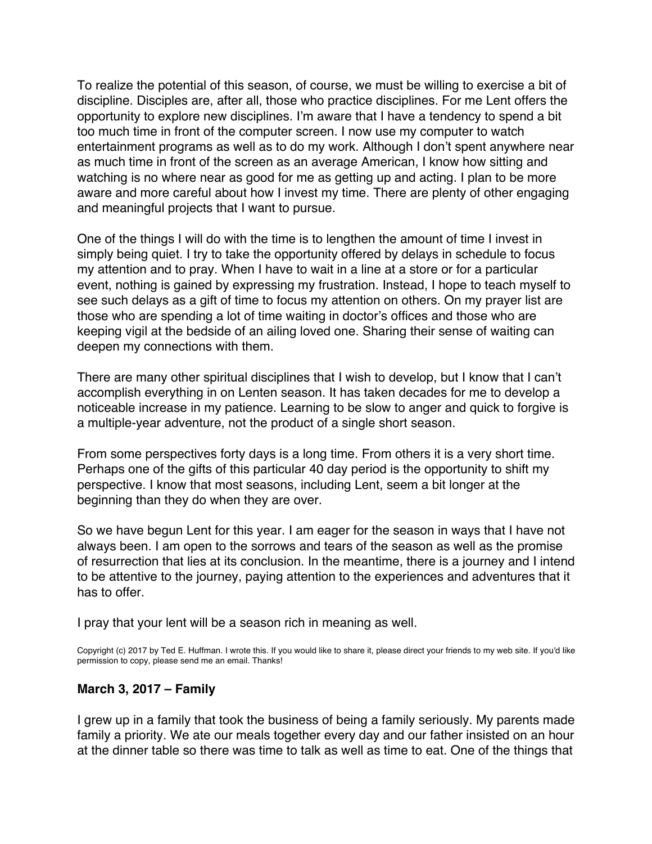To realize the potential of this season, of course, we must be willing to exercise a bit of discipline. Disciples are, after all, those who practice disciplines. For me Lent offers the opportunity to explore new disciplines. I'm aware that I have a tendency to spend a bit too much time in front of the computer screen. I now use my computer to watch entertainment programs as well as to do my work. Although I don't spent anywhere near as much time in front of the screen as an average American, I know how sitting and watching is no where near as good for me as getting up and acting. I plan to be more aware and more careful about how I invest my time. There are plenty of other engaging and meaningful projects that I want to pursue.

One of the things I will do with the time is to lengthen the amount of time I invest in simply being quiet. I try to take the opportunity offered by delays in schedule to focus my attention and to pray. When I have to wait in a line at a store or for a particular event, nothing is gained by expressing my frustration. Instead, I hope to teach myself to see such delays as a gift of time to focus my attention on others. On my prayer list are those who are spending a lot of time waiting in doctor's offices and those who are keeping vigil at the bedside of an ailing loved one. Sharing their sense of waiting can deepen my connections with them.

There are many other spiritual disciplines that I wish to develop, but I know that I can't accomplish everything in on Lenten season. It has taken decades for me to develop a noticeable increase in my patience. Learning to be slow to anger and quick to forgive is a multiple-year adventure, not the product of a single short season.

From some perspectives forty days is a long time. From others it is a very short time. Perhaps one of the gifts of this particular 40 day period is the opportunity to shift my perspective. I know that most seasons, including Lent, seem a bit longer at the beginning than they do when they are over.

So we have begun Lent for this year. I am eager for the season in ways that I have not always been. I am open to the sorrows and tears of the season as well as the promise of resurrection that lies at its conclusion. In the meantime, there is a journey and I intend to be attentive to the journey, paying attention to the experiences and adventures that it has to offer.

I pray that your lent will be a season rich in meaning as well.

Copyright (c) 2017 by Ted E. Huffman. I wrote this. If you would like to share it, please direct your friends to my web site. If you'd like permission to copy, please send me an email. Thanks!

### **March 3, 2017 – Family**

I grew up in a family that took the business of being a family seriously. My parents made family a priority. We ate our meals together every day and our father insisted on an hour at the dinner table so there was time to talk as well as time to eat. One of the things that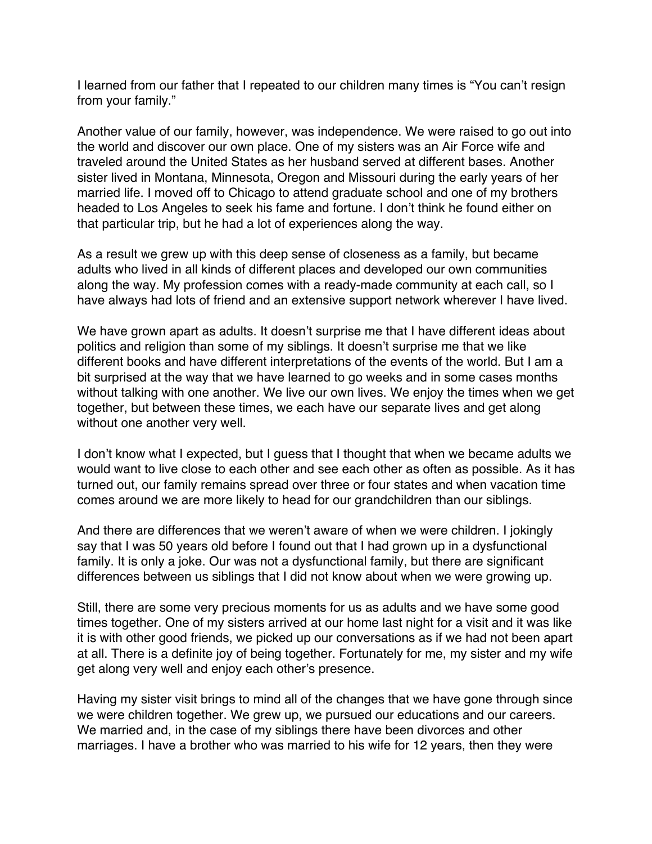<span id="page-5-0"></span>I learned from our father that I repeated to our children many times is "You can't resign from your family."

Another value of our family, however, was independence. We were raised to go out into the world and discover our own place. One of my sisters was an Air Force wife and traveled around the United States as her husband served at different bases. Another sister lived in Montana, Minnesota, Oregon and Missouri during the early years of her married life. I moved off to Chicago to attend graduate school and one of my brothers headed to Los Angeles to seek his fame and fortune. I don't think he found either on that particular trip, but he had a lot of experiences along the way.

As a result we grew up with this deep sense of closeness as a family, but became adults who lived in all kinds of different places and developed our own communities along the way. My profession comes with a ready-made community at each call, so I have always had lots of friend and an extensive support network wherever I have lived.

We have grown apart as adults. It doesn't surprise me that I have different ideas about politics and religion than some of my siblings. It doesn't surprise me that we like different books and have different interpretations of the events of the world. But I am a bit surprised at the way that we have learned to go weeks and in some cases months without talking with one another. We live our own lives. We enjoy the times when we get together, but between these times, we each have our separate lives and get along without one another very well.

I don't know what I expected, but I guess that I thought that when we became adults we would want to live close to each other and see each other as often as possible. As it has turned out, our family remains spread over three or four states and when vacation time comes around we are more likely to head for our grandchildren than our siblings.

And there are differences that we weren't aware of when we were children. I jokingly say that I was 50 years old before I found out that I had grown up in a dysfunctional family. It is only a joke. Our was not a dysfunctional family, but there are significant differences between us siblings that I did not know about when we were growing up.

Still, there are some very precious moments for us as adults and we have some good times together. One of my sisters arrived at our home last night for a visit and it was like it is with other good friends, we picked up our conversations as if we had not been apart at all. There is a definite joy of being together. Fortunately for me, my sister and my wife get along very well and enjoy each other's presence.

Having my sister visit brings to mind all of the changes that we have gone through since we were children together. We grew up, we pursued our educations and our careers. We married and, in the case of my siblings there have been divorces and other marriages. I have a brother who was married to his wife for 12 years, then they were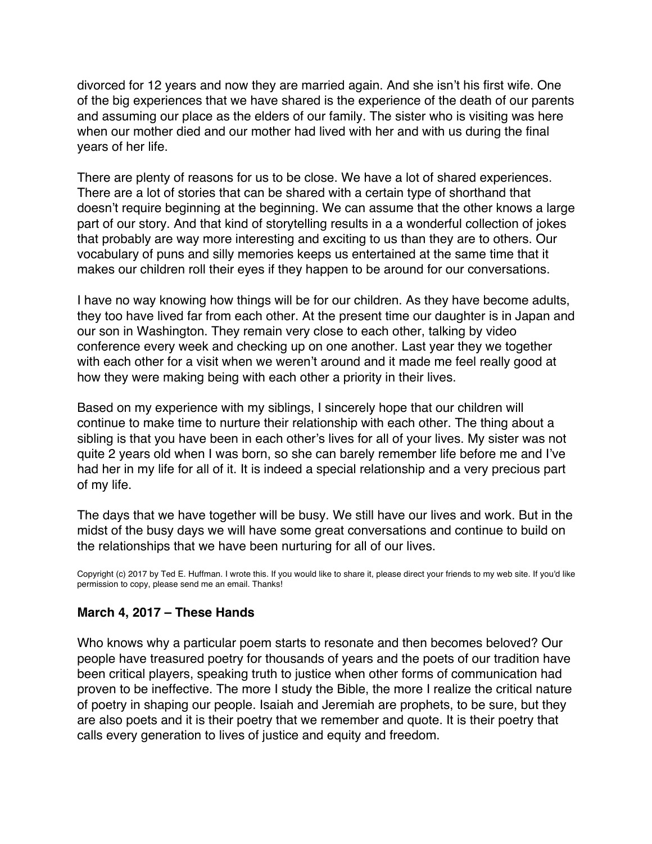divorced for 12 years and now they are married again. And she isn't his first wife. One of the big experiences that we have shared is the experience of the death of our parents and assuming our place as the elders of our family. The sister who is visiting was here when our mother died and our mother had lived with her and with us during the final years of her life.

There are plenty of reasons for us to be close. We have a lot of shared experiences. There are a lot of stories that can be shared with a certain type of shorthand that doesn't require beginning at the beginning. We can assume that the other knows a large part of our story. And that kind of storytelling results in a a wonderful collection of jokes that probably are way more interesting and exciting to us than they are to others. Our vocabulary of puns and silly memories keeps us entertained at the same time that it makes our children roll their eyes if they happen to be around for our conversations.

I have no way knowing how things will be for our children. As they have become adults, they too have lived far from each other. At the present time our daughter is in Japan and our son in Washington. They remain very close to each other, talking by video conference every week and checking up on one another. Last year they we together with each other for a visit when we weren't around and it made me feel really good at how they were making being with each other a priority in their lives.

Based on my experience with my siblings, I sincerely hope that our children will continue to make time to nurture their relationship with each other. The thing about a sibling is that you have been in each other's lives for all of your lives. My sister was not quite 2 years old when I was born, so she can barely remember life before me and I've had her in my life for all of it. It is indeed a special relationship and a very precious part of my life.

The days that we have together will be busy. We still have our lives and work. But in the midst of the busy days we will have some great conversations and continue to build on the relationships that we have been nurturing for all of our lives.

Copyright (c) 2017 by Ted E. Huffman. I wrote this. If you would like to share it, please direct your friends to my web site. If you'd like permission to copy, please send me an email. Thanks!

### **March 4, 2017 – These Hands**

Who knows why a particular poem starts to resonate and then becomes beloved? Our people have treasured poetry for thousands of years and the poets of our tradition have been critical players, speaking truth to justice when other forms of communication had proven to be ineffective. The more I study the Bible, the more I realize the critical nature of poetry in shaping our people. Isaiah and Jeremiah are prophets, to be sure, but they are also poets and it is their poetry that we remember and quote. It is their poetry that calls every generation to lives of justice and equity and freedom.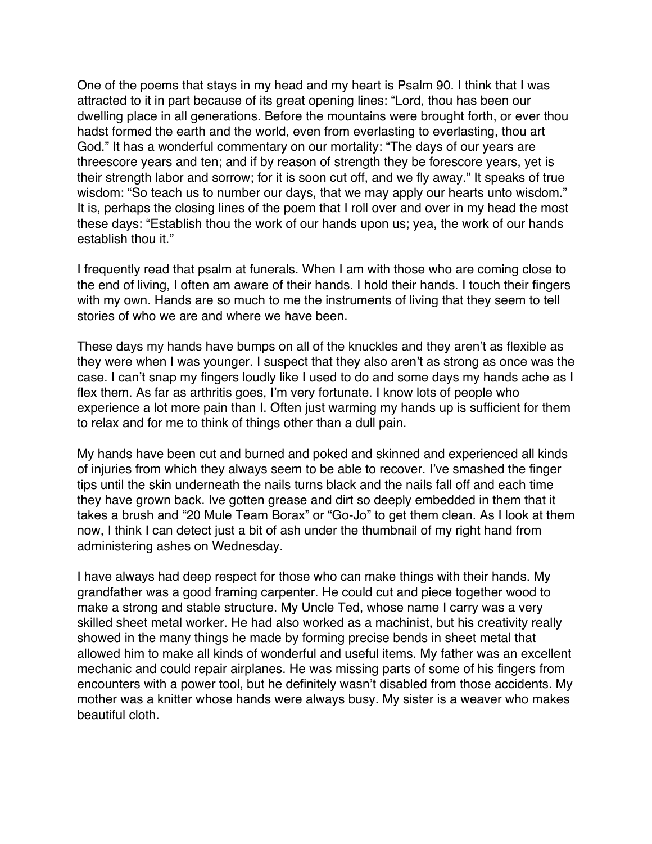<span id="page-7-0"></span>One of the poems that stays in my head and my heart is Psalm 90. I think that I was attracted to it in part because of its great opening lines: "Lord, thou has been our dwelling place in all generations. Before the mountains were brought forth, or ever thou hadst formed the earth and the world, even from everlasting to everlasting, thou art God." It has a wonderful commentary on our mortality: "The days of our years are threescore years and ten; and if by reason of strength they be forescore years, yet is their strength labor and sorrow; for it is soon cut off, and we fly away." It speaks of true wisdom: "So teach us to number our days, that we may apply our hearts unto wisdom." It is, perhaps the closing lines of the poem that I roll over and over in my head the most these days: "Establish thou the work of our hands upon us; yea, the work of our hands establish thou it."

I frequently read that psalm at funerals. When I am with those who are coming close to the end of living, I often am aware of their hands. I hold their hands. I touch their fingers with my own. Hands are so much to me the instruments of living that they seem to tell stories of who we are and where we have been.

These days my hands have bumps on all of the knuckles and they aren't as flexible as they were when I was younger. I suspect that they also aren't as strong as once was the case. I can't snap my fingers loudly like I used to do and some days my hands ache as I flex them. As far as arthritis goes, I'm very fortunate. I know lots of people who experience a lot more pain than I. Often just warming my hands up is sufficient for them to relax and for me to think of things other than a dull pain.

My hands have been cut and burned and poked and skinned and experienced all kinds of injuries from which they always seem to be able to recover. I've smashed the finger tips until the skin underneath the nails turns black and the nails fall off and each time they have grown back. Ive gotten grease and dirt so deeply embedded in them that it takes a brush and "20 Mule Team Borax" or "Go-Jo" to get them clean. As I look at them now, I think I can detect just a bit of ash under the thumbnail of my right hand from administering ashes on Wednesday.

I have always had deep respect for those who can make things with their hands. My grandfather was a good framing carpenter. He could cut and piece together wood to make a strong and stable structure. My Uncle Ted, whose name I carry was a very skilled sheet metal worker. He had also worked as a machinist, but his creativity really showed in the many things he made by forming precise bends in sheet metal that allowed him to make all kinds of wonderful and useful items. My father was an excellent mechanic and could repair airplanes. He was missing parts of some of his fingers from encounters with a power tool, but he definitely wasn't disabled from those accidents. My mother was a knitter whose hands were always busy. My sister is a weaver who makes beautiful cloth.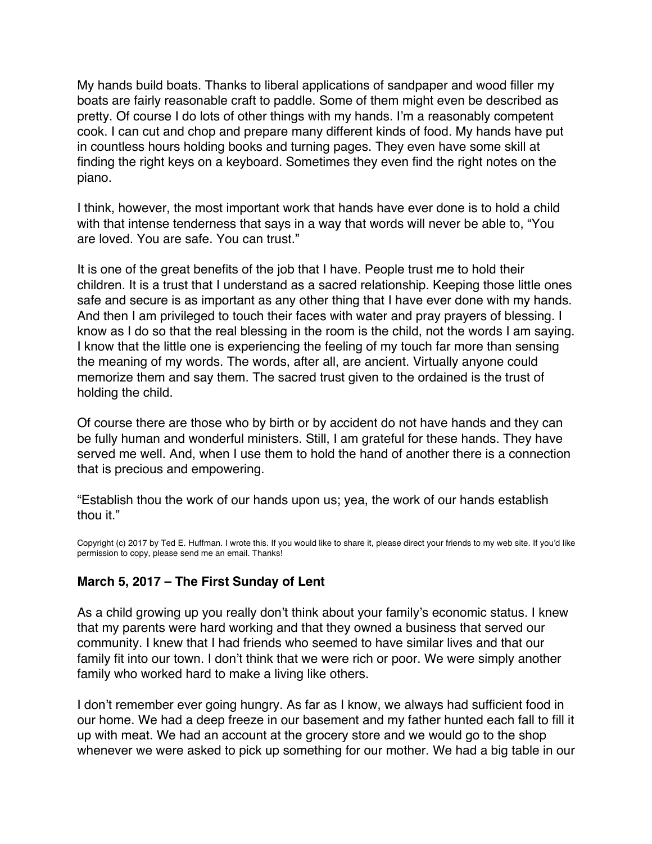My hands build boats. Thanks to liberal applications of sandpaper and wood filler my boats are fairly reasonable craft to paddle. Some of them might even be described as pretty. Of course I do lots of other things with my hands. I'm a reasonably competent cook. I can cut and chop and prepare many different kinds of food. My hands have put in countless hours holding books and turning pages. They even have some skill at finding the right keys on a keyboard. Sometimes they even find the right notes on the piano.

I think, however, the most important work that hands have ever done is to hold a child with that intense tenderness that says in a way that words will never be able to, "You are loved. You are safe. You can trust."

It is one of the great benefits of the job that I have. People trust me to hold their children. It is a trust that I understand as a sacred relationship. Keeping those little ones safe and secure is as important as any other thing that I have ever done with my hands. And then I am privileged to touch their faces with water and pray prayers of blessing. I know as I do so that the real blessing in the room is the child, not the words I am saying. I know that the little one is experiencing the feeling of my touch far more than sensing the meaning of my words. The words, after all, are ancient. Virtually anyone could memorize them and say them. The sacred trust given to the ordained is the trust of holding the child.

Of course there are those who by birth or by accident do not have hands and they can be fully human and wonderful ministers. Still, I am grateful for these hands. They have served me well. And, when I use them to hold the hand of another there is a connection that is precious and empowering.

"Establish thou the work of our hands upon us; yea, the work of our hands establish thou it."

Copyright (c) 2017 by Ted E. Huffman. I wrote this. If you would like to share it, please direct your friends to my web site. If you'd like permission to copy, please send me an email. Thanks!

### **March 5, 2017 – The First Sunday of Lent**

As a child growing up you really don't think about your family's economic status. I knew that my parents were hard working and that they owned a business that served our community. I knew that I had friends who seemed to have similar lives and that our family fit into our town. I don't think that we were rich or poor. We were simply another family who worked hard to make a living like others.

I don't remember ever going hungry. As far as I know, we always had sufficient food in our home. We had a deep freeze in our basement and my father hunted each fall to fill it up with meat. We had an account at the grocery store and we would go to the shop whenever we were asked to pick up something for our mother. We had a big table in our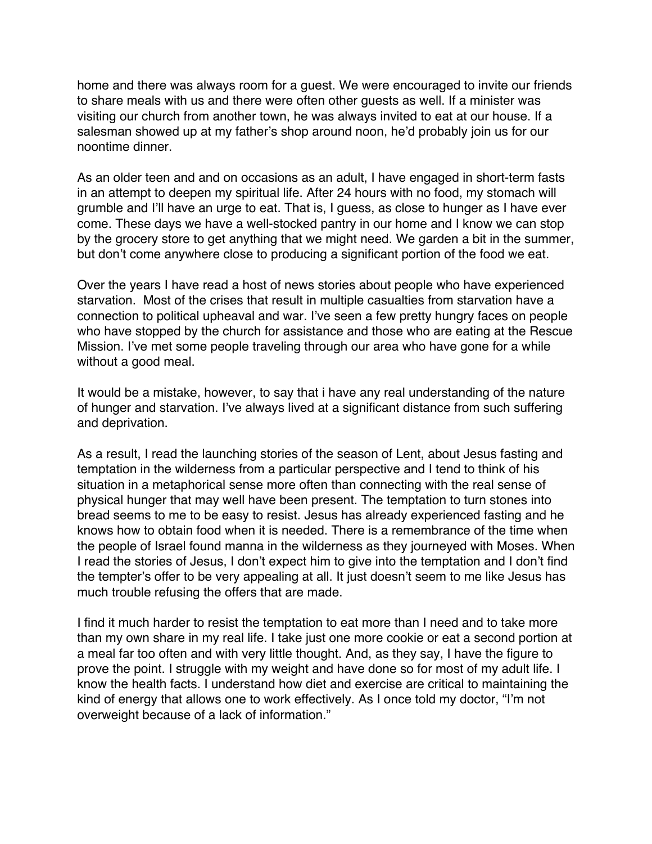<span id="page-9-0"></span>home and there was always room for a guest. We were encouraged to invite our friends to share meals with us and there were often other guests as well. If a minister was visiting our church from another town, he was always invited to eat at our house. If a salesman showed up at my father's shop around noon, he'd probably join us for our noontime dinner.

As an older teen and and on occasions as an adult, I have engaged in short-term fasts in an attempt to deepen my spiritual life. After 24 hours with no food, my stomach will grumble and I'll have an urge to eat. That is, I guess, as close to hunger as I have ever come. These days we have a well-stocked pantry in our home and I know we can stop by the grocery store to get anything that we might need. We garden a bit in the summer, but don't come anywhere close to producing a significant portion of the food we eat.

Over the years I have read a host of news stories about people who have experienced starvation. Most of the crises that result in multiple casualties from starvation have a connection to political upheaval and war. I've seen a few pretty hungry faces on people who have stopped by the church for assistance and those who are eating at the Rescue Mission. I've met some people traveling through our area who have gone for a while without a good meal.

It would be a mistake, however, to say that i have any real understanding of the nature of hunger and starvation. I've always lived at a significant distance from such suffering and deprivation.

As a result, I read the launching stories of the season of Lent, about Jesus fasting and temptation in the wilderness from a particular perspective and I tend to think of his situation in a metaphorical sense more often than connecting with the real sense of physical hunger that may well have been present. The temptation to turn stones into bread seems to me to be easy to resist. Jesus has already experienced fasting and he knows how to obtain food when it is needed. There is a remembrance of the time when the people of Israel found manna in the wilderness as they journeyed with Moses. When I read the stories of Jesus, I don't expect him to give into the temptation and I don't find the tempter's offer to be very appealing at all. It just doesn't seem to me like Jesus has much trouble refusing the offers that are made.

I find it much harder to resist the temptation to eat more than I need and to take more than my own share in my real life. I take just one more cookie or eat a second portion at a meal far too often and with very little thought. And, as they say, I have the figure to prove the point. I struggle with my weight and have done so for most of my adult life. I know the health facts. I understand how diet and exercise are critical to maintaining the kind of energy that allows one to work effectively. As I once told my doctor, "I'm not overweight because of a lack of information."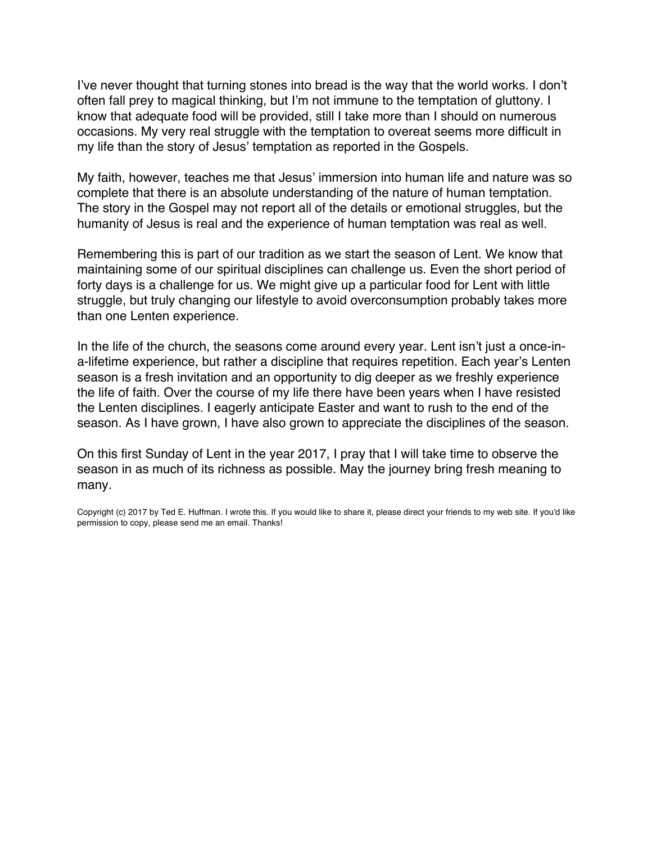I've never thought that turning stones into bread is the way that the world works. I don't often fall prey to magical thinking, but I'm not immune to the temptation of gluttony. I know that adequate food will be provided, still I take more than I should on numerous occasions. My very real struggle with the temptation to overeat seems more difficult in my life than the story of Jesus' temptation as reported in the Gospels.

My faith, however, teaches me that Jesus' immersion into human life and nature was so complete that there is an absolute understanding of the nature of human temptation. The story in the Gospel may not report all of the details or emotional struggles, but the humanity of Jesus is real and the experience of human temptation was real as well.

Remembering this is part of our tradition as we start the season of Lent. We know that maintaining some of our spiritual disciplines can challenge us. Even the short period of forty days is a challenge for us. We might give up a particular food for Lent with little struggle, but truly changing our lifestyle to avoid overconsumption probably takes more than one Lenten experience.

In the life of the church, the seasons come around every year. Lent isn't just a once-ina-lifetime experience, but rather a discipline that requires repetition. Each year's Lenten season is a fresh invitation and an opportunity to dig deeper as we freshly experience the life of faith. Over the course of my life there have been years when I have resisted the Lenten disciplines. I eagerly anticipate Easter and want to rush to the end of the season. As I have grown, I have also grown to appreciate the disciplines of the season.

On this first Sunday of Lent in the year 2017, I pray that I will take time to observe the season in as much of its richness as possible. May the journey bring fresh meaning to many.

Copyright (c) 2017 by Ted E. Huffman. I wrote this. If you would like to share it, please direct your friends to my web site. If you'd like permission to copy, please send me an email. Thanks!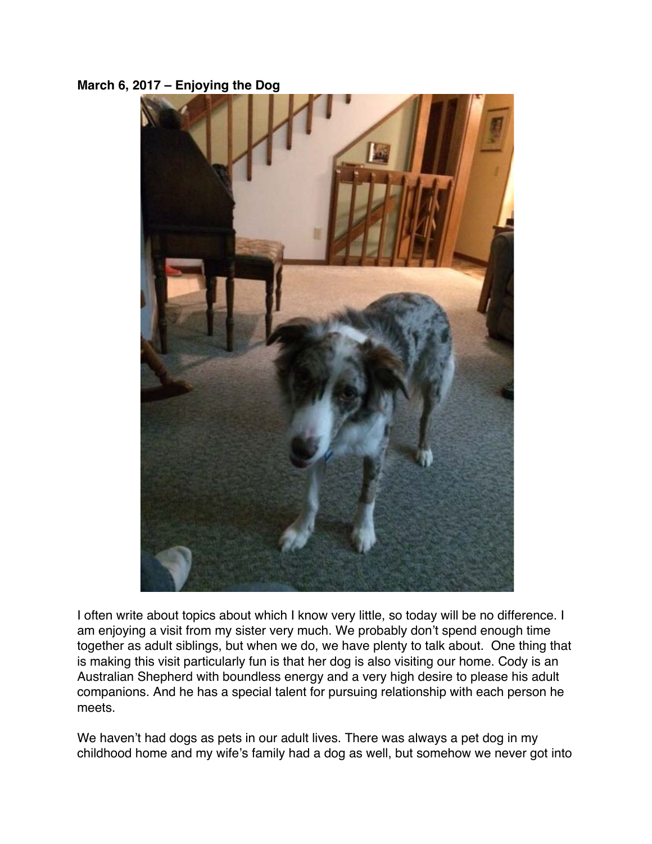### <span id="page-11-0"></span>**March 6, 2017 – Enjoying the Dog**



I often write about topics about which I know very little, so today will be no difference. I am enjoying a visit from my sister very much. We probably don't spend enough time together as adult siblings, but when we do, we have plenty to talk about. One thing that is making this visit particularly fun is that her dog is also visiting our home. Cody is an Australian Shepherd with boundless energy and a very high desire to please his adult companions. And he has a special talent for pursuing relationship with each person he meets.

We haven't had dogs as pets in our adult lives. There was always a pet dog in my childhood home and my wife's family had a dog as well, but somehow we never got into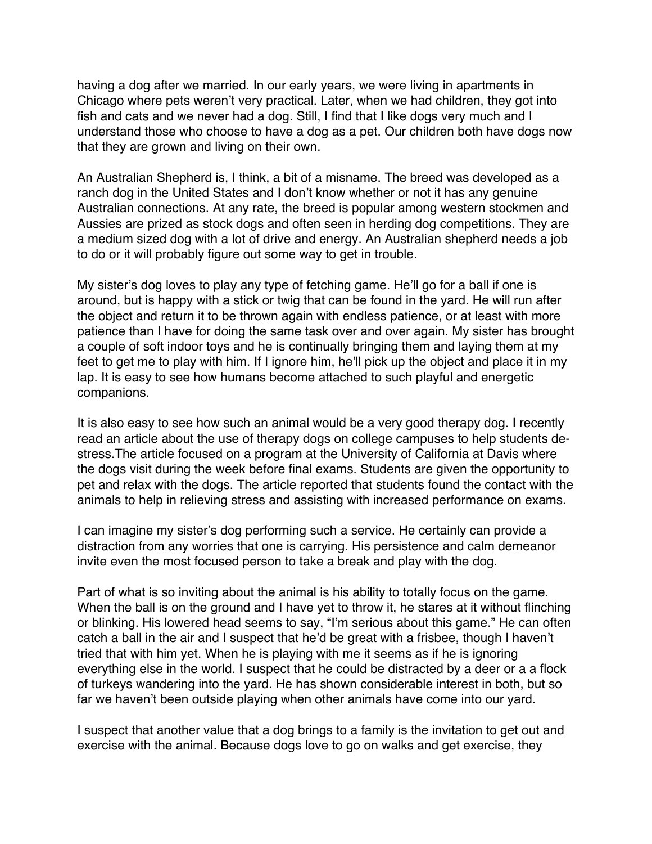having a dog after we married. In our early years, we were living in apartments in Chicago where pets weren't very practical. Later, when we had children, they got into fish and cats and we never had a dog. Still, I find that I like dogs very much and I understand those who choose to have a dog as a pet. Our children both have dogs now that they are grown and living on their own.

An Australian Shepherd is, I think, a bit of a misname. The breed was developed as a ranch dog in the United States and I don't know whether or not it has any genuine Australian connections. At any rate, the breed is popular among western stockmen and Aussies are prized as stock dogs and often seen in herding dog competitions. They are a medium sized dog with a lot of drive and energy. An Australian shepherd needs a job to do or it will probably figure out some way to get in trouble.

My sister's dog loves to play any type of fetching game. He'll go for a ball if one is around, but is happy with a stick or twig that can be found in the yard. He will run after the object and return it to be thrown again with endless patience, or at least with more patience than I have for doing the same task over and over again. My sister has brought a couple of soft indoor toys and he is continually bringing them and laying them at my feet to get me to play with him. If I ignore him, he'll pick up the object and place it in my lap. It is easy to see how humans become attached to such playful and energetic companions.

It is also easy to see how such an animal would be a very good therapy dog. I recently read an article about the use of therapy dogs on college campuses to help students destress.The article focused on a program at the University of California at Davis where the dogs visit during the week before final exams. Students are given the opportunity to pet and relax with the dogs. The article reported that students found the contact with the animals to help in relieving stress and assisting with increased performance on exams.

I can imagine my sister's dog performing such a service. He certainly can provide a distraction from any worries that one is carrying. His persistence and calm demeanor invite even the most focused person to take a break and play with the dog.

Part of what is so inviting about the animal is his ability to totally focus on the game. When the ball is on the ground and I have yet to throw it, he stares at it without flinching or blinking. His lowered head seems to say, "I'm serious about this game." He can often catch a ball in the air and I suspect that he'd be great with a frisbee, though I haven't tried that with him yet. When he is playing with me it seems as if he is ignoring everything else in the world. I suspect that he could be distracted by a deer or a a flock of turkeys wandering into the yard. He has shown considerable interest in both, but so far we haven't been outside playing when other animals have come into our yard.

I suspect that another value that a dog brings to a family is the invitation to get out and exercise with the animal. Because dogs love to go on walks and get exercise, they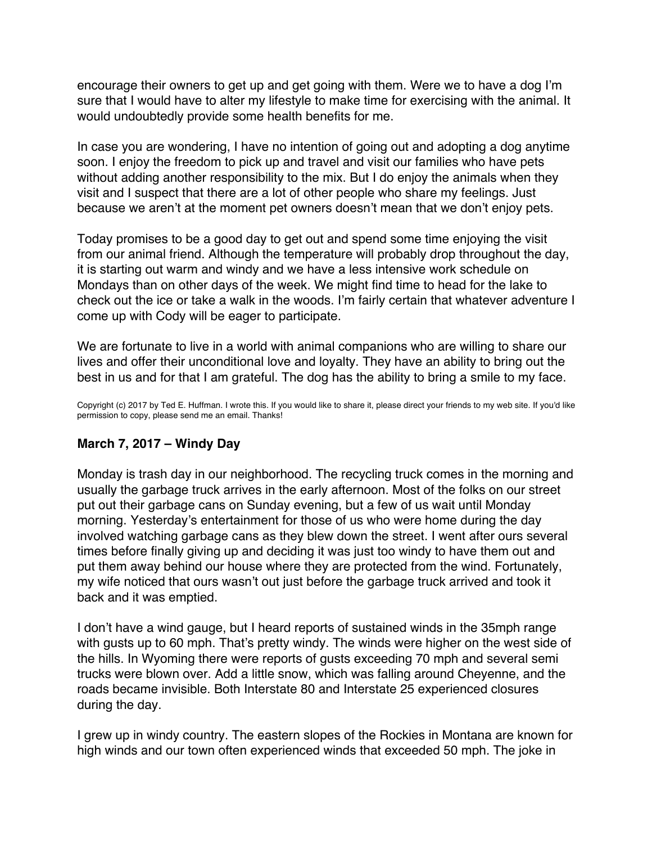<span id="page-13-0"></span>encourage their owners to get up and get going with them. Were we to have a dog I'm sure that I would have to alter my lifestyle to make time for exercising with the animal. It would undoubtedly provide some health benefits for me.

In case you are wondering, I have no intention of going out and adopting a dog anytime soon. I enjoy the freedom to pick up and travel and visit our families who have pets without adding another responsibility to the mix. But I do enjoy the animals when they visit and I suspect that there are a lot of other people who share my feelings. Just because we aren't at the moment pet owners doesn't mean that we don't enjoy pets.

Today promises to be a good day to get out and spend some time enjoying the visit from our animal friend. Although the temperature will probably drop throughout the day, it is starting out warm and windy and we have a less intensive work schedule on Mondays than on other days of the week. We might find time to head for the lake to check out the ice or take a walk in the woods. I'm fairly certain that whatever adventure I come up with Cody will be eager to participate.

We are fortunate to live in a world with animal companions who are willing to share our lives and offer their unconditional love and loyalty. They have an ability to bring out the best in us and for that I am grateful. The dog has the ability to bring a smile to my face.

Copyright (c) 2017 by Ted E. Huffman. I wrote this. If you would like to share it, please direct your friends to my web site. If you'd like permission to copy, please send me an email. Thanks!

# **March 7, 2017 – Windy Day**

Monday is trash day in our neighborhood. The recycling truck comes in the morning and usually the garbage truck arrives in the early afternoon. Most of the folks on our street put out their garbage cans on Sunday evening, but a few of us wait until Monday morning. Yesterday's entertainment for those of us who were home during the day involved watching garbage cans as they blew down the street. I went after ours several times before finally giving up and deciding it was just too windy to have them out and put them away behind our house where they are protected from the wind. Fortunately, my wife noticed that ours wasn't out just before the garbage truck arrived and took it back and it was emptied.

I don't have a wind gauge, but I heard reports of sustained winds in the 35mph range with gusts up to 60 mph. That's pretty windy. The winds were higher on the west side of the hills. In Wyoming there were reports of gusts exceeding 70 mph and several semi trucks were blown over. Add a little snow, which was falling around Cheyenne, and the roads became invisible. Both Interstate 80 and Interstate 25 experienced closures during the day.

I grew up in windy country. The eastern slopes of the Rockies in Montana are known for high winds and our town often experienced winds that exceeded 50 mph. The joke in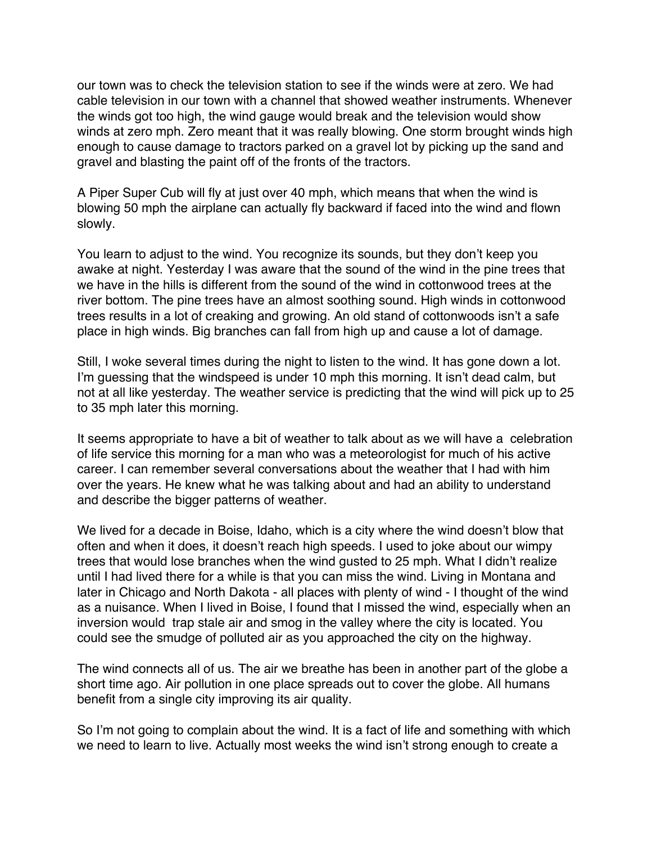our town was to check the television station to see if the winds were at zero. We had cable television in our town with a channel that showed weather instruments. Whenever the winds got too high, the wind gauge would break and the television would show winds at zero mph. Zero meant that it was really blowing. One storm brought winds high enough to cause damage to tractors parked on a gravel lot by picking up the sand and gravel and blasting the paint off of the fronts of the tractors.

A Piper Super Cub will fly at just over 40 mph, which means that when the wind is blowing 50 mph the airplane can actually fly backward if faced into the wind and flown slowly.

You learn to adjust to the wind. You recognize its sounds, but they don't keep you awake at night. Yesterday I was aware that the sound of the wind in the pine trees that we have in the hills is different from the sound of the wind in cottonwood trees at the river bottom. The pine trees have an almost soothing sound. High winds in cottonwood trees results in a lot of creaking and growing. An old stand of cottonwoods isn't a safe place in high winds. Big branches can fall from high up and cause a lot of damage.

Still, I woke several times during the night to listen to the wind. It has gone down a lot. I'm guessing that the windspeed is under 10 mph this morning. It isn't dead calm, but not at all like yesterday. The weather service is predicting that the wind will pick up to 25 to 35 mph later this morning.

It seems appropriate to have a bit of weather to talk about as we will have a celebration of life service this morning for a man who was a meteorologist for much of his active career. I can remember several conversations about the weather that I had with him over the years. He knew what he was talking about and had an ability to understand and describe the bigger patterns of weather.

We lived for a decade in Boise, Idaho, which is a city where the wind doesn't blow that often and when it does, it doesn't reach high speeds. I used to joke about our wimpy trees that would lose branches when the wind gusted to 25 mph. What I didn't realize until I had lived there for a while is that you can miss the wind. Living in Montana and later in Chicago and North Dakota - all places with plenty of wind - I thought of the wind as a nuisance. When I lived in Boise, I found that I missed the wind, especially when an inversion would trap stale air and smog in the valley where the city is located. You could see the smudge of polluted air as you approached the city on the highway.

The wind connects all of us. The air we breathe has been in another part of the globe a short time ago. Air pollution in one place spreads out to cover the globe. All humans benefit from a single city improving its air quality.

So I'm not going to complain about the wind. It is a fact of life and something with which we need to learn to live. Actually most weeks the wind isn't strong enough to create a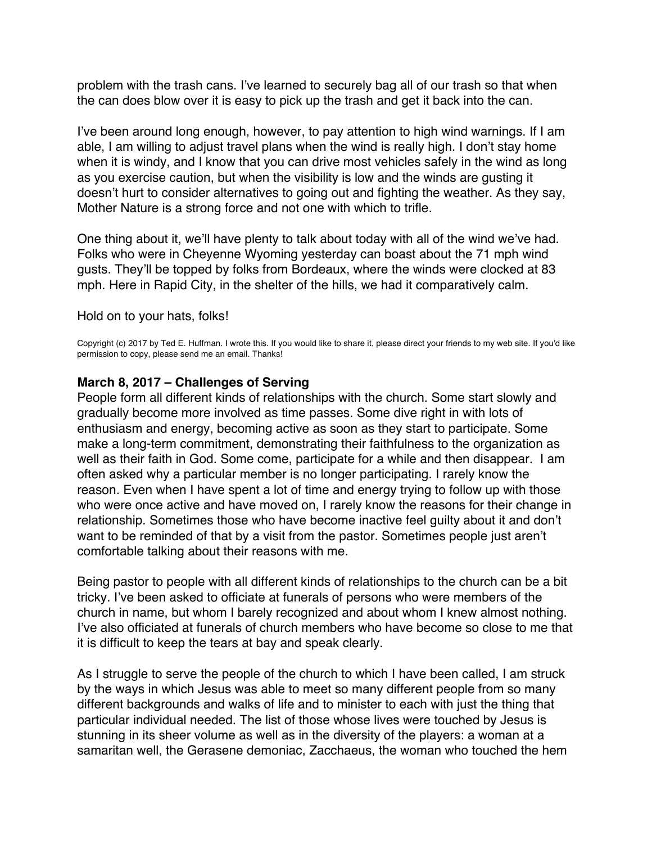<span id="page-15-0"></span>problem with the trash cans. I've learned to securely bag all of our trash so that when the can does blow over it is easy to pick up the trash and get it back into the can.

I've been around long enough, however, to pay attention to high wind warnings. If I am able, I am willing to adjust travel plans when the wind is really high. I don't stay home when it is windy, and I know that you can drive most vehicles safely in the wind as long as you exercise caution, but when the visibility is low and the winds are gusting it doesn't hurt to consider alternatives to going out and fighting the weather. As they say, Mother Nature is a strong force and not one with which to trifle.

One thing about it, we'll have plenty to talk about today with all of the wind we've had. Folks who were in Cheyenne Wyoming yesterday can boast about the 71 mph wind gusts. They'll be topped by folks from Bordeaux, where the winds were clocked at 83 mph. Here in Rapid City, in the shelter of the hills, we had it comparatively calm.

Hold on to your hats, folks!

Copyright (c) 2017 by Ted E. Huffman. I wrote this. If you would like to share it, please direct your friends to my web site. If you'd like permission to copy, please send me an email. Thanks!

#### **March 8, 2017 – Challenges of Serving**

People form all different kinds of relationships with the church. Some start slowly and gradually become more involved as time passes. Some dive right in with lots of enthusiasm and energy, becoming active as soon as they start to participate. Some make a long-term commitment, demonstrating their faithfulness to the organization as well as their faith in God. Some come, participate for a while and then disappear. I am often asked why a particular member is no longer participating. I rarely know the reason. Even when I have spent a lot of time and energy trying to follow up with those who were once active and have moved on, I rarely know the reasons for their change in relationship. Sometimes those who have become inactive feel guilty about it and don't want to be reminded of that by a visit from the pastor. Sometimes people just aren't comfortable talking about their reasons with me.

Being pastor to people with all different kinds of relationships to the church can be a bit tricky. I've been asked to officiate at funerals of persons who were members of the church in name, but whom I barely recognized and about whom I knew almost nothing. I've also officiated at funerals of church members who have become so close to me that it is difficult to keep the tears at bay and speak clearly.

As I struggle to serve the people of the church to which I have been called, I am struck by the ways in which Jesus was able to meet so many different people from so many different backgrounds and walks of life and to minister to each with just the thing that particular individual needed. The list of those whose lives were touched by Jesus is stunning in its sheer volume as well as in the diversity of the players: a woman at a samaritan well, the Gerasene demoniac, Zacchaeus, the woman who touched the hem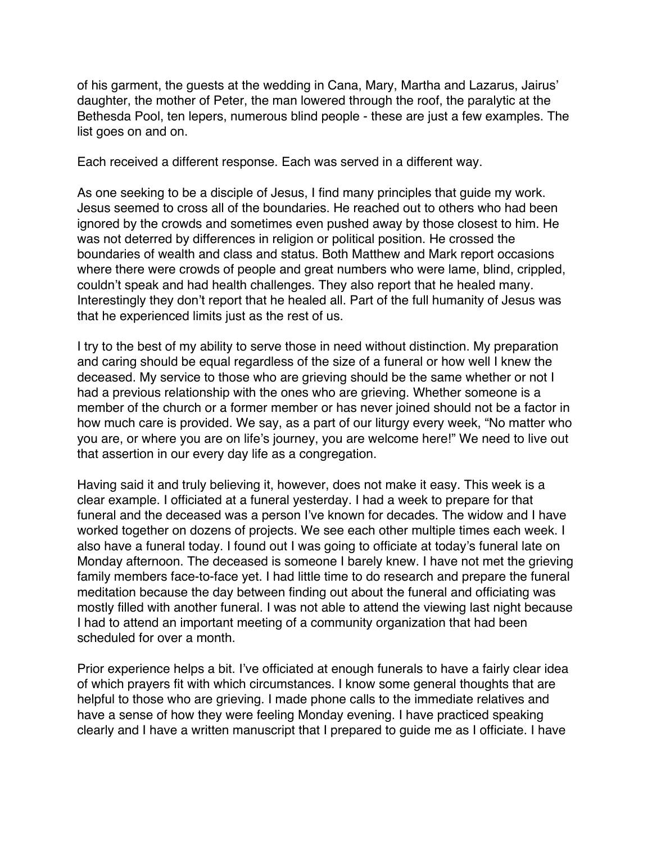of his garment, the guests at the wedding in Cana, Mary, Martha and Lazarus, Jairus' daughter, the mother of Peter, the man lowered through the roof, the paralytic at the Bethesda Pool, ten lepers, numerous blind people - these are just a few examples. The list goes on and on.

Each received a different response. Each was served in a different way.

As one seeking to be a disciple of Jesus, I find many principles that guide my work. Jesus seemed to cross all of the boundaries. He reached out to others who had been ignored by the crowds and sometimes even pushed away by those closest to him. He was not deterred by differences in religion or political position. He crossed the boundaries of wealth and class and status. Both Matthew and Mark report occasions where there were crowds of people and great numbers who were lame, blind, crippled, couldn't speak and had health challenges. They also report that he healed many. Interestingly they don't report that he healed all. Part of the full humanity of Jesus was that he experienced limits just as the rest of us.

I try to the best of my ability to serve those in need without distinction. My preparation and caring should be equal regardless of the size of a funeral or how well I knew the deceased. My service to those who are grieving should be the same whether or not I had a previous relationship with the ones who are grieving. Whether someone is a member of the church or a former member or has never joined should not be a factor in how much care is provided. We say, as a part of our liturgy every week, "No matter who you are, or where you are on life's journey, you are welcome here!" We need to live out that assertion in our every day life as a congregation.

Having said it and truly believing it, however, does not make it easy. This week is a clear example. I officiated at a funeral yesterday. I had a week to prepare for that funeral and the deceased was a person I've known for decades. The widow and I have worked together on dozens of projects. We see each other multiple times each week. I also have a funeral today. I found out I was going to officiate at today's funeral late on Monday afternoon. The deceased is someone I barely knew. I have not met the grieving family members face-to-face yet. I had little time to do research and prepare the funeral meditation because the day between finding out about the funeral and officiating was mostly filled with another funeral. I was not able to attend the viewing last night because I had to attend an important meeting of a community organization that had been scheduled for over a month.

Prior experience helps a bit. I've officiated at enough funerals to have a fairly clear idea of which prayers fit with which circumstances. I know some general thoughts that are helpful to those who are grieving. I made phone calls to the immediate relatives and have a sense of how they were feeling Monday evening. I have practiced speaking clearly and I have a written manuscript that I prepared to guide me as I officiate. I have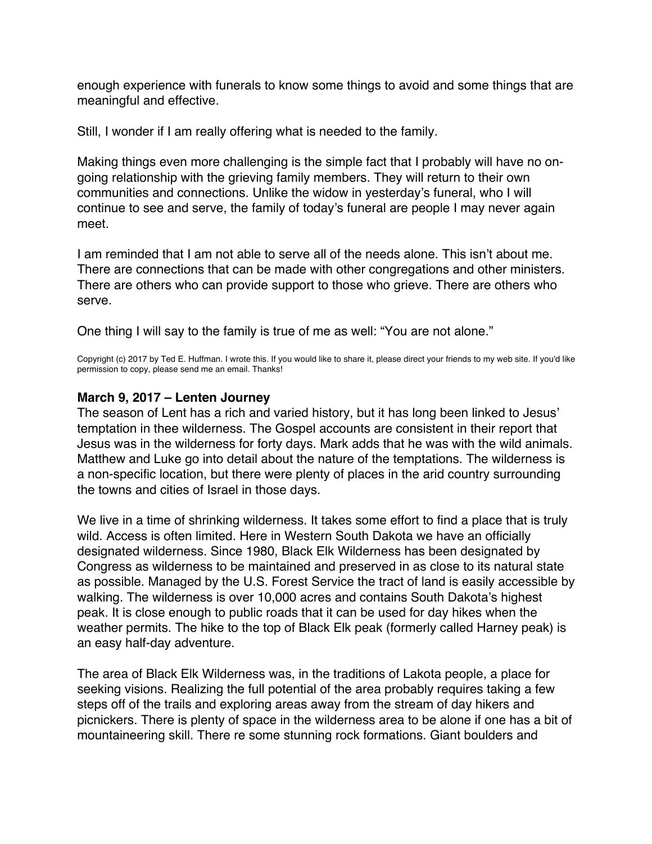<span id="page-17-0"></span>enough experience with funerals to know some things to avoid and some things that are meaningful and effective.

Still, I wonder if I am really offering what is needed to the family.

Making things even more challenging is the simple fact that I probably will have no ongoing relationship with the grieving family members. They will return to their own communities and connections. Unlike the widow in yesterday's funeral, who I will continue to see and serve, the family of today's funeral are people I may never again meet.

I am reminded that I am not able to serve all of the needs alone. This isn't about me. There are connections that can be made with other congregations and other ministers. There are others who can provide support to those who grieve. There are others who serve.

One thing I will say to the family is true of me as well: "You are not alone."

Copyright (c) 2017 by Ted E. Huffman. I wrote this. If you would like to share it, please direct your friends to my web site. If you'd like permission to copy, please send me an email. Thanks!

### **March 9, 2017 – Lenten Journey**

The season of Lent has a rich and varied history, but it has long been linked to Jesus' temptation in thee wilderness. The Gospel accounts are consistent in their report that Jesus was in the wilderness for forty days. Mark adds that he was with the wild animals. Matthew and Luke go into detail about the nature of the temptations. The wilderness is a non-specific location, but there were plenty of places in the arid country surrounding the towns and cities of Israel in those days.

We live in a time of shrinking wilderness. It takes some effort to find a place that is truly wild. Access is often limited. Here in Western South Dakota we have an officially designated wilderness. Since 1980, Black Elk Wilderness has been designated by Congress as wilderness to be maintained and preserved in as close to its natural state as possible. Managed by the U.S. Forest Service the tract of land is easily accessible by walking. The wilderness is over 10,000 acres and contains South Dakota's highest peak. It is close enough to public roads that it can be used for day hikes when the weather permits. The hike to the top of Black Elk peak (formerly called Harney peak) is an easy half-day adventure.

The area of Black Elk Wilderness was, in the traditions of Lakota people, a place for seeking visions. Realizing the full potential of the area probably requires taking a few steps off of the trails and exploring areas away from the stream of day hikers and picnickers. There is plenty of space in the wilderness area to be alone if one has a bit of mountaineering skill. There re some stunning rock formations. Giant boulders and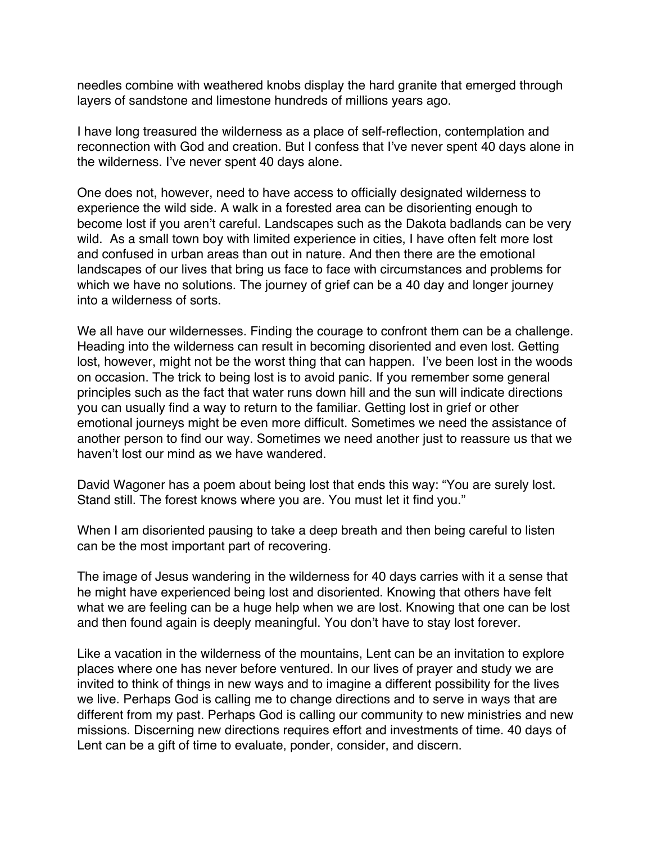needles combine with weathered knobs display the hard granite that emerged through layers of sandstone and limestone hundreds of millions years ago.

I have long treasured the wilderness as a place of self-reflection, contemplation and reconnection with God and creation. But I confess that I've never spent 40 days alone in the wilderness. I've never spent 40 days alone.

One does not, however, need to have access to officially designated wilderness to experience the wild side. A walk in a forested area can be disorienting enough to become lost if you aren't careful. Landscapes such as the Dakota badlands can be very wild. As a small town boy with limited experience in cities, I have often felt more lost and confused in urban areas than out in nature. And then there are the emotional landscapes of our lives that bring us face to face with circumstances and problems for which we have no solutions. The journey of grief can be a 40 day and longer journey into a wilderness of sorts.

We all have our wildernesses. Finding the courage to confront them can be a challenge. Heading into the wilderness can result in becoming disoriented and even lost. Getting lost, however, might not be the worst thing that can happen. I've been lost in the woods on occasion. The trick to being lost is to avoid panic. If you remember some general principles such as the fact that water runs down hill and the sun will indicate directions you can usually find a way to return to the familiar. Getting lost in grief or other emotional journeys might be even more difficult. Sometimes we need the assistance of another person to find our way. Sometimes we need another just to reassure us that we haven't lost our mind as we have wandered.

David Wagoner has a poem about being lost that ends this way: "You are surely lost. Stand still. The forest knows where you are. You must let it find you."

When I am disoriented pausing to take a deep breath and then being careful to listen can be the most important part of recovering.

The image of Jesus wandering in the wilderness for 40 days carries with it a sense that he might have experienced being lost and disoriented. Knowing that others have felt what we are feeling can be a huge help when we are lost. Knowing that one can be lost and then found again is deeply meaningful. You don't have to stay lost forever.

Like a vacation in the wilderness of the mountains, Lent can be an invitation to explore places where one has never before ventured. In our lives of prayer and study we are invited to think of things in new ways and to imagine a different possibility for the lives we live. Perhaps God is calling me to change directions and to serve in ways that are different from my past. Perhaps God is calling our community to new ministries and new missions. Discerning new directions requires effort and investments of time. 40 days of Lent can be a gift of time to evaluate, ponder, consider, and discern.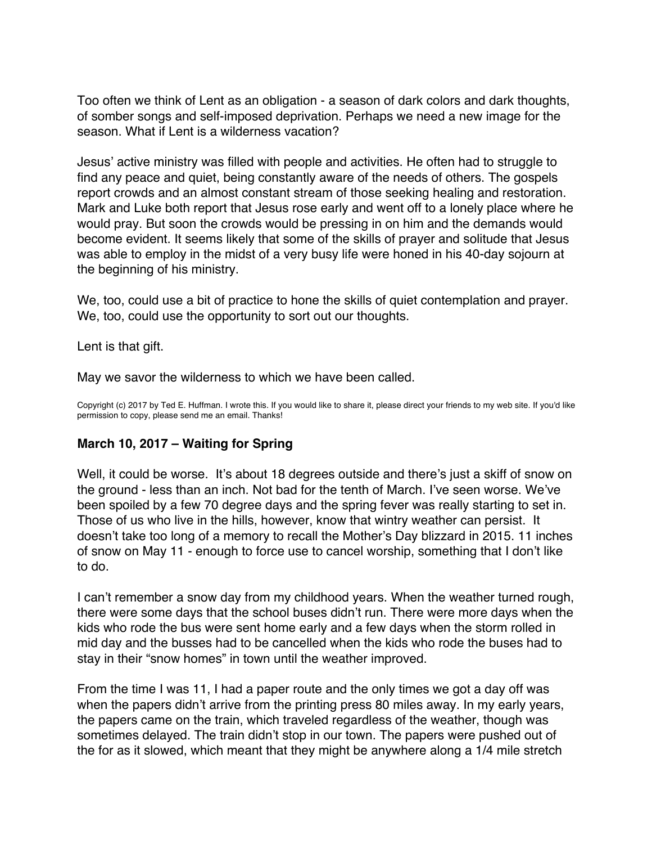<span id="page-19-0"></span>Too often we think of Lent as an obligation - a season of dark colors and dark thoughts, of somber songs and self-imposed deprivation. Perhaps we need a new image for the season. What if Lent is a wilderness vacation?

Jesus' active ministry was filled with people and activities. He often had to struggle to find any peace and quiet, being constantly aware of the needs of others. The gospels report crowds and an almost constant stream of those seeking healing and restoration. Mark and Luke both report that Jesus rose early and went off to a lonely place where he would pray. But soon the crowds would be pressing in on him and the demands would become evident. It seems likely that some of the skills of prayer and solitude that Jesus was able to employ in the midst of a very busy life were honed in his 40-day sojourn at the beginning of his ministry.

We, too, could use a bit of practice to hone the skills of quiet contemplation and prayer. We, too, could use the opportunity to sort out our thoughts.

Lent is that gift.

May we savor the wilderness to which we have been called.

Copyright (c) 2017 by Ted E. Huffman. I wrote this. If you would like to share it, please direct your friends to my web site. If you'd like permission to copy, please send me an email. Thanks!

# **March 10, 2017 – Waiting for Spring**

Well, it could be worse. It's about 18 degrees outside and there's just a skiff of snow on the ground - less than an inch. Not bad for the tenth of March. I've seen worse. We've been spoiled by a few 70 degree days and the spring fever was really starting to set in. Those of us who live in the hills, however, know that wintry weather can persist. It doesn't take too long of a memory to recall the Mother's Day blizzard in 2015. 11 inches of snow on May 11 - enough to force use to cancel worship, something that I don't like to do.

I can't remember a snow day from my childhood years. When the weather turned rough, there were some days that the school buses didn't run. There were more days when the kids who rode the bus were sent home early and a few days when the storm rolled in mid day and the busses had to be cancelled when the kids who rode the buses had to stay in their "snow homes" in town until the weather improved.

From the time I was 11, I had a paper route and the only times we got a day off was when the papers didn't arrive from the printing press 80 miles away. In my early years, the papers came on the train, which traveled regardless of the weather, though was sometimes delayed. The train didn't stop in our town. The papers were pushed out of the for as it slowed, which meant that they might be anywhere along a 1/4 mile stretch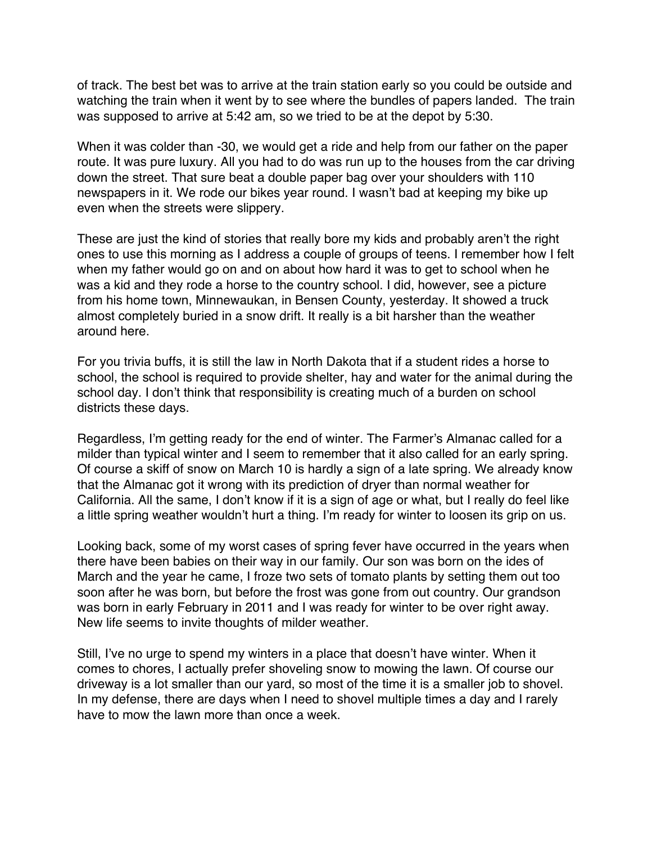of track. The best bet was to arrive at the train station early so you could be outside and watching the train when it went by to see where the bundles of papers landed. The train was supposed to arrive at 5:42 am, so we tried to be at the depot by 5:30.

When it was colder than -30, we would get a ride and help from our father on the paper route. It was pure luxury. All you had to do was run up to the houses from the car driving down the street. That sure beat a double paper bag over your shoulders with 110 newspapers in it. We rode our bikes year round. I wasn't bad at keeping my bike up even when the streets were slippery.

These are just the kind of stories that really bore my kids and probably aren't the right ones to use this morning as I address a couple of groups of teens. I remember how I felt when my father would go on and on about how hard it was to get to school when he was a kid and they rode a horse to the country school. I did, however, see a picture from his home town, Minnewaukan, in Bensen County, yesterday. It showed a truck almost completely buried in a snow drift. It really is a bit harsher than the weather around here.

For you trivia buffs, it is still the law in North Dakota that if a student rides a horse to school, the school is required to provide shelter, hay and water for the animal during the school day. I don't think that responsibility is creating much of a burden on school districts these days.

Regardless, I'm getting ready for the end of winter. The Farmer's Almanac called for a milder than typical winter and I seem to remember that it also called for an early spring. Of course a skiff of snow on March 10 is hardly a sign of a late spring. We already know that the Almanac got it wrong with its prediction of dryer than normal weather for California. All the same, I don't know if it is a sign of age or what, but I really do feel like a little spring weather wouldn't hurt a thing. I'm ready for winter to loosen its grip on us.

Looking back, some of my worst cases of spring fever have occurred in the years when there have been babies on their way in our family. Our son was born on the ides of March and the year he came, I froze two sets of tomato plants by setting them out too soon after he was born, but before the frost was gone from out country. Our grandson was born in early February in 2011 and I was ready for winter to be over right away. New life seems to invite thoughts of milder weather.

Still, I've no urge to spend my winters in a place that doesn't have winter. When it comes to chores, I actually prefer shoveling snow to mowing the lawn. Of course our driveway is a lot smaller than our yard, so most of the time it is a smaller job to shovel. In my defense, there are days when I need to shovel multiple times a day and I rarely have to mow the lawn more than once a week.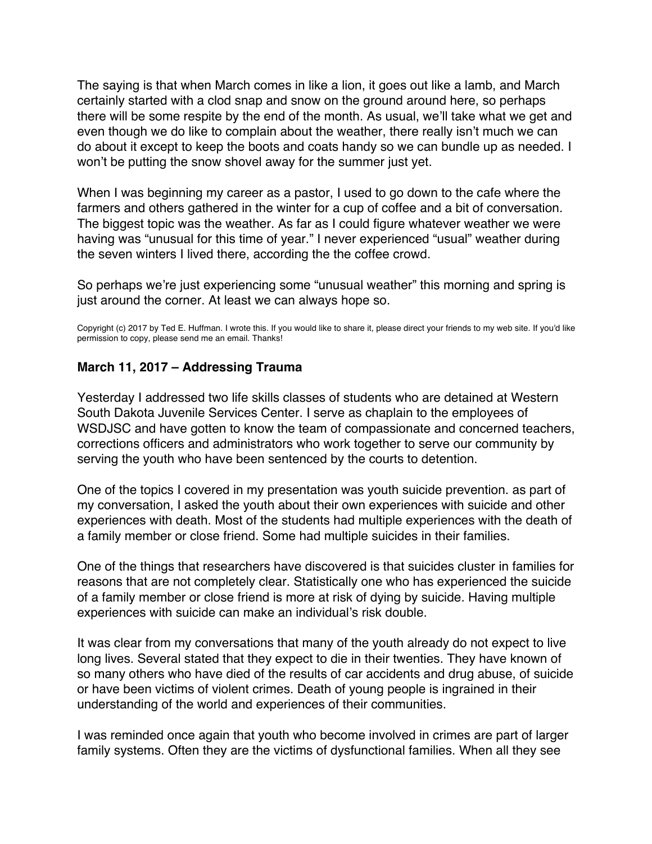<span id="page-21-0"></span>The saying is that when March comes in like a lion, it goes out like a lamb, and March certainly started with a clod snap and snow on the ground around here, so perhaps there will be some respite by the end of the month. As usual, we'll take what we get and even though we do like to complain about the weather, there really isn't much we can do about it except to keep the boots and coats handy so we can bundle up as needed. I won't be putting the snow shovel away for the summer just yet.

When I was beginning my career as a pastor, I used to go down to the cafe where the farmers and others gathered in the winter for a cup of coffee and a bit of conversation. The biggest topic was the weather. As far as I could figure whatever weather we were having was "unusual for this time of year." I never experienced "usual" weather during the seven winters I lived there, according the the coffee crowd.

So perhaps we're just experiencing some "unusual weather" this morning and spring is just around the corner. At least we can always hope so.

Copyright (c) 2017 by Ted E. Huffman. I wrote this. If you would like to share it, please direct your friends to my web site. If you'd like permission to copy, please send me an email. Thanks!

### **March 11, 2017 – Addressing Trauma**

Yesterday I addressed two life skills classes of students who are detained at Western South Dakota Juvenile Services Center. I serve as chaplain to the employees of WSDJSC and have gotten to know the team of compassionate and concerned teachers, corrections officers and administrators who work together to serve our community by serving the youth who have been sentenced by the courts to detention.

One of the topics I covered in my presentation was youth suicide prevention. as part of my conversation, I asked the youth about their own experiences with suicide and other experiences with death. Most of the students had multiple experiences with the death of a family member or close friend. Some had multiple suicides in their families.

One of the things that researchers have discovered is that suicides cluster in families for reasons that are not completely clear. Statistically one who has experienced the suicide of a family member or close friend is more at risk of dying by suicide. Having multiple experiences with suicide can make an individual's risk double.

It was clear from my conversations that many of the youth already do not expect to live long lives. Several stated that they expect to die in their twenties. They have known of so many others who have died of the results of car accidents and drug abuse, of suicide or have been victims of violent crimes. Death of young people is ingrained in their understanding of the world and experiences of their communities.

I was reminded once again that youth who become involved in crimes are part of larger family systems. Often they are the victims of dysfunctional families. When all they see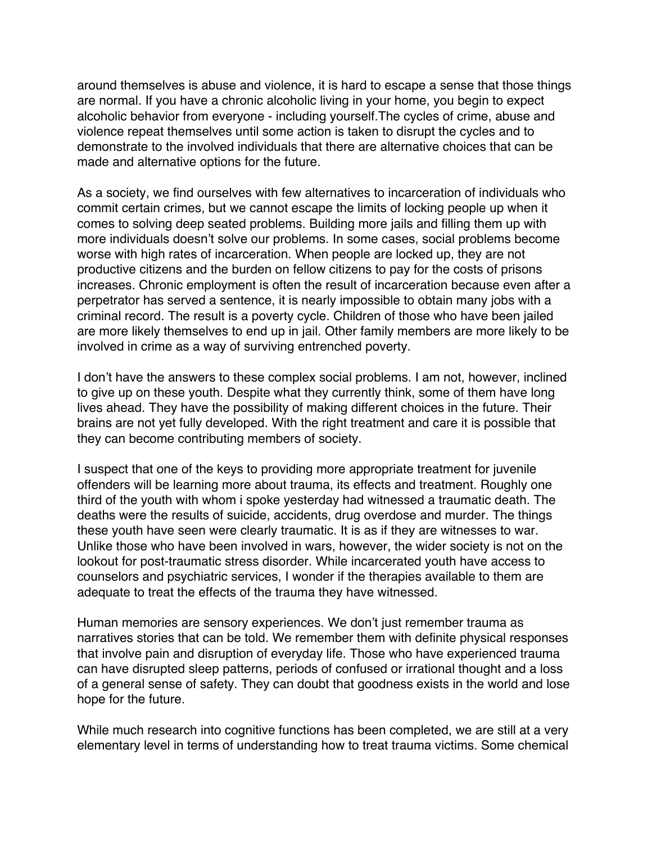around themselves is abuse and violence, it is hard to escape a sense that those things are normal. If you have a chronic alcoholic living in your home, you begin to expect alcoholic behavior from everyone - including yourself.The cycles of crime, abuse and violence repeat themselves until some action is taken to disrupt the cycles and to demonstrate to the involved individuals that there are alternative choices that can be made and alternative options for the future.

As a society, we find ourselves with few alternatives to incarceration of individuals who commit certain crimes, but we cannot escape the limits of locking people up when it comes to solving deep seated problems. Building more jails and filling them up with more individuals doesn't solve our problems. In some cases, social problems become worse with high rates of incarceration. When people are locked up, they are not productive citizens and the burden on fellow citizens to pay for the costs of prisons increases. Chronic employment is often the result of incarceration because even after a perpetrator has served a sentence, it is nearly impossible to obtain many jobs with a criminal record. The result is a poverty cycle. Children of those who have been jailed are more likely themselves to end up in jail. Other family members are more likely to be involved in crime as a way of surviving entrenched poverty.

I don't have the answers to these complex social problems. I am not, however, inclined to give up on these youth. Despite what they currently think, some of them have long lives ahead. They have the possibility of making different choices in the future. Their brains are not yet fully developed. With the right treatment and care it is possible that they can become contributing members of society.

I suspect that one of the keys to providing more appropriate treatment for juvenile offenders will be learning more about trauma, its effects and treatment. Roughly one third of the youth with whom i spoke yesterday had witnessed a traumatic death. The deaths were the results of suicide, accidents, drug overdose and murder. The things these youth have seen were clearly traumatic. It is as if they are witnesses to war. Unlike those who have been involved in wars, however, the wider society is not on the lookout for post-traumatic stress disorder. While incarcerated youth have access to counselors and psychiatric services, I wonder if the therapies available to them are adequate to treat the effects of the trauma they have witnessed.

Human memories are sensory experiences. We don't just remember trauma as narratives stories that can be told. We remember them with definite physical responses that involve pain and disruption of everyday life. Those who have experienced trauma can have disrupted sleep patterns, periods of confused or irrational thought and a loss of a general sense of safety. They can doubt that goodness exists in the world and lose hope for the future.

While much research into cognitive functions has been completed, we are still at a very elementary level in terms of understanding how to treat trauma victims. Some chemical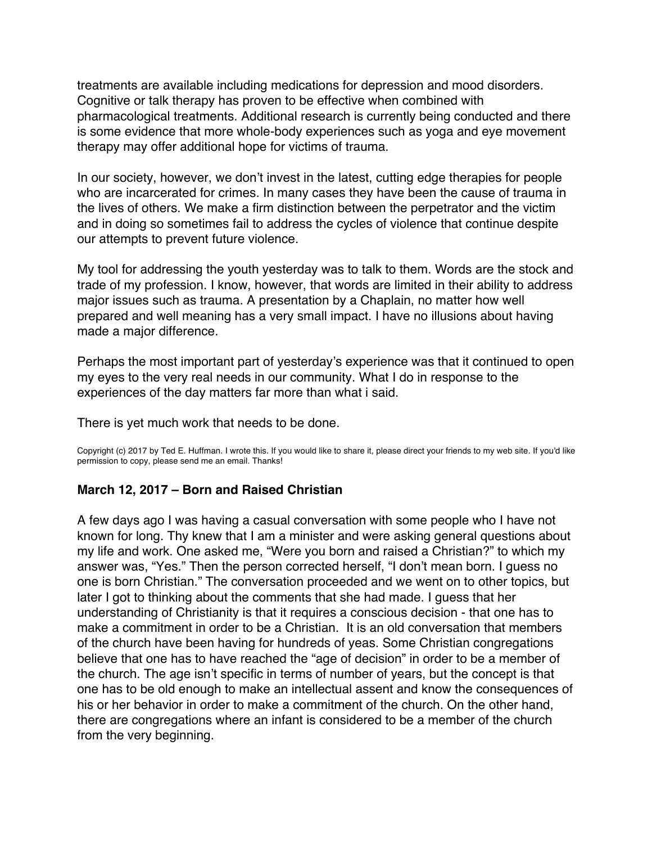<span id="page-23-0"></span>treatments are available including medications for depression and mood disorders. Cognitive or talk therapy has proven to be effective when combined with pharmacological treatments. Additional research is currently being conducted and there is some evidence that more whole-body experiences such as yoga and eye movement therapy may offer additional hope for victims of trauma.

In our society, however, we don't invest in the latest, cutting edge therapies for people who are incarcerated for crimes. In many cases they have been the cause of trauma in the lives of others. We make a firm distinction between the perpetrator and the victim and in doing so sometimes fail to address the cycles of violence that continue despite our attempts to prevent future violence.

My tool for addressing the youth yesterday was to talk to them. Words are the stock and trade of my profession. I know, however, that words are limited in their ability to address major issues such as trauma. A presentation by a Chaplain, no matter how well prepared and well meaning has a very small impact. I have no illusions about having made a major difference.

Perhaps the most important part of yesterday's experience was that it continued to open my eyes to the very real needs in our community. What I do in response to the experiences of the day matters far more than what i said.

There is yet much work that needs to be done.

Copyright (c) 2017 by Ted E. Huffman. I wrote this. If you would like to share it, please direct your friends to my web site. If you'd like permission to copy, please send me an email. Thanks!

### **March 12, 2017 – Born and Raised Christian**

A few days ago I was having a casual conversation with some people who I have not known for long. Thy knew that I am a minister and were asking general questions about my life and work. One asked me, "Were you born and raised a Christian?" to which my answer was, "Yes." Then the person corrected herself, "I don't mean born. I guess no one is born Christian." The conversation proceeded and we went on to other topics, but later I got to thinking about the comments that she had made. I guess that her understanding of Christianity is that it requires a conscious decision - that one has to make a commitment in order to be a Christian. It is an old conversation that members of the church have been having for hundreds of yeas. Some Christian congregations believe that one has to have reached the "age of decision" in order to be a member of the church. The age isn't specific in terms of number of years, but the concept is that one has to be old enough to make an intellectual assent and know the consequences of his or her behavior in order to make a commitment of the church. On the other hand, there are congregations where an infant is considered to be a member of the church from the very beginning.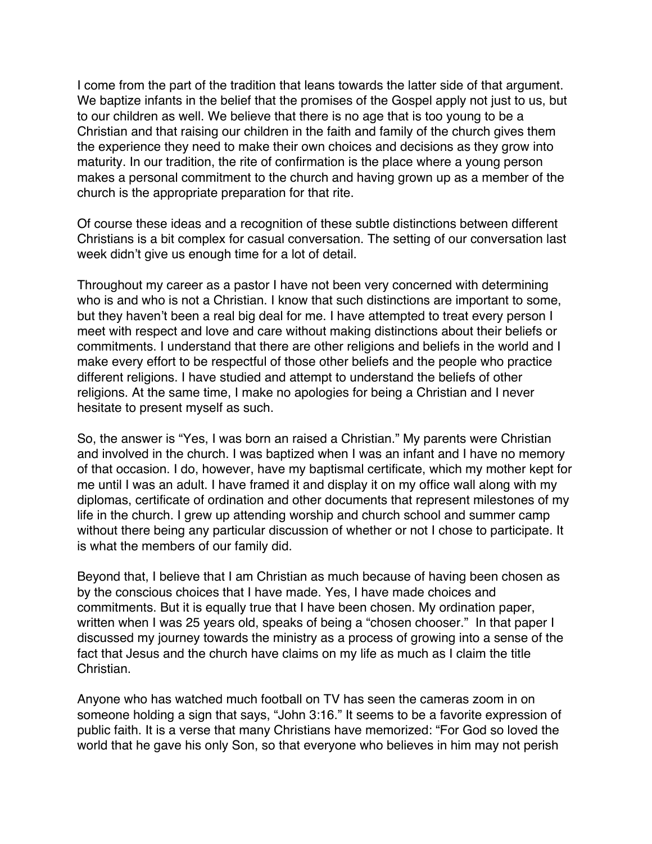I come from the part of the tradition that leans towards the latter side of that argument. We baptize infants in the belief that the promises of the Gospel apply not just to us, but to our children as well. We believe that there is no age that is too young to be a Christian and that raising our children in the faith and family of the church gives them the experience they need to make their own choices and decisions as they grow into maturity. In our tradition, the rite of confirmation is the place where a young person makes a personal commitment to the church and having grown up as a member of the church is the appropriate preparation for that rite.

Of course these ideas and a recognition of these subtle distinctions between different Christians is a bit complex for casual conversation. The setting of our conversation last week didn't give us enough time for a lot of detail.

Throughout my career as a pastor I have not been very concerned with determining who is and who is not a Christian. I know that such distinctions are important to some, but they haven't been a real big deal for me. I have attempted to treat every person I meet with respect and love and care without making distinctions about their beliefs or commitments. I understand that there are other religions and beliefs in the world and I make every effort to be respectful of those other beliefs and the people who practice different religions. I have studied and attempt to understand the beliefs of other religions. At the same time, I make no apologies for being a Christian and I never hesitate to present myself as such.

So, the answer is "Yes, I was born an raised a Christian." My parents were Christian and involved in the church. I was baptized when I was an infant and I have no memory of that occasion. I do, however, have my baptismal certificate, which my mother kept for me until I was an adult. I have framed it and display it on my office wall along with my diplomas, certificate of ordination and other documents that represent milestones of my life in the church. I grew up attending worship and church school and summer camp without there being any particular discussion of whether or not I chose to participate. It is what the members of our family did.

Beyond that, I believe that I am Christian as much because of having been chosen as by the conscious choices that I have made. Yes, I have made choices and commitments. But it is equally true that I have been chosen. My ordination paper, written when I was 25 years old, speaks of being a "chosen chooser." In that paper I discussed my journey towards the ministry as a process of growing into a sense of the fact that Jesus and the church have claims on my life as much as I claim the title Christian.

Anyone who has watched much football on TV has seen the cameras zoom in on someone holding a sign that says, "John 3:16." It seems to be a favorite expression of public faith. It is a verse that many Christians have memorized: "For God so loved the world that he gave his only Son, so that everyone who believes in him may not perish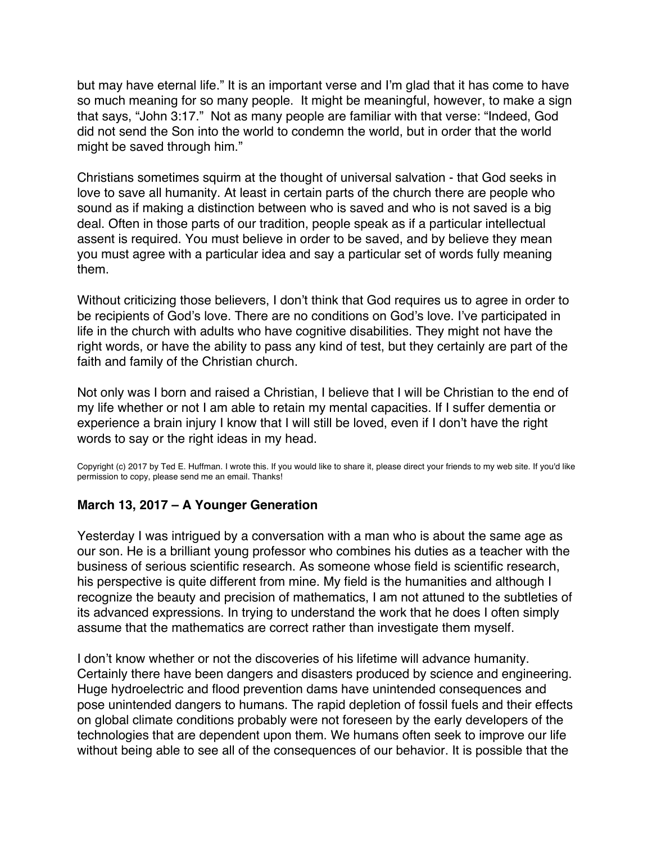<span id="page-25-0"></span>but may have eternal life." It is an important verse and I'm glad that it has come to have so much meaning for so many people. It might be meaningful, however, to make a sign that says, "John 3:17." Not as many people are familiar with that verse: "Indeed, God did not send the Son into the world to condemn the world, but in order that the world might be saved through him."

Christians sometimes squirm at the thought of universal salvation - that God seeks in love to save all humanity. At least in certain parts of the church there are people who sound as if making a distinction between who is saved and who is not saved is a big deal. Often in those parts of our tradition, people speak as if a particular intellectual assent is required. You must believe in order to be saved, and by believe they mean you must agree with a particular idea and say a particular set of words fully meaning them.

Without criticizing those believers, I don't think that God requires us to agree in order to be recipients of God's love. There are no conditions on God's love. I've participated in life in the church with adults who have cognitive disabilities. They might not have the right words, or have the ability to pass any kind of test, but they certainly are part of the faith and family of the Christian church.

Not only was I born and raised a Christian, I believe that I will be Christian to the end of my life whether or not I am able to retain my mental capacities. If I suffer dementia or experience a brain injury I know that I will still be loved, even if I don't have the right words to say or the right ideas in my head.

Copyright (c) 2017 by Ted E. Huffman. I wrote this. If you would like to share it, please direct your friends to my web site. If you'd like permission to copy, please send me an email. Thanks!

### **March 13, 2017 – A Younger Generation**

Yesterday I was intrigued by a conversation with a man who is about the same age as our son. He is a brilliant young professor who combines his duties as a teacher with the business of serious scientific research. As someone whose field is scientific research, his perspective is quite different from mine. My field is the humanities and although I recognize the beauty and precision of mathematics, I am not attuned to the subtleties of its advanced expressions. In trying to understand the work that he does I often simply assume that the mathematics are correct rather than investigate them myself.

I don't know whether or not the discoveries of his lifetime will advance humanity. Certainly there have been dangers and disasters produced by science and engineering. Huge hydroelectric and flood prevention dams have unintended consequences and pose unintended dangers to humans. The rapid depletion of fossil fuels and their effects on global climate conditions probably were not foreseen by the early developers of the technologies that are dependent upon them. We humans often seek to improve our life without being able to see all of the consequences of our behavior. It is possible that the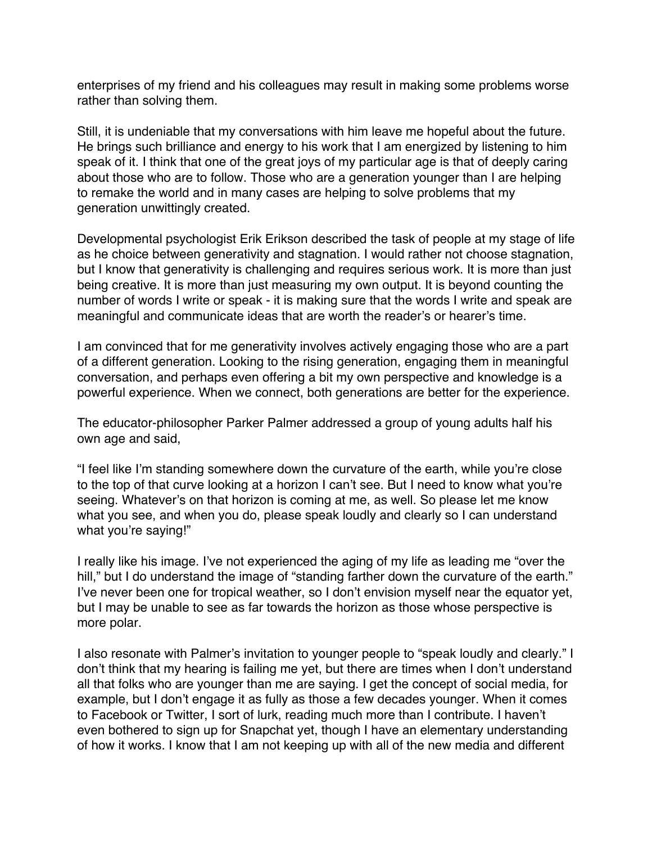enterprises of my friend and his colleagues may result in making some problems worse rather than solving them.

Still, it is undeniable that my conversations with him leave me hopeful about the future. He brings such brilliance and energy to his work that I am energized by listening to him speak of it. I think that one of the great joys of my particular age is that of deeply caring about those who are to follow. Those who are a generation younger than I are helping to remake the world and in many cases are helping to solve problems that my generation unwittingly created.

Developmental psychologist Erik Erikson described the task of people at my stage of life as he choice between generativity and stagnation. I would rather not choose stagnation, but I know that generativity is challenging and requires serious work. It is more than just being creative. It is more than just measuring my own output. It is beyond counting the number of words I write or speak - it is making sure that the words I write and speak are meaningful and communicate ideas that are worth the reader's or hearer's time.

I am convinced that for me generativity involves actively engaging those who are a part of a different generation. Looking to the rising generation, engaging them in meaningful conversation, and perhaps even offering a bit my own perspective and knowledge is a powerful experience. When we connect, both generations are better for the experience.

The educator-philosopher Parker Palmer addressed a group of young adults half his own age and said,

"I feel like I'm standing somewhere down the curvature of the earth, while you're close to the top of that curve looking at a horizon I can't see. But I need to know what you're seeing. Whatever's on that horizon is coming at me, as well. So please let me know what you see, and when you do, please speak loudly and clearly so I can understand what you're saying!"

I really like his image. I've not experienced the aging of my life as leading me "over the hill," but I do understand the image of "standing farther down the curvature of the earth." I've never been one for tropical weather, so I don't envision myself near the equator yet, but I may be unable to see as far towards the horizon as those whose perspective is more polar.

I also resonate with Palmer's invitation to younger people to "speak loudly and clearly." I don't think that my hearing is failing me yet, but there are times when I don't understand all that folks who are younger than me are saying. I get the concept of social media, for example, but I don't engage it as fully as those a few decades younger. When it comes to Facebook or Twitter, I sort of lurk, reading much more than I contribute. I haven't even bothered to sign up for Snapchat yet, though I have an elementary understanding of how it works. I know that I am not keeping up with all of the new media and different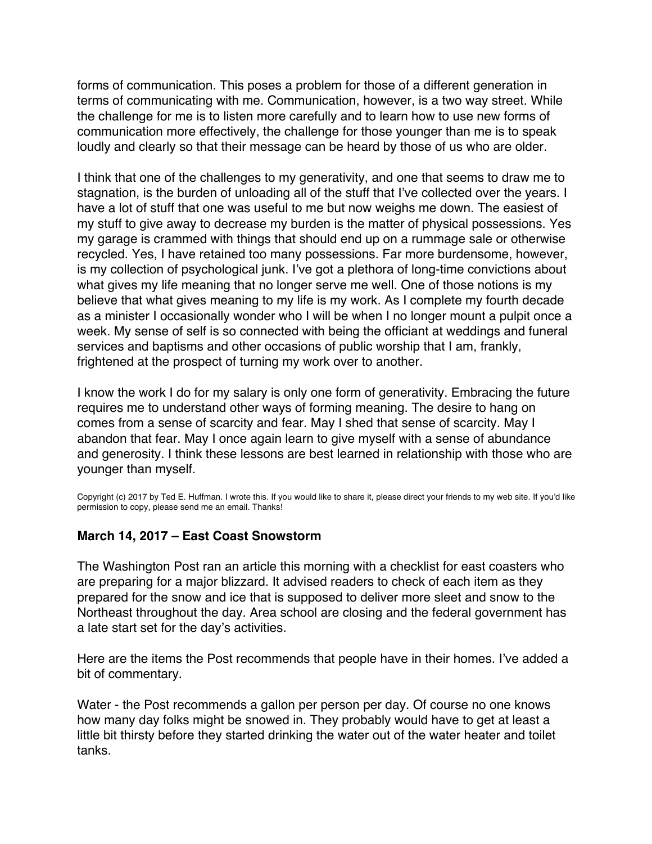<span id="page-27-0"></span>forms of communication. This poses a problem for those of a different generation in terms of communicating with me. Communication, however, is a two way street. While the challenge for me is to listen more carefully and to learn how to use new forms of communication more effectively, the challenge for those younger than me is to speak loudly and clearly so that their message can be heard by those of us who are older.

I think that one of the challenges to my generativity, and one that seems to draw me to stagnation, is the burden of unloading all of the stuff that I've collected over the years. I have a lot of stuff that one was useful to me but now weighs me down. The easiest of my stuff to give away to decrease my burden is the matter of physical possessions. Yes my garage is crammed with things that should end up on a rummage sale or otherwise recycled. Yes, I have retained too many possessions. Far more burdensome, however, is my collection of psychological junk. I've got a plethora of long-time convictions about what gives my life meaning that no longer serve me well. One of those notions is my believe that what gives meaning to my life is my work. As I complete my fourth decade as a minister I occasionally wonder who I will be when I no longer mount a pulpit once a week. My sense of self is so connected with being the officiant at weddings and funeral services and baptisms and other occasions of public worship that I am, frankly, frightened at the prospect of turning my work over to another.

I know the work I do for my salary is only one form of generativity. Embracing the future requires me to understand other ways of forming meaning. The desire to hang on comes from a sense of scarcity and fear. May I shed that sense of scarcity. May I abandon that fear. May I once again learn to give myself with a sense of abundance and generosity. I think these lessons are best learned in relationship with those who are younger than myself.

Copyright (c) 2017 by Ted E. Huffman. I wrote this. If you would like to share it, please direct your friends to my web site. If you'd like permission to copy, please send me an email. Thanks!

### **March 14, 2017 – East Coast Snowstorm**

The Washington Post ran an article this morning with a checklist for east coasters who are preparing for a major blizzard. It advised readers to check of each item as they prepared for the snow and ice that is supposed to deliver more sleet and snow to the Northeast throughout the day. Area school are closing and the federal government has a late start set for the day's activities.

Here are the items the Post recommends that people have in their homes. I've added a bit of commentary.

Water - the Post recommends a gallon per person per day. Of course no one knows how many day folks might be snowed in. They probably would have to get at least a little bit thirsty before they started drinking the water out of the water heater and toilet tanks.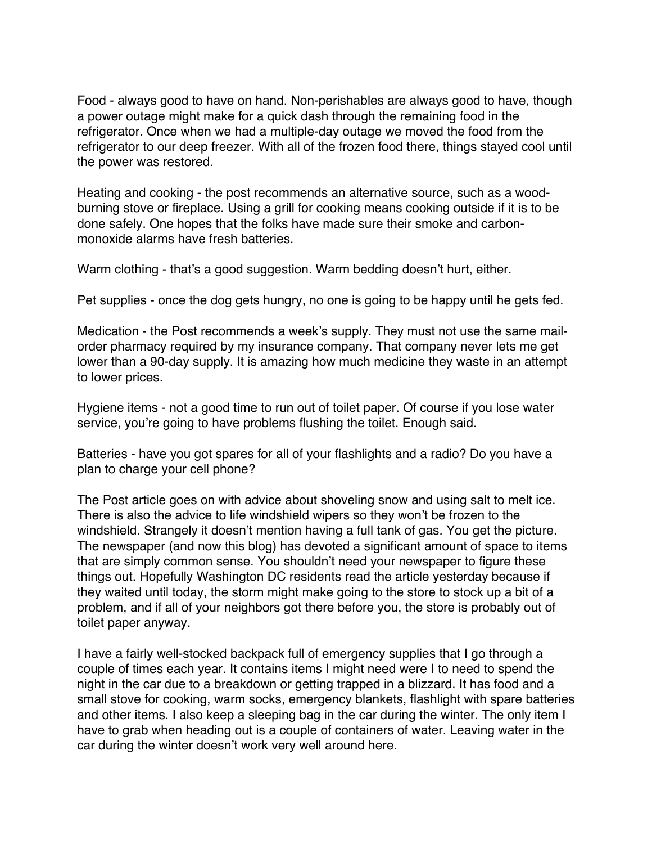Food - always good to have on hand. Non-perishables are always good to have, though a power outage might make for a quick dash through the remaining food in the refrigerator. Once when we had a multiple-day outage we moved the food from the refrigerator to our deep freezer. With all of the frozen food there, things stayed cool until the power was restored.

Heating and cooking - the post recommends an alternative source, such as a woodburning stove or fireplace. Using a grill for cooking means cooking outside if it is to be done safely. One hopes that the folks have made sure their smoke and carbonmonoxide alarms have fresh batteries.

Warm clothing - that's a good suggestion. Warm bedding doesn't hurt, either.

Pet supplies - once the dog gets hungry, no one is going to be happy until he gets fed.

Medication - the Post recommends a week's supply. They must not use the same mailorder pharmacy required by my insurance company. That company never lets me get lower than a 90-day supply. It is amazing how much medicine they waste in an attempt to lower prices.

Hygiene items - not a good time to run out of toilet paper. Of course if you lose water service, you're going to have problems flushing the toilet. Enough said.

Batteries - have you got spares for all of your flashlights and a radio? Do you have a plan to charge your cell phone?

The Post article goes on with advice about shoveling snow and using salt to melt ice. There is also the advice to life windshield wipers so they won't be frozen to the windshield. Strangely it doesn't mention having a full tank of gas. You get the picture. The newspaper (and now this blog) has devoted a significant amount of space to items that are simply common sense. You shouldn't need your newspaper to figure these things out. Hopefully Washington DC residents read the article yesterday because if they waited until today, the storm might make going to the store to stock up a bit of a problem, and if all of your neighbors got there before you, the store is probably out of toilet paper anyway.

I have a fairly well-stocked backpack full of emergency supplies that I go through a couple of times each year. It contains items I might need were I to need to spend the night in the car due to a breakdown or getting trapped in a blizzard. It has food and a small stove for cooking, warm socks, emergency blankets, flashlight with spare batteries and other items. I also keep a sleeping bag in the car during the winter. The only item I have to grab when heading out is a couple of containers of water. Leaving water in the car during the winter doesn't work very well around here.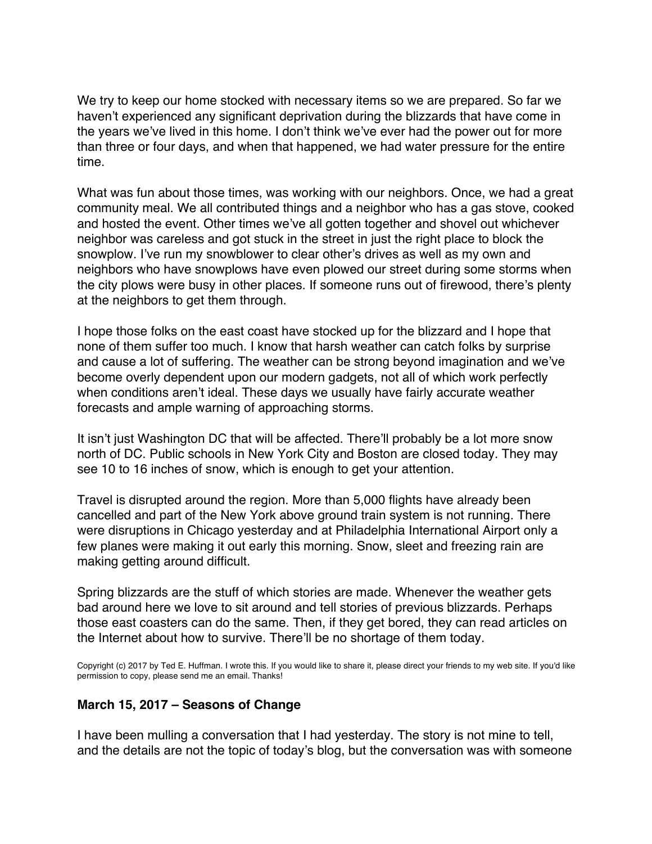We try to keep our home stocked with necessary items so we are prepared. So far we haven't experienced any significant deprivation during the blizzards that have come in the years we've lived in this home. I don't think we've ever had the power out for more than three or four days, and when that happened, we had water pressure for the entire time.

What was fun about those times, was working with our neighbors. Once, we had a great community meal. We all contributed things and a neighbor who has a gas stove, cooked and hosted the event. Other times we've all gotten together and shovel out whichever neighbor was careless and got stuck in the street in just the right place to block the snowplow. I've run my snowblower to clear other's drives as well as my own and neighbors who have snowplows have even plowed our street during some storms when the city plows were busy in other places. If someone runs out of firewood, there's plenty at the neighbors to get them through.

I hope those folks on the east coast have stocked up for the blizzard and I hope that none of them suffer too much. I know that harsh weather can catch folks by surprise and cause a lot of suffering. The weather can be strong beyond imagination and we've become overly dependent upon our modern gadgets, not all of which work perfectly when conditions aren't ideal. These days we usually have fairly accurate weather forecasts and ample warning of approaching storms.

It isn't just Washington DC that will be affected. There'll probably be a lot more snow north of DC. Public schools in New York City and Boston are closed today. They may see 10 to 16 inches of snow, which is enough to get your attention.

Travel is disrupted around the region. More than 5,000 flights have already been cancelled and part of the New York above ground train system is not running. There were disruptions in Chicago yesterday and at Philadelphia International Airport only a few planes were making it out early this morning. Snow, sleet and freezing rain are making getting around difficult.

Spring blizzards are the stuff of which stories are made. Whenever the weather gets bad around here we love to sit around and tell stories of previous blizzards. Perhaps those east coasters can do the same. Then, if they get bored, they can read articles on the Internet about how to survive. There'll be no shortage of them today.

Copyright (c) 2017 by Ted E. Huffman. I wrote this. If you would like to share it, please direct your friends to my web site. If you'd like permission to copy, please send me an email. Thanks!

### **March 15, 2017 – Seasons of Change**

I have been mulling a conversation that I had yesterday. The story is not mine to tell, and the details are not the topic of today's blog, but the conversation was with someone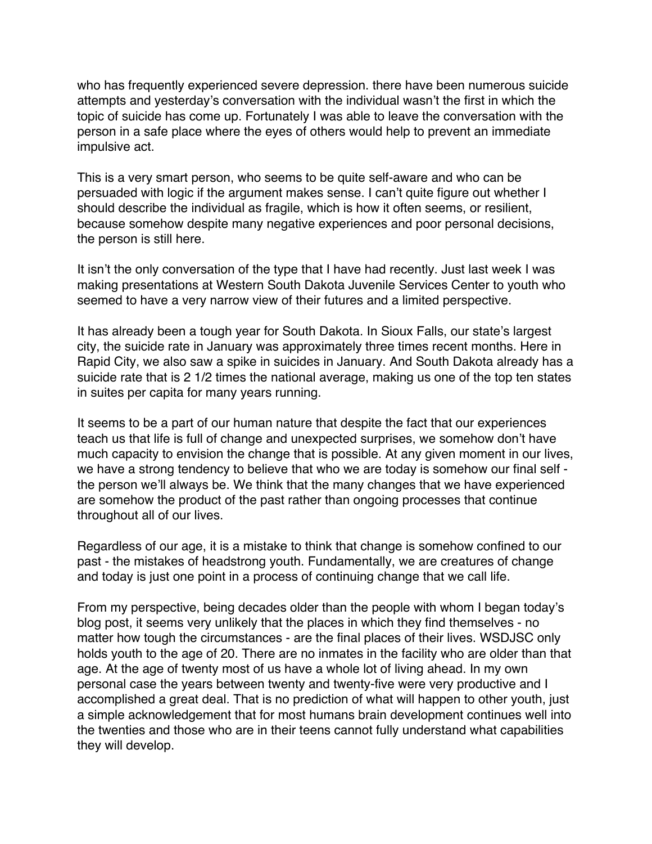<span id="page-30-0"></span>who has frequently experienced severe depression. there have been numerous suicide attempts and yesterday's conversation with the individual wasn't the first in which the topic of suicide has come up. Fortunately I was able to leave the conversation with the person in a safe place where the eyes of others would help to prevent an immediate impulsive act.

This is a very smart person, who seems to be quite self-aware and who can be persuaded with logic if the argument makes sense. I can't quite figure out whether I should describe the individual as fragile, which is how it often seems, or resilient, because somehow despite many negative experiences and poor personal decisions, the person is still here.

It isn't the only conversation of the type that I have had recently. Just last week I was making presentations at Western South Dakota Juvenile Services Center to youth who seemed to have a very narrow view of their futures and a limited perspective.

It has already been a tough year for South Dakota. In Sioux Falls, our state's largest city, the suicide rate in January was approximately three times recent months. Here in Rapid City, we also saw a spike in suicides in January. And South Dakota already has a suicide rate that is 2 1/2 times the national average, making us one of the top ten states in suites per capita for many years running.

It seems to be a part of our human nature that despite the fact that our experiences teach us that life is full of change and unexpected surprises, we somehow don't have much capacity to envision the change that is possible. At any given moment in our lives, we have a strong tendency to believe that who we are today is somehow our final self the person we'll always be. We think that the many changes that we have experienced are somehow the product of the past rather than ongoing processes that continue throughout all of our lives.

Regardless of our age, it is a mistake to think that change is somehow confined to our past - the mistakes of headstrong youth. Fundamentally, we are creatures of change and today is just one point in a process of continuing change that we call life.

From my perspective, being decades older than the people with whom I began today's blog post, it seems very unlikely that the places in which they find themselves - no matter how tough the circumstances - are the final places of their lives. WSDJSC only holds youth to the age of 20. There are no inmates in the facility who are older than that age. At the age of twenty most of us have a whole lot of living ahead. In my own personal case the years between twenty and twenty-five were very productive and I accomplished a great deal. That is no prediction of what will happen to other youth, just a simple acknowledgement that for most humans brain development continues well into the twenties and those who are in their teens cannot fully understand what capabilities they will develop.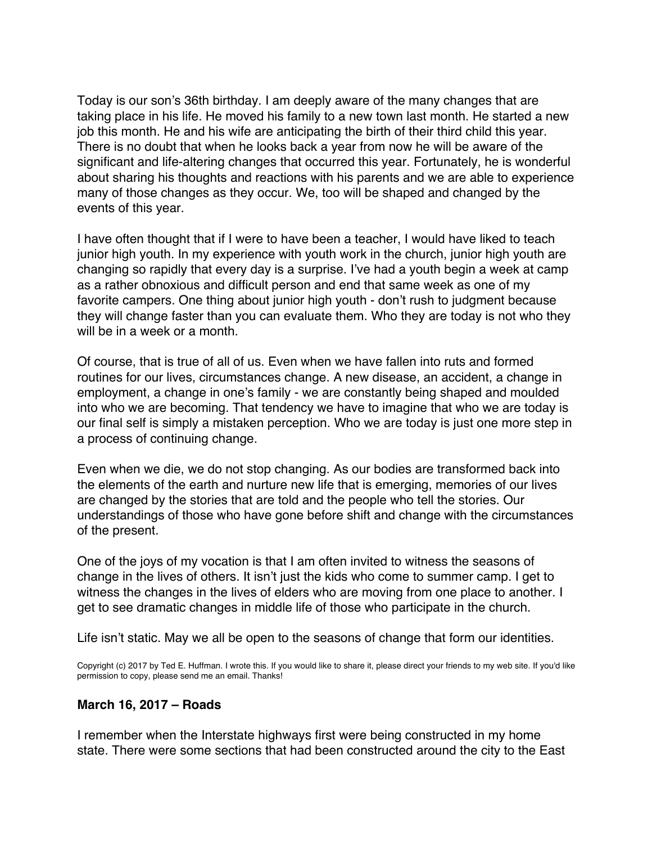Today is our son's 36th birthday. I am deeply aware of the many changes that are taking place in his life. He moved his family to a new town last month. He started a new job this month. He and his wife are anticipating the birth of their third child this year. There is no doubt that when he looks back a year from now he will be aware of the significant and life-altering changes that occurred this year. Fortunately, he is wonderful about sharing his thoughts and reactions with his parents and we are able to experience many of those changes as they occur. We, too will be shaped and changed by the events of this year.

I have often thought that if I were to have been a teacher, I would have liked to teach junior high youth. In my experience with youth work in the church, junior high youth are changing so rapidly that every day is a surprise. I've had a youth begin a week at camp as a rather obnoxious and difficult person and end that same week as one of my favorite campers. One thing about junior high youth - don't rush to judgment because they will change faster than you can evaluate them. Who they are today is not who they will be in a week or a month.

Of course, that is true of all of us. Even when we have fallen into ruts and formed routines for our lives, circumstances change. A new disease, an accident, a change in employment, a change in one's family - we are constantly being shaped and moulded into who we are becoming. That tendency we have to imagine that who we are today is our final self is simply a mistaken perception. Who we are today is just one more step in a process of continuing change.

Even when we die, we do not stop changing. As our bodies are transformed back into the elements of the earth and nurture new life that is emerging, memories of our lives are changed by the stories that are told and the people who tell the stories. Our understandings of those who have gone before shift and change with the circumstances of the present.

One of the joys of my vocation is that I am often invited to witness the seasons of change in the lives of others. It isn't just the kids who come to summer camp. I get to witness the changes in the lives of elders who are moving from one place to another. I get to see dramatic changes in middle life of those who participate in the church.

Life isn't static. May we all be open to the seasons of change that form our identities.

Copyright (c) 2017 by Ted E. Huffman. I wrote this. If you would like to share it, please direct your friends to my web site. If you'd like permission to copy, please send me an email. Thanks!

#### **March 16, 2017 – Roads**

I remember when the Interstate highways first were being constructed in my home state. There were some sections that had been constructed around the city to the East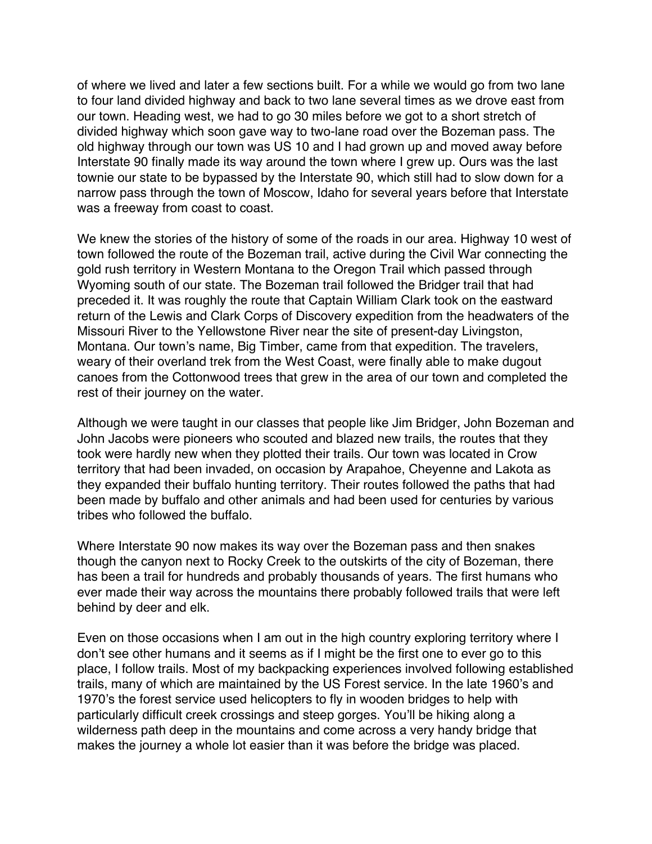<span id="page-32-0"></span>of where we lived and later a few sections built. For a while we would go from two lane to four land divided highway and back to two lane several times as we drove east from our town. Heading west, we had to go 30 miles before we got to a short stretch of divided highway which soon gave way to two-lane road over the Bozeman pass. The old highway through our town was US 10 and I had grown up and moved away before Interstate 90 finally made its way around the town where I grew up. Ours was the last townie our state to be bypassed by the Interstate 90, which still had to slow down for a narrow pass through the town of Moscow, Idaho for several years before that Interstate was a freeway from coast to coast.

We knew the stories of the history of some of the roads in our area. Highway 10 west of town followed the route of the Bozeman trail, active during the Civil War connecting the gold rush territory in Western Montana to the Oregon Trail which passed through Wyoming south of our state. The Bozeman trail followed the Bridger trail that had preceded it. It was roughly the route that Captain William Clark took on the eastward return of the Lewis and Clark Corps of Discovery expedition from the headwaters of the Missouri River to the Yellowstone River near the site of present-day Livingston, Montana. Our town's name, Big Timber, came from that expedition. The travelers, weary of their overland trek from the West Coast, were finally able to make dugout canoes from the Cottonwood trees that grew in the area of our town and completed the rest of their journey on the water.

Although we were taught in our classes that people like Jim Bridger, John Bozeman and John Jacobs were pioneers who scouted and blazed new trails, the routes that they took were hardly new when they plotted their trails. Our town was located in Crow territory that had been invaded, on occasion by Arapahoe, Cheyenne and Lakota as they expanded their buffalo hunting territory. Their routes followed the paths that had been made by buffalo and other animals and had been used for centuries by various tribes who followed the buffalo.

Where Interstate 90 now makes its way over the Bozeman pass and then snakes though the canyon next to Rocky Creek to the outskirts of the city of Bozeman, there has been a trail for hundreds and probably thousands of years. The first humans who ever made their way across the mountains there probably followed trails that were left behind by deer and elk.

Even on those occasions when I am out in the high country exploring territory where I don't see other humans and it seems as if I might be the first one to ever go to this place, I follow trails. Most of my backpacking experiences involved following established trails, many of which are maintained by the US Forest service. In the late 1960's and 1970's the forest service used helicopters to fly in wooden bridges to help with particularly difficult creek crossings and steep gorges. You'll be hiking along a wilderness path deep in the mountains and come across a very handy bridge that makes the journey a whole lot easier than it was before the bridge was placed.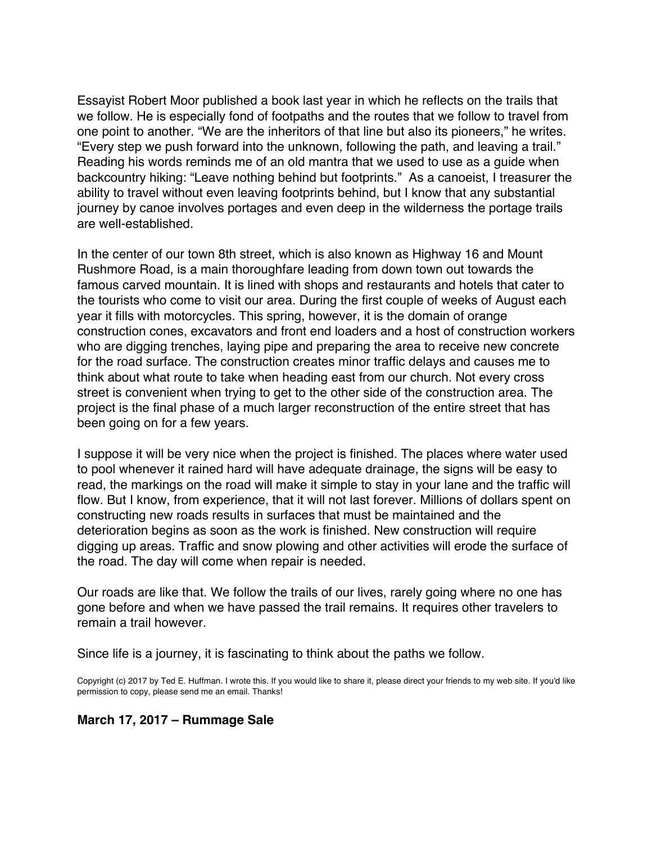Essayist Robert Moor published a book last year in which he reflects on the trails that we follow. He is especially fond of footpaths and the routes that we follow to travel from one point to another. "We are the inheritors of that line but also its pioneers," he writes. "Every step we push forward into the unknown, following the path, and leaving a trail." Reading his words reminds me of an old mantra that we used to use as a guide when backcountry hiking: "Leave nothing behind but footprints." As a canoeist, I treasurer the ability to travel without even leaving footprints behind, but I know that any substantial journey by canoe involves portages and even deep in the wilderness the portage trails are well-established.

In the center of our town 8th street, which is also known as Highway 16 and Mount Rushmore Road, is a main thoroughfare leading from down town out towards the famous carved mountain. It is lined with shops and restaurants and hotels that cater to the tourists who come to visit our area. During the first couple of weeks of August each year it fills with motorcycles. This spring, however, it is the domain of orange construction cones, excavators and front end loaders and a host of construction workers who are digging trenches, laying pipe and preparing the area to receive new concrete for the road surface. The construction creates minor traffic delays and causes me to think about what route to take when heading east from our church. Not every cross street is convenient when trying to get to the other side of the construction area. The project is the final phase of a much larger reconstruction of the entire street that has been going on for a few years.

I suppose it will be very nice when the project is finished. The places where water used to pool whenever it rained hard will have adequate drainage, the signs will be easy to read, the markings on the road will make it simple to stay in your lane and the traffic will flow. But I know, from experience, that it will not last forever. Millions of dollars spent on constructing new roads results in surfaces that must be maintained and the deterioration begins as soon as the work is finished. New construction will require digging up areas. Traffic and snow plowing and other activities will erode the surface of the road. The day will come when repair is needed.

Our roads are like that. We follow the trails of our lives, rarely going where no one has gone before and when we have passed the trail remains. It requires other travelers to remain a trail however.

Since life is a journey, it is fascinating to think about the paths we follow.

Copyright (c) 2017 by Ted E. Huffman. I wrote this. If you would like to share it, please direct your friends to my web site. If you'd like permission to copy, please send me an email. Thanks!

#### **March 17, 2017 – Rummage Sale**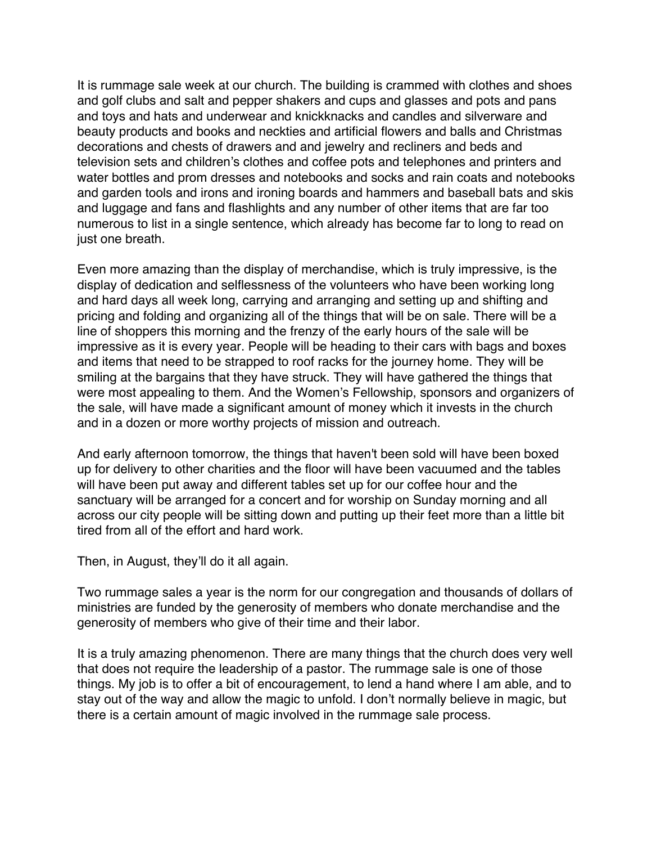<span id="page-34-0"></span>It is rummage sale week at our church. The building is crammed with clothes and shoes and golf clubs and salt and pepper shakers and cups and glasses and pots and pans and toys and hats and underwear and knickknacks and candles and silverware and beauty products and books and neckties and artificial flowers and balls and Christmas decorations and chests of drawers and and jewelry and recliners and beds and television sets and children's clothes and coffee pots and telephones and printers and water bottles and prom dresses and notebooks and socks and rain coats and notebooks and garden tools and irons and ironing boards and hammers and baseball bats and skis and luggage and fans and flashlights and any number of other items that are far too numerous to list in a single sentence, which already has become far to long to read on just one breath.

Even more amazing than the display of merchandise, which is truly impressive, is the display of dedication and selflessness of the volunteers who have been working long and hard days all week long, carrying and arranging and setting up and shifting and pricing and folding and organizing all of the things that will be on sale. There will be a line of shoppers this morning and the frenzy of the early hours of the sale will be impressive as it is every year. People will be heading to their cars with bags and boxes and items that need to be strapped to roof racks for the journey home. They will be smiling at the bargains that they have struck. They will have gathered the things that were most appealing to them. And the Women's Fellowship, sponsors and organizers of the sale, will have made a significant amount of money which it invests in the church and in a dozen or more worthy projects of mission and outreach.

And early afternoon tomorrow, the things that haven't been sold will have been boxed up for delivery to other charities and the floor will have been vacuumed and the tables will have been put away and different tables set up for our coffee hour and the sanctuary will be arranged for a concert and for worship on Sunday morning and all across our city people will be sitting down and putting up their feet more than a little bit tired from all of the effort and hard work.

Then, in August, they'll do it all again.

Two rummage sales a year is the norm for our congregation and thousands of dollars of ministries are funded by the generosity of members who donate merchandise and the generosity of members who give of their time and their labor.

It is a truly amazing phenomenon. There are many things that the church does very well that does not require the leadership of a pastor. The rummage sale is one of those things. My job is to offer a bit of encouragement, to lend a hand where I am able, and to stay out of the way and allow the magic to unfold. I don't normally believe in magic, but there is a certain amount of magic involved in the rummage sale process.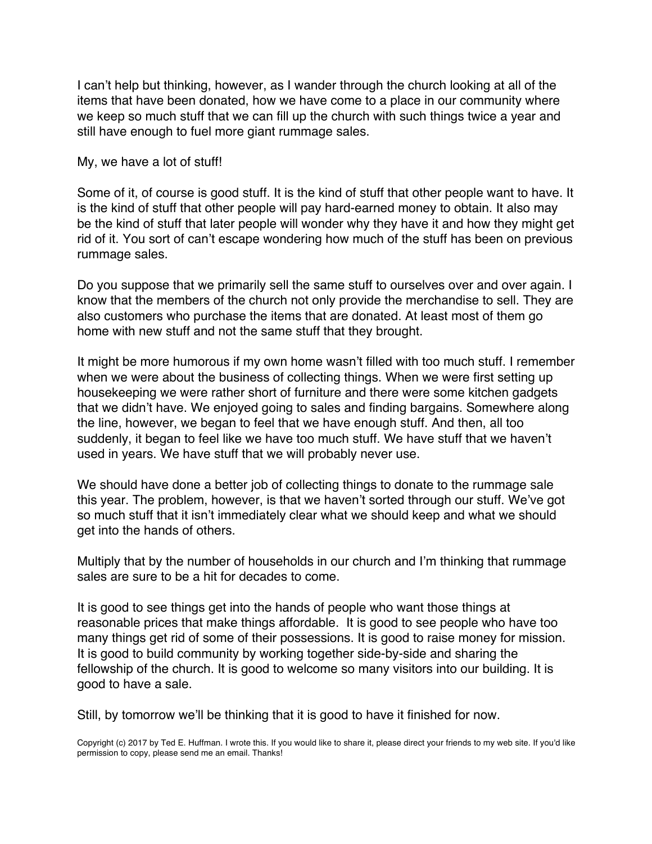I can't help but thinking, however, as I wander through the church looking at all of the items that have been donated, how we have come to a place in our community where we keep so much stuff that we can fill up the church with such things twice a year and still have enough to fuel more giant rummage sales.

My, we have a lot of stuff!

Some of it, of course is good stuff. It is the kind of stuff that other people want to have. It is the kind of stuff that other people will pay hard-earned money to obtain. It also may be the kind of stuff that later people will wonder why they have it and how they might get rid of it. You sort of can't escape wondering how much of the stuff has been on previous rummage sales.

Do you suppose that we primarily sell the same stuff to ourselves over and over again. I know that the members of the church not only provide the merchandise to sell. They are also customers who purchase the items that are donated. At least most of them go home with new stuff and not the same stuff that they brought.

It might be more humorous if my own home wasn't filled with too much stuff. I remember when we were about the business of collecting things. When we were first setting up housekeeping we were rather short of furniture and there were some kitchen gadgets that we didn't have. We enjoyed going to sales and finding bargains. Somewhere along the line, however, we began to feel that we have enough stuff. And then, all too suddenly, it began to feel like we have too much stuff. We have stuff that we haven't used in years. We have stuff that we will probably never use.

We should have done a better job of collecting things to donate to the rummage sale this year. The problem, however, is that we haven't sorted through our stuff. We've got so much stuff that it isn't immediately clear what we should keep and what we should get into the hands of others.

Multiply that by the number of households in our church and I'm thinking that rummage sales are sure to be a hit for decades to come.

It is good to see things get into the hands of people who want those things at reasonable prices that make things affordable. It is good to see people who have too many things get rid of some of their possessions. It is good to raise money for mission. It is good to build community by working together side-by-side and sharing the fellowship of the church. It is good to welcome so many visitors into our building. It is good to have a sale.

Still, by tomorrow we'll be thinking that it is good to have it finished for now.

Copyright (c) 2017 by Ted E. Huffman. I wrote this. If you would like to share it, please direct your friends to my web site. If you'd like permission to copy, please send me an email. Thanks!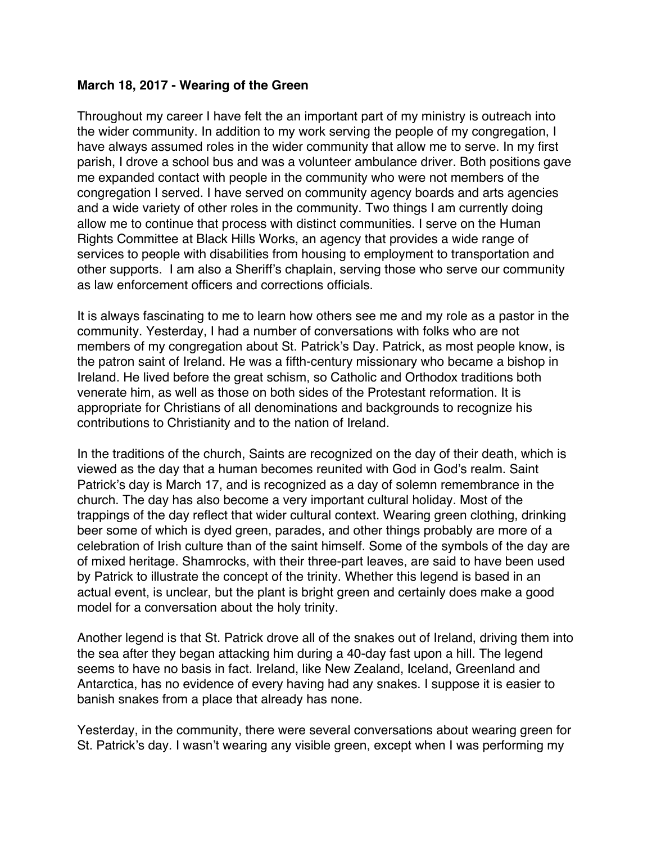### <span id="page-36-0"></span>**March 18, 2017 - Wearing of the Green**

Throughout my career I have felt the an important part of my ministry is outreach into the wider community. In addition to my work serving the people of my congregation, I have always assumed roles in the wider community that allow me to serve. In my first parish, I drove a school bus and was a volunteer ambulance driver. Both positions gave me expanded contact with people in the community who were not members of the congregation I served. I have served on community agency boards and arts agencies and a wide variety of other roles in the community. Two things I am currently doing allow me to continue that process with distinct communities. I serve on the Human Rights Committee at Black Hills Works, an agency that provides a wide range of services to people with disabilities from housing to employment to transportation and other supports. I am also a Sheriff's chaplain, serving those who serve our community as law enforcement officers and corrections officials.

It is always fascinating to me to learn how others see me and my role as a pastor in the community. Yesterday, I had a number of conversations with folks who are not members of my congregation about St. Patrick's Day. Patrick, as most people know, is the patron saint of Ireland. He was a fifth-century missionary who became a bishop in Ireland. He lived before the great schism, so Catholic and Orthodox traditions both venerate him, as well as those on both sides of the Protestant reformation. It is appropriate for Christians of all denominations and backgrounds to recognize his contributions to Christianity and to the nation of Ireland.

In the traditions of the church, Saints are recognized on the day of their death, which is viewed as the day that a human becomes reunited with God in God's realm. Saint Patrick's day is March 17, and is recognized as a day of solemn remembrance in the church. The day has also become a very important cultural holiday. Most of the trappings of the day reflect that wider cultural context. Wearing green clothing, drinking beer some of which is dyed green, parades, and other things probably are more of a celebration of Irish culture than of the saint himself. Some of the symbols of the day are of mixed heritage. Shamrocks, with their three-part leaves, are said to have been used by Patrick to illustrate the concept of the trinity. Whether this legend is based in an actual event, is unclear, but the plant is bright green and certainly does make a good model for a conversation about the holy trinity.

Another legend is that St. Patrick drove all of the snakes out of Ireland, driving them into the sea after they began attacking him during a 40-day fast upon a hill. The legend seems to have no basis in fact. Ireland, like New Zealand, Iceland, Greenland and Antarctica, has no evidence of every having had any snakes. I suppose it is easier to banish snakes from a place that already has none.

Yesterday, in the community, there were several conversations about wearing green for St. Patrick's day. I wasn't wearing any visible green, except when I was performing my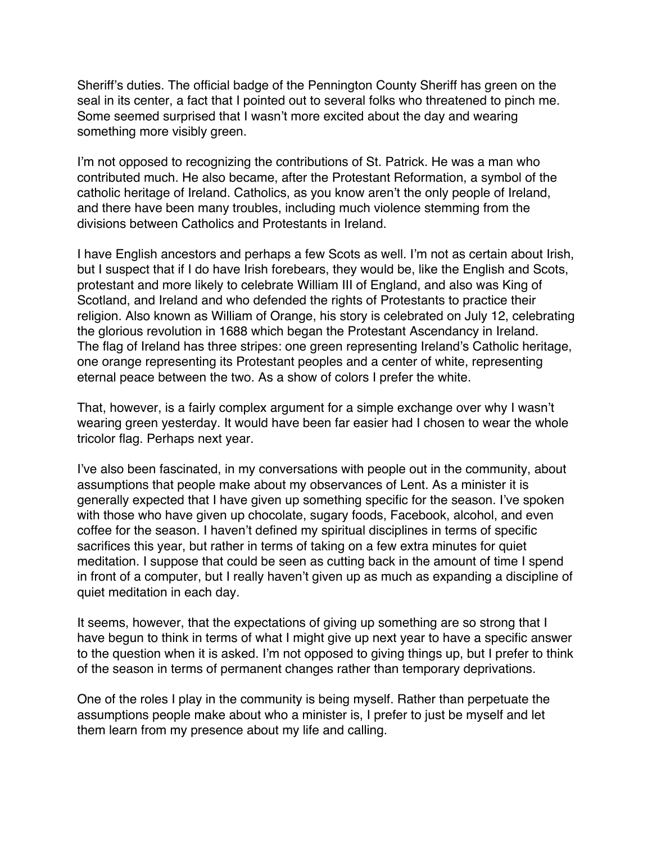Sheriff's duties. The official badge of the Pennington County Sheriff has green on the seal in its center, a fact that I pointed out to several folks who threatened to pinch me. Some seemed surprised that I wasn't more excited about the day and wearing something more visibly green.

I'm not opposed to recognizing the contributions of St. Patrick. He was a man who contributed much. He also became, after the Protestant Reformation, a symbol of the catholic heritage of Ireland. Catholics, as you know aren't the only people of Ireland, and there have been many troubles, including much violence stemming from the divisions between Catholics and Protestants in Ireland.

I have English ancestors and perhaps a few Scots as well. I'm not as certain about Irish, but I suspect that if I do have Irish forebears, they would be, like the English and Scots, protestant and more likely to celebrate William III of England, and also was King of Scotland, and Ireland and who defended the rights of Protestants to practice their religion. Also known as William of Orange, his story is celebrated on July 12, celebrating the glorious revolution in 1688 which began the Protestant Ascendancy in Ireland. The flag of Ireland has three stripes: one green representing Ireland's Catholic heritage, one orange representing its Protestant peoples and a center of white, representing eternal peace between the two. As a show of colors I prefer the white.

That, however, is a fairly complex argument for a simple exchange over why I wasn't wearing green yesterday. It would have been far easier had I chosen to wear the whole tricolor flag. Perhaps next year.

I've also been fascinated, in my conversations with people out in the community, about assumptions that people make about my observances of Lent. As a minister it is generally expected that I have given up something specific for the season. I've spoken with those who have given up chocolate, sugary foods, Facebook, alcohol, and even coffee for the season. I haven't defined my spiritual disciplines in terms of specific sacrifices this year, but rather in terms of taking on a few extra minutes for quiet meditation. I suppose that could be seen as cutting back in the amount of time I spend in front of a computer, but I really haven't given up as much as expanding a discipline of quiet meditation in each day.

It seems, however, that the expectations of giving up something are so strong that I have begun to think in terms of what I might give up next year to have a specific answer to the question when it is asked. I'm not opposed to giving things up, but I prefer to think of the season in terms of permanent changes rather than temporary deprivations.

One of the roles I play in the community is being myself. Rather than perpetuate the assumptions people make about who a minister is, I prefer to just be myself and let them learn from my presence about my life and calling.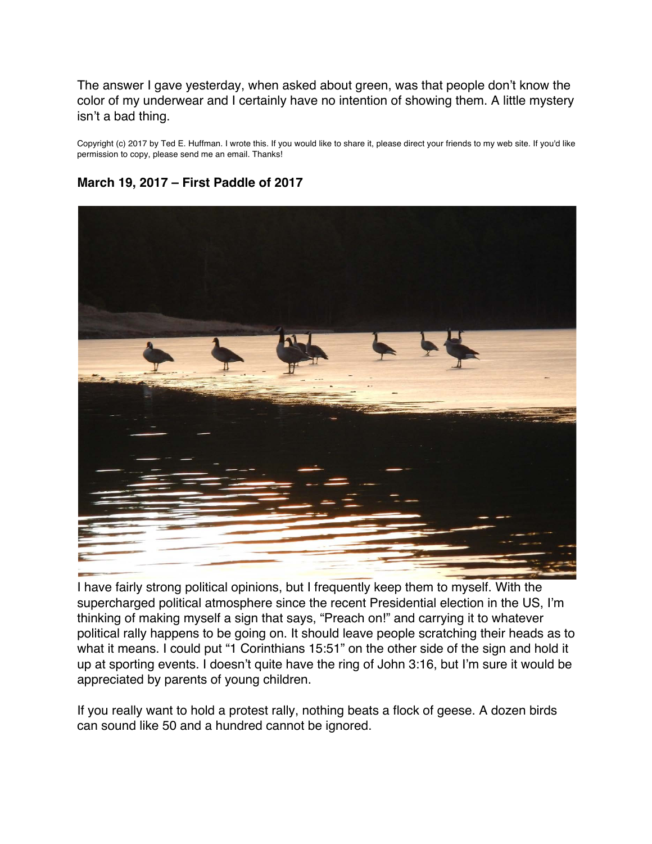<span id="page-38-0"></span>The answer I gave yesterday, when asked about green, was that people don't know the color of my underwear and I certainly have no intention of showing them. A little mystery isn't a bad thing.

Copyright (c) 2017 by Ted E. Huffman. I wrote this. If you would like to share it, please direct your friends to my web site. If you'd like permission to copy, please send me an email. Thanks!

#### **March 19, 2017 – First Paddle of 2017**



I have fairly strong political opinions, but I frequently keep them to myself. With the supercharged political atmosphere since the recent Presidential election in the US, I'm thinking of making myself a sign that says, "Preach on!" and carrying it to whatever political rally happens to be going on. It should leave people scratching their heads as to what it means. I could put "1 Corinthians 15:51" on the other side of the sign and hold it up at sporting events. I doesn't quite have the ring of John 3:16, but I'm sure it would be appreciated by parents of young children.

If you really want to hold a protest rally, nothing beats a flock of geese. A dozen birds can sound like 50 and a hundred cannot be ignored.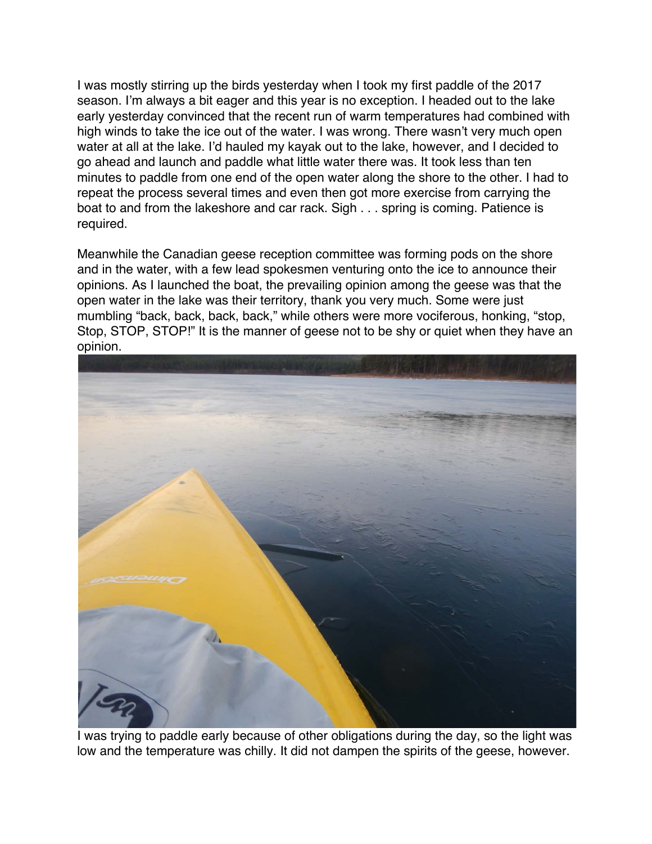I was mostly stirring up the birds yesterday when I took my first paddle of the 2017 season. I'm always a bit eager and this year is no exception. I headed out to the lake early yesterday convinced that the recent run of warm temperatures had combined with high winds to take the ice out of the water. I was wrong. There wasn't very much open water at all at the lake. I'd hauled my kayak out to the lake, however, and I decided to go ahead and launch and paddle what little water there was. It took less than ten minutes to paddle from one end of the open water along the shore to the other. I had to repeat the process several times and even then got more exercise from carrying the boat to and from the lakeshore and car rack. Sigh . . . spring is coming. Patience is required.

Meanwhile the Canadian geese reception committee was forming pods on the shore and in the water, with a few lead spokesmen venturing onto the ice to announce their opinions. As I launched the boat, the prevailing opinion among the geese was that the open water in the lake was their territory, thank you very much. Some were just mumbling "back, back, back, back," while others were more vociferous, honking, "stop, Stop, STOP, STOP!" It is the manner of geese not to be shy or quiet when they have an opinion.



I was trying to paddle early because of other obligations during the day, so the light was low and the temperature was chilly. It did not dampen the spirits of the geese, however.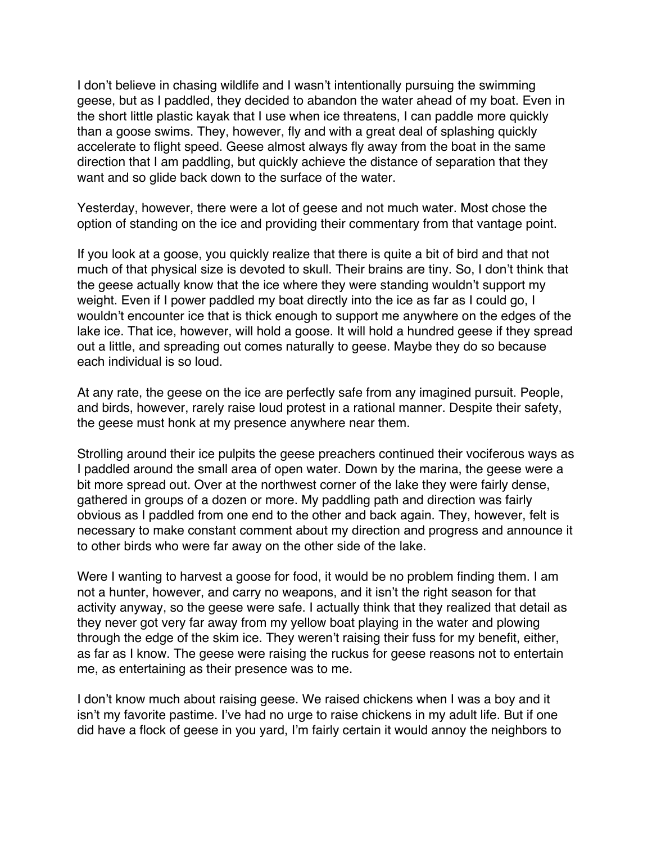I don't believe in chasing wildlife and I wasn't intentionally pursuing the swimming geese, but as I paddled, they decided to abandon the water ahead of my boat. Even in the short little plastic kayak that I use when ice threatens, I can paddle more quickly than a goose swims. They, however, fly and with a great deal of splashing quickly accelerate to flight speed. Geese almost always fly away from the boat in the same direction that I am paddling, but quickly achieve the distance of separation that they want and so glide back down to the surface of the water.

Yesterday, however, there were a lot of geese and not much water. Most chose the option of standing on the ice and providing their commentary from that vantage point.

If you look at a goose, you quickly realize that there is quite a bit of bird and that not much of that physical size is devoted to skull. Their brains are tiny. So, I don't think that the geese actually know that the ice where they were standing wouldn't support my weight. Even if I power paddled my boat directly into the ice as far as I could go, I wouldn't encounter ice that is thick enough to support me anywhere on the edges of the lake ice. That ice, however, will hold a goose. It will hold a hundred geese if they spread out a little, and spreading out comes naturally to geese. Maybe they do so because each individual is so loud.

At any rate, the geese on the ice are perfectly safe from any imagined pursuit. People, and birds, however, rarely raise loud protest in a rational manner. Despite their safety, the geese must honk at my presence anywhere near them.

Strolling around their ice pulpits the geese preachers continued their vociferous ways as I paddled around the small area of open water. Down by the marina, the geese were a bit more spread out. Over at the northwest corner of the lake they were fairly dense, gathered in groups of a dozen or more. My paddling path and direction was fairly obvious as I paddled from one end to the other and back again. They, however, felt is necessary to make constant comment about my direction and progress and announce it to other birds who were far away on the other side of the lake.

Were I wanting to harvest a goose for food, it would be no problem finding them. I am not a hunter, however, and carry no weapons, and it isn't the right season for that activity anyway, so the geese were safe. I actually think that they realized that detail as they never got very far away from my yellow boat playing in the water and plowing through the edge of the skim ice. They weren't raising their fuss for my benefit, either, as far as I know. The geese were raising the ruckus for geese reasons not to entertain me, as entertaining as their presence was to me.

I don't know much about raising geese. We raised chickens when I was a boy and it isn't my favorite pastime. I've had no urge to raise chickens in my adult life. But if one did have a flock of geese in you yard, I'm fairly certain it would annoy the neighbors to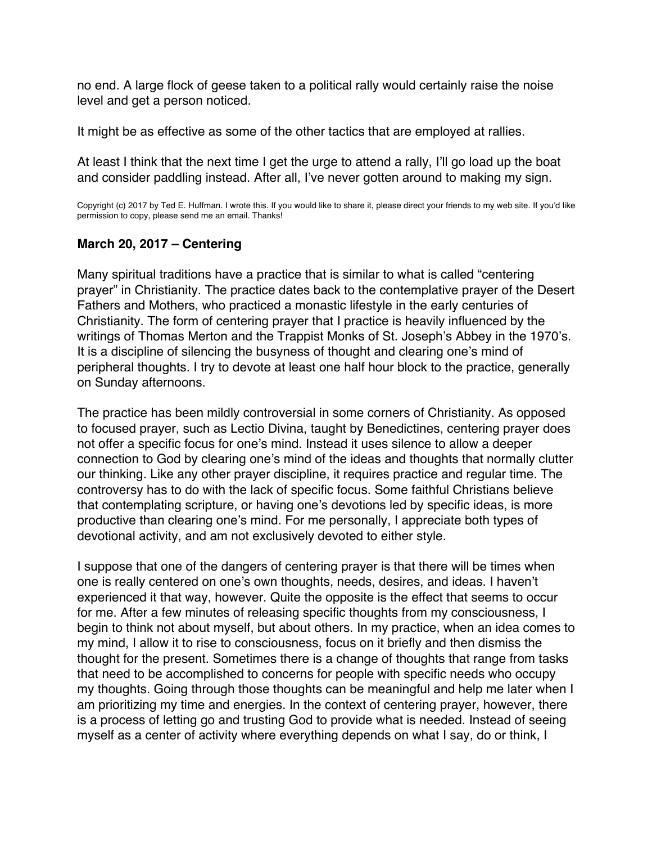<span id="page-41-0"></span>no end. A large flock of geese taken to a political rally would certainly raise the noise level and get a person noticed.

It might be as effective as some of the other tactics that are employed at rallies.

At least I think that the next time I get the urge to attend a rally, I'll go load up the boat and consider paddling instead. After all, I've never gotten around to making my sign.

Copyright (c) 2017 by Ted E. Huffman. I wrote this. If you would like to share it, please direct your friends to my web site. If you'd like permission to copy, please send me an email. Thanks!

# **March 20, 2017 – Centering**

Many spiritual traditions have a practice that is similar to what is called "centering prayer" in Christianity. The practice dates back to the contemplative prayer of the Desert Fathers and Mothers, who practiced a monastic lifestyle in the early centuries of Christianity. The form of centering prayer that I practice is heavily influenced by the writings of Thomas Merton and the Trappist Monks of St. Joseph's Abbey in the 1970's. It is a discipline of silencing the busyness of thought and clearing one's mind of peripheral thoughts. I try to devote at least one half hour block to the practice, generally on Sunday afternoons.

The practice has been mildly controversial in some corners of Christianity. As opposed to focused prayer, such as Lectio Divina, taught by Benedictines, centering prayer does not offer a specific focus for one's mind. Instead it uses silence to allow a deeper connection to God by clearing one's mind of the ideas and thoughts that normally clutter our thinking. Like any other prayer discipline, it requires practice and regular time. The controversy has to do with the lack of specific focus. Some faithful Christians believe that contemplating scripture, or having one's devotions led by specific ideas, is more productive than clearing one's mind. For me personally, I appreciate both types of devotional activity, and am not exclusively devoted to either style.

I suppose that one of the dangers of centering prayer is that there will be times when one is really centered on one's own thoughts, needs, desires, and ideas. I haven't experienced it that way, however. Quite the opposite is the effect that seems to occur for me. After a few minutes of releasing specific thoughts from my consciousness, I begin to think not about myself, but about others. In my practice, when an idea comes to my mind, I allow it to rise to consciousness, focus on it briefly and then dismiss the thought for the present. Sometimes there is a change of thoughts that range from tasks that need to be accomplished to concerns for people with specific needs who occupy my thoughts. Going through those thoughts can be meaningful and help me later when I am prioritizing my time and energies. In the context of centering prayer, however, there is a process of letting go and trusting God to provide what is needed. Instead of seeing myself as a center of activity where everything depends on what I say, do or think, I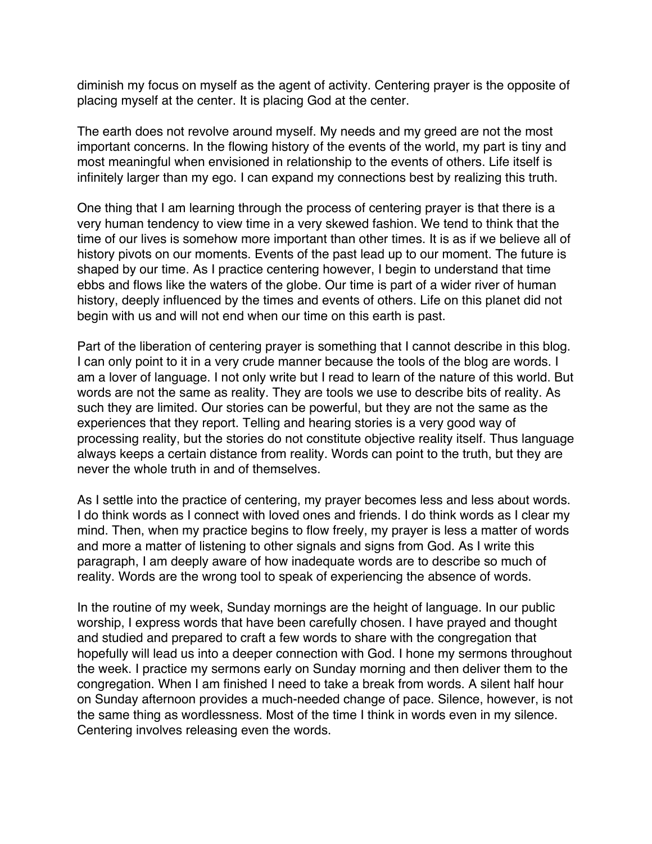diminish my focus on myself as the agent of activity. Centering prayer is the opposite of placing myself at the center. It is placing God at the center.

The earth does not revolve around myself. My needs and my greed are not the most important concerns. In the flowing history of the events of the world, my part is tiny and most meaningful when envisioned in relationship to the events of others. Life itself is infinitely larger than my ego. I can expand my connections best by realizing this truth.

One thing that I am learning through the process of centering prayer is that there is a very human tendency to view time in a very skewed fashion. We tend to think that the time of our lives is somehow more important than other times. It is as if we believe all of history pivots on our moments. Events of the past lead up to our moment. The future is shaped by our time. As I practice centering however, I begin to understand that time ebbs and flows like the waters of the globe. Our time is part of a wider river of human history, deeply influenced by the times and events of others. Life on this planet did not begin with us and will not end when our time on this earth is past.

Part of the liberation of centering prayer is something that I cannot describe in this blog. I can only point to it in a very crude manner because the tools of the blog are words. I am a lover of language. I not only write but I read to learn of the nature of this world. But words are not the same as reality. They are tools we use to describe bits of reality. As such they are limited. Our stories can be powerful, but they are not the same as the experiences that they report. Telling and hearing stories is a very good way of processing reality, but the stories do not constitute objective reality itself. Thus language always keeps a certain distance from reality. Words can point to the truth, but they are never the whole truth in and of themselves.

As I settle into the practice of centering, my prayer becomes less and less about words. I do think words as I connect with loved ones and friends. I do think words as I clear my mind. Then, when my practice begins to flow freely, my prayer is less a matter of words and more a matter of listening to other signals and signs from God. As I write this paragraph, I am deeply aware of how inadequate words are to describe so much of reality. Words are the wrong tool to speak of experiencing the absence of words.

In the routine of my week, Sunday mornings are the height of language. In our public worship, I express words that have been carefully chosen. I have prayed and thought and studied and prepared to craft a few words to share with the congregation that hopefully will lead us into a deeper connection with God. I hone my sermons throughout the week. I practice my sermons early on Sunday morning and then deliver them to the congregation. When I am finished I need to take a break from words. A silent half hour on Sunday afternoon provides a much-needed change of pace. Silence, however, is not the same thing as wordlessness. Most of the time I think in words even in my silence. Centering involves releasing even the words.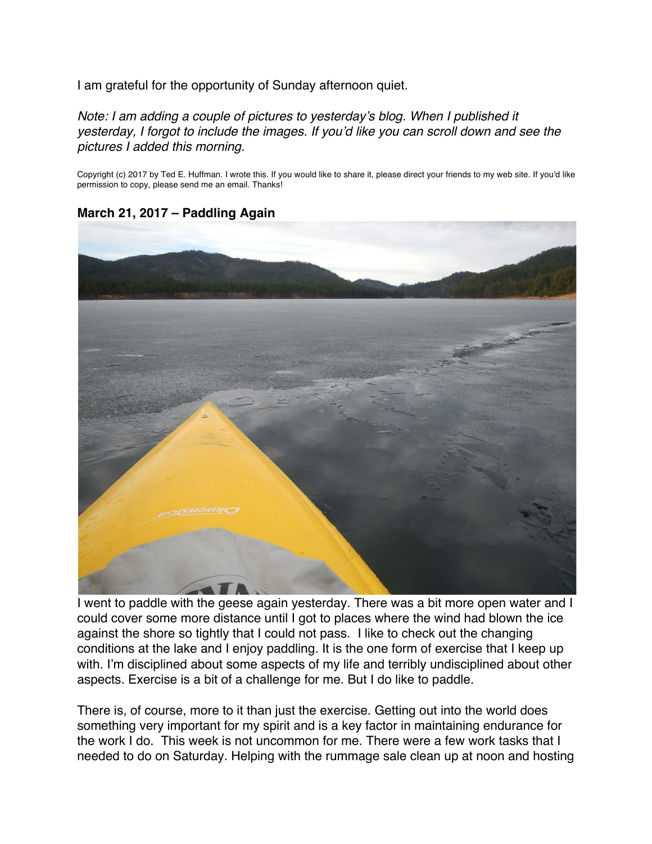<span id="page-43-0"></span>I am grateful for the opportunity of Sunday afternoon quiet.

*Note: I am adding a couple of pictures to yesterday's blog. When I published it yesterday, I forgot to include the images. If you'd like you can scroll down and see the pictures I added this morning.*

Copyright (c) 2017 by Ted E. Huffman. I wrote this. If you would like to share it, please direct your friends to my web site. If you'd like permission to copy, please send me an email. Thanks!





I went to paddle with the geese again yesterday. There was a bit more open water and I could cover some more distance until I got to places where the wind had blown the ice against the shore so tightly that I could not pass. I like to check out the changing conditions at the lake and I enjoy paddling. It is the one form of exercise that I keep up with. I'm disciplined about some aspects of my life and terribly undisciplined about other aspects. Exercise is a bit of a challenge for me. But I do like to paddle.

There is, of course, more to it than just the exercise. Getting out into the world does something very important for my spirit and is a key factor in maintaining endurance for the work I do. This week is not uncommon for me. There were a few work tasks that I needed to do on Saturday. Helping with the rummage sale clean up at noon and hosting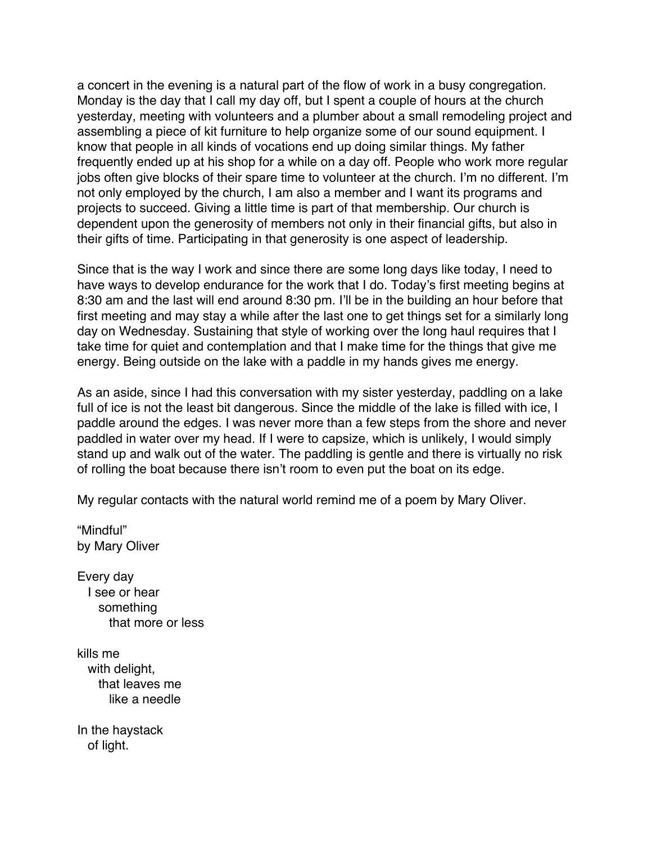a concert in the evening is a natural part of the flow of work in a busy congregation. Monday is the day that I call my day off, but I spent a couple of hours at the church yesterday, meeting with volunteers and a plumber about a small remodeling project and assembling a piece of kit furniture to help organize some of our sound equipment. I know that people in all kinds of vocations end up doing similar things. My father frequently ended up at his shop for a while on a day off. People who work more regular jobs often give blocks of their spare time to volunteer at the church. I'm no different. I'm not only employed by the church, I am also a member and I want its programs and projects to succeed. Giving a little time is part of that membership. Our church is dependent upon the generosity of members not only in their financial gifts, but also in their gifts of time. Participating in that generosity is one aspect of leadership.

Since that is the way I work and since there are some long days like today, I need to have ways to develop endurance for the work that I do. Today's first meeting begins at 8:30 am and the last will end around 8:30 pm. I'll be in the building an hour before that first meeting and may stay a while after the last one to get things set for a similarly long day on Wednesday. Sustaining that style of working over the long haul requires that I take time for quiet and contemplation and that I make time for the things that give me energy. Being outside on the lake with a paddle in my hands gives me energy.

As an aside, since I had this conversation with my sister yesterday, paddling on a lake full of ice is not the least bit dangerous. Since the middle of the lake is filled with ice, I paddle around the edges. I was never more than a few steps from the shore and never paddled in water over my head. If I were to capsize, which is unlikely, I would simply stand up and walk out of the water. The paddling is gentle and there is virtually no risk of rolling the boat because there isn't room to even put the boat on its edge.

My regular contacts with the natural world remind me of a poem by Mary Oliver.

"Mindful" by Mary Oliver

Every day I see or hear something that more or less

kills me with delight, that leaves me like a needle

In the haystack of light.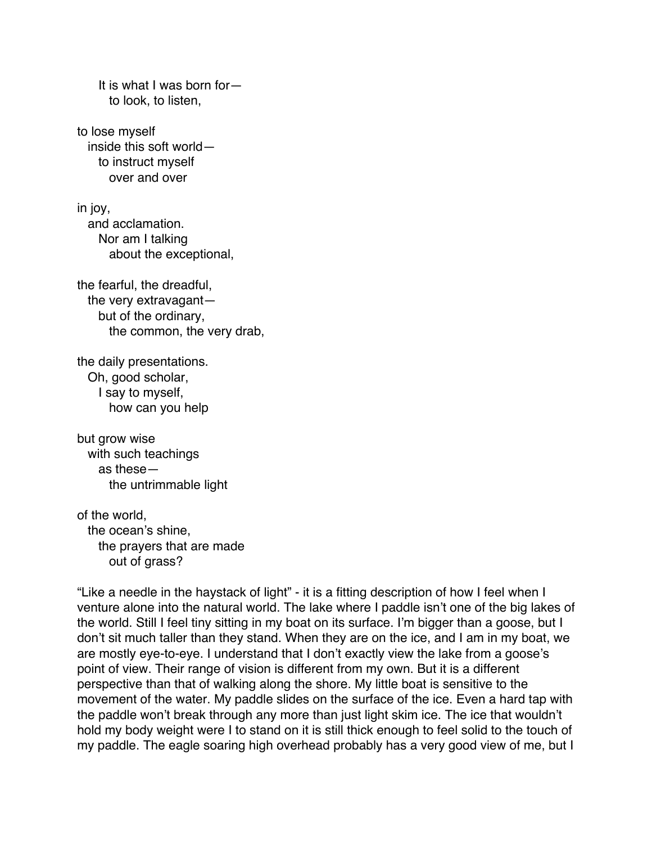It is what I was born for to look, to listen,

to lose myself inside this soft world to instruct myself over and over

in joy, and acclamation. Nor am I talking about the exceptional,

the fearful, the dreadful, the very extravagant but of the ordinary, the common, the very drab,

the daily presentations. Oh, good scholar, I say to myself, how can you help

but grow wise with such teachings as these the untrimmable light

of the world, the ocean's shine, the prayers that are made out of grass?

"Like a needle in the haystack of light" - it is a fitting description of how I feel when I venture alone into the natural world. The lake where I paddle isn't one of the big lakes of the world. Still I feel tiny sitting in my boat on its surface. I'm bigger than a goose, but I don't sit much taller than they stand. When they are on the ice, and I am in my boat, we are mostly eye-to-eye. I understand that I don't exactly view the lake from a goose's point of view. Their range of vision is different from my own. But it is a different perspective than that of walking along the shore. My little boat is sensitive to the movement of the water. My paddle slides on the surface of the ice. Even a hard tap with the paddle won't break through any more than just light skim ice. The ice that wouldn't hold my body weight were I to stand on it is still thick enough to feel solid to the touch of my paddle. The eagle soaring high overhead probably has a very good view of me, but I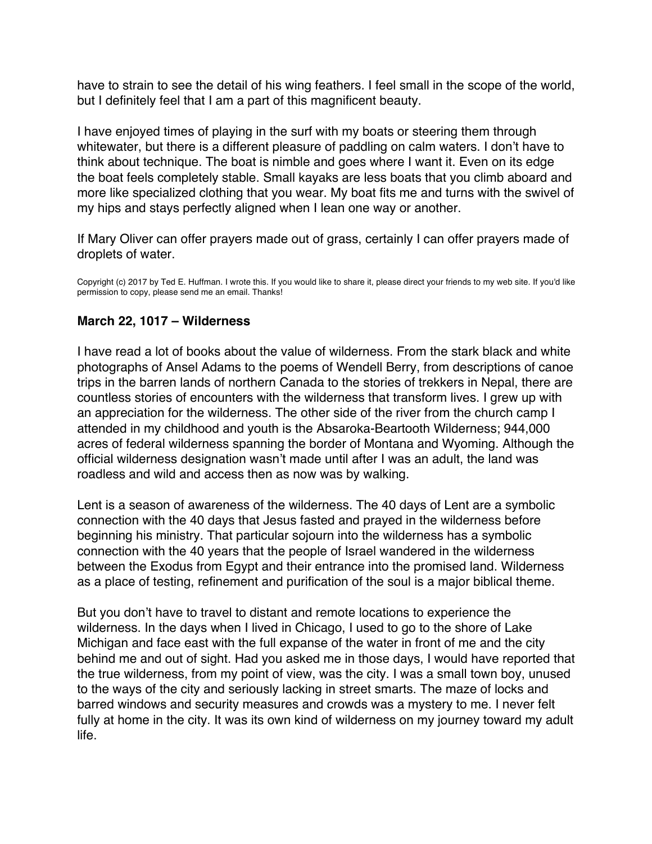<span id="page-46-0"></span>have to strain to see the detail of his wing feathers. I feel small in the scope of the world, but I definitely feel that I am a part of this magnificent beauty.

I have enjoyed times of playing in the surf with my boats or steering them through whitewater, but there is a different pleasure of paddling on calm waters. I don't have to think about technique. The boat is nimble and goes where I want it. Even on its edge the boat feels completely stable. Small kayaks are less boats that you climb aboard and more like specialized clothing that you wear. My boat fits me and turns with the swivel of my hips and stays perfectly aligned when I lean one way or another.

If Mary Oliver can offer prayers made out of grass, certainly I can offer prayers made of droplets of water.

Copyright (c) 2017 by Ted E. Huffman. I wrote this. If you would like to share it, please direct your friends to my web site. If you'd like permission to copy, please send me an email. Thanks!

# **March 22, 1017 – Wilderness**

I have read a lot of books about the value of wilderness. From the stark black and white photographs of Ansel Adams to the poems of Wendell Berry, from descriptions of canoe trips in the barren lands of northern Canada to the stories of trekkers in Nepal, there are countless stories of encounters with the wilderness that transform lives. I grew up with an appreciation for the wilderness. The other side of the river from the church camp I attended in my childhood and youth is the Absaroka-Beartooth Wilderness; 944,000 acres of federal wilderness spanning the border of Montana and Wyoming. Although the official wilderness designation wasn't made until after I was an adult, the land was roadless and wild and access then as now was by walking.

Lent is a season of awareness of the wilderness. The 40 days of Lent are a symbolic connection with the 40 days that Jesus fasted and prayed in the wilderness before beginning his ministry. That particular sojourn into the wilderness has a symbolic connection with the 40 years that the people of Israel wandered in the wilderness between the Exodus from Egypt and their entrance into the promised land. Wilderness as a place of testing, refinement and purification of the soul is a major biblical theme.

But you don't have to travel to distant and remote locations to experience the wilderness. In the days when I lived in Chicago, I used to go to the shore of Lake Michigan and face east with the full expanse of the water in front of me and the city behind me and out of sight. Had you asked me in those days, I would have reported that the true wilderness, from my point of view, was the city. I was a small town boy, unused to the ways of the city and seriously lacking in street smarts. The maze of locks and barred windows and security measures and crowds was a mystery to me. I never felt fully at home in the city. It was its own kind of wilderness on my journey toward my adult life.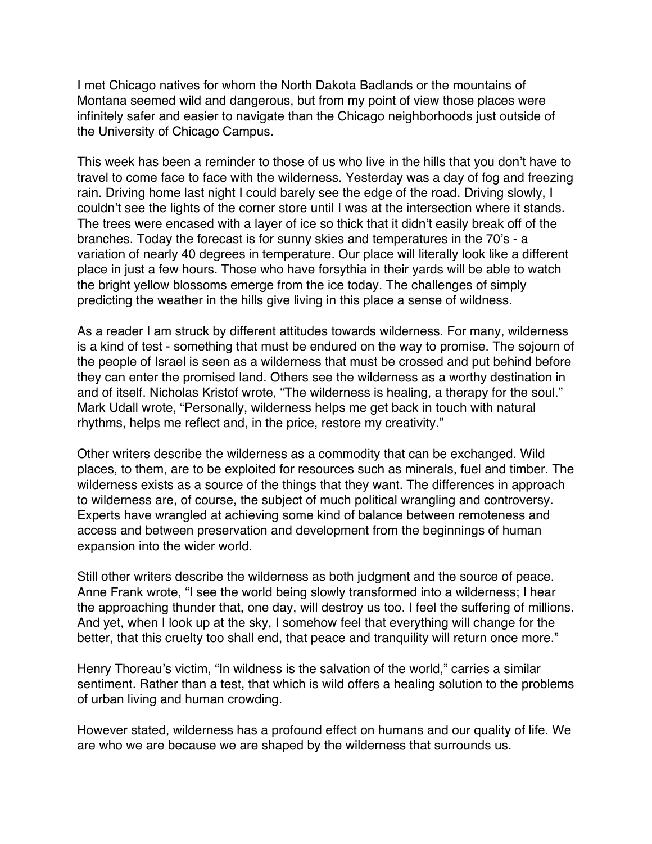I met Chicago natives for whom the North Dakota Badlands or the mountains of Montana seemed wild and dangerous, but from my point of view those places were infinitely safer and easier to navigate than the Chicago neighborhoods just outside of the University of Chicago Campus.

This week has been a reminder to those of us who live in the hills that you don't have to travel to come face to face with the wilderness. Yesterday was a day of fog and freezing rain. Driving home last night I could barely see the edge of the road. Driving slowly, I couldn't see the lights of the corner store until I was at the intersection where it stands. The trees were encased with a layer of ice so thick that it didn't easily break off of the branches. Today the forecast is for sunny skies and temperatures in the 70's - a variation of nearly 40 degrees in temperature. Our place will literally look like a different place in just a few hours. Those who have forsythia in their yards will be able to watch the bright yellow blossoms emerge from the ice today. The challenges of simply predicting the weather in the hills give living in this place a sense of wildness.

As a reader I am struck by different attitudes towards wilderness. For many, wilderness is a kind of test - something that must be endured on the way to promise. The sojourn of the people of Israel is seen as a wilderness that must be crossed and put behind before they can enter the promised land. Others see the wilderness as a worthy destination in and of itself. Nicholas Kristof wrote, "The wilderness is healing, a therapy for the soul." Mark Udall wrote, "Personally, wilderness helps me get back in touch with natural rhythms, helps me reflect and, in the price, restore my creativity."

Other writers describe the wilderness as a commodity that can be exchanged. Wild places, to them, are to be exploited for resources such as minerals, fuel and timber. The wilderness exists as a source of the things that they want. The differences in approach to wilderness are, of course, the subject of much political wrangling and controversy. Experts have wrangled at achieving some kind of balance between remoteness and access and between preservation and development from the beginnings of human expansion into the wider world.

Still other writers describe the wilderness as both judgment and the source of peace. Anne Frank wrote, "I see the world being slowly transformed into a wilderness; I hear the approaching thunder that, one day, will destroy us too. I feel the suffering of millions. And yet, when I look up at the sky, I somehow feel that everything will change for the better, that this cruelty too shall end, that peace and tranquility will return once more."

Henry Thoreau's victim, "In wildness is the salvation of the world," carries a similar sentiment. Rather than a test, that which is wild offers a healing solution to the problems of urban living and human crowding.

However stated, wilderness has a profound effect on humans and our quality of life. We are who we are because we are shaped by the wilderness that surrounds us.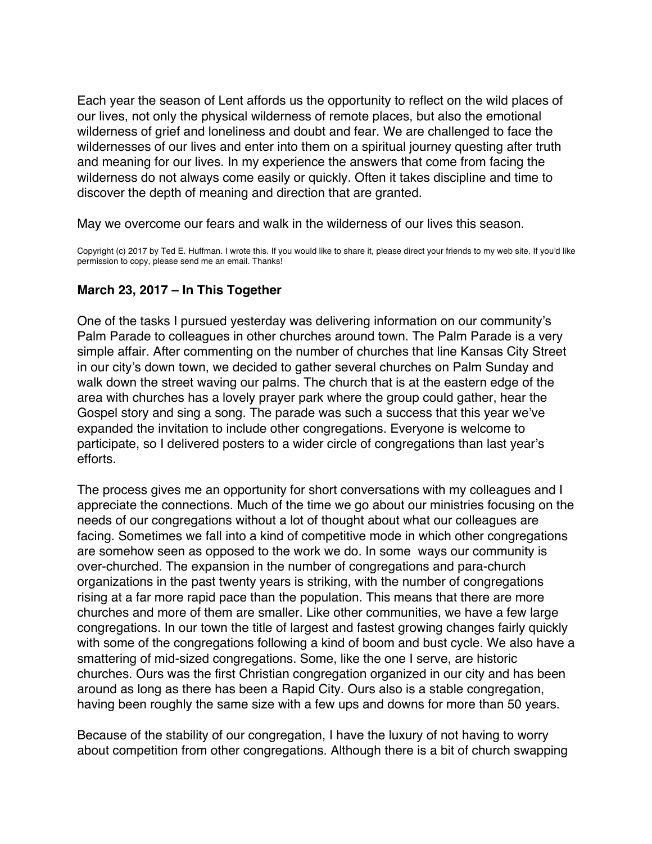<span id="page-48-0"></span>Each year the season of Lent affords us the opportunity to reflect on the wild places of our lives, not only the physical wilderness of remote places, but also the emotional wilderness of grief and loneliness and doubt and fear. We are challenged to face the wildernesses of our lives and enter into them on a spiritual journey questing after truth and meaning for our lives. In my experience the answers that come from facing the wilderness do not always come easily or quickly. Often it takes discipline and time to discover the depth of meaning and direction that are granted.

May we overcome our fears and walk in the wilderness of our lives this season.

Copyright (c) 2017 by Ted E. Huffman. I wrote this. If you would like to share it, please direct your friends to my web site. If you'd like permission to copy, please send me an email. Thanks!

### **March 23, 2017 – In This Together**

One of the tasks I pursued yesterday was delivering information on our community's Palm Parade to colleagues in other churches around town. The Palm Parade is a very simple affair. After commenting on the number of churches that line Kansas City Street in our city's down town, we decided to gather several churches on Palm Sunday and walk down the street waving our palms. The church that is at the eastern edge of the area with churches has a lovely prayer park where the group could gather, hear the Gospel story and sing a song. The parade was such a success that this year we've expanded the invitation to include other congregations. Everyone is welcome to participate, so I delivered posters to a wider circle of congregations than last year's efforts.

The process gives me an opportunity for short conversations with my colleagues and I appreciate the connections. Much of the time we go about our ministries focusing on the needs of our congregations without a lot of thought about what our colleagues are facing. Sometimes we fall into a kind of competitive mode in which other congregations are somehow seen as opposed to the work we do. In some ways our community is over-churched. The expansion in the number of congregations and para-church organizations in the past twenty years is striking, with the number of congregations rising at a far more rapid pace than the population. This means that there are more churches and more of them are smaller. Like other communities, we have a few large congregations. In our town the title of largest and fastest growing changes fairly quickly with some of the congregations following a kind of boom and bust cycle. We also have a smattering of mid-sized congregations. Some, like the one I serve, are historic churches. Ours was the first Christian congregation organized in our city and has been around as long as there has been a Rapid City. Ours also is a stable congregation, having been roughly the same size with a few ups and downs for more than 50 years.

Because of the stability of our congregation, I have the luxury of not having to worry about competition from other congregations. Although there is a bit of church swapping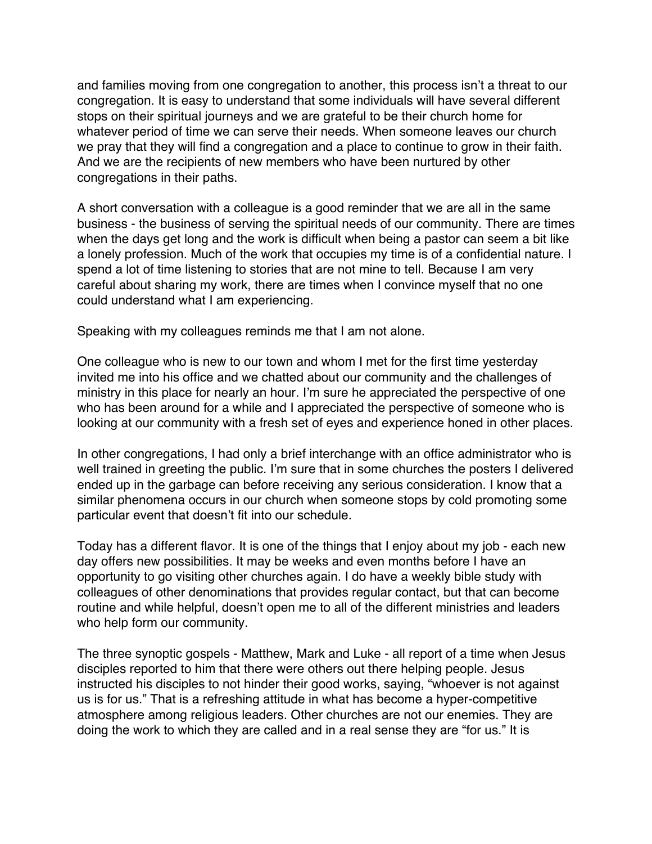and families moving from one congregation to another, this process isn't a threat to our congregation. It is easy to understand that some individuals will have several different stops on their spiritual journeys and we are grateful to be their church home for whatever period of time we can serve their needs. When someone leaves our church we pray that they will find a congregation and a place to continue to grow in their faith. And we are the recipients of new members who have been nurtured by other congregations in their paths.

A short conversation with a colleague is a good reminder that we are all in the same business - the business of serving the spiritual needs of our community. There are times when the days get long and the work is difficult when being a pastor can seem a bit like a lonely profession. Much of the work that occupies my time is of a confidential nature. I spend a lot of time listening to stories that are not mine to tell. Because I am very careful about sharing my work, there are times when I convince myself that no one could understand what I am experiencing.

Speaking with my colleagues reminds me that I am not alone.

One colleague who is new to our town and whom I met for the first time yesterday invited me into his office and we chatted about our community and the challenges of ministry in this place for nearly an hour. I'm sure he appreciated the perspective of one who has been around for a while and I appreciated the perspective of someone who is looking at our community with a fresh set of eyes and experience honed in other places.

In other congregations, I had only a brief interchange with an office administrator who is well trained in greeting the public. I'm sure that in some churches the posters I delivered ended up in the garbage can before receiving any serious consideration. I know that a similar phenomena occurs in our church when someone stops by cold promoting some particular event that doesn't fit into our schedule.

Today has a different flavor. It is one of the things that I enjoy about my job - each new day offers new possibilities. It may be weeks and even months before I have an opportunity to go visiting other churches again. I do have a weekly bible study with colleagues of other denominations that provides regular contact, but that can become routine and while helpful, doesn't open me to all of the different ministries and leaders who help form our community.

The three synoptic gospels - Matthew, Mark and Luke - all report of a time when Jesus disciples reported to him that there were others out there helping people. Jesus instructed his disciples to not hinder their good works, saying, "whoever is not against us is for us." That is a refreshing attitude in what has become a hyper-competitive atmosphere among religious leaders. Other churches are not our enemies. They are doing the work to which they are called and in a real sense they are "for us." It is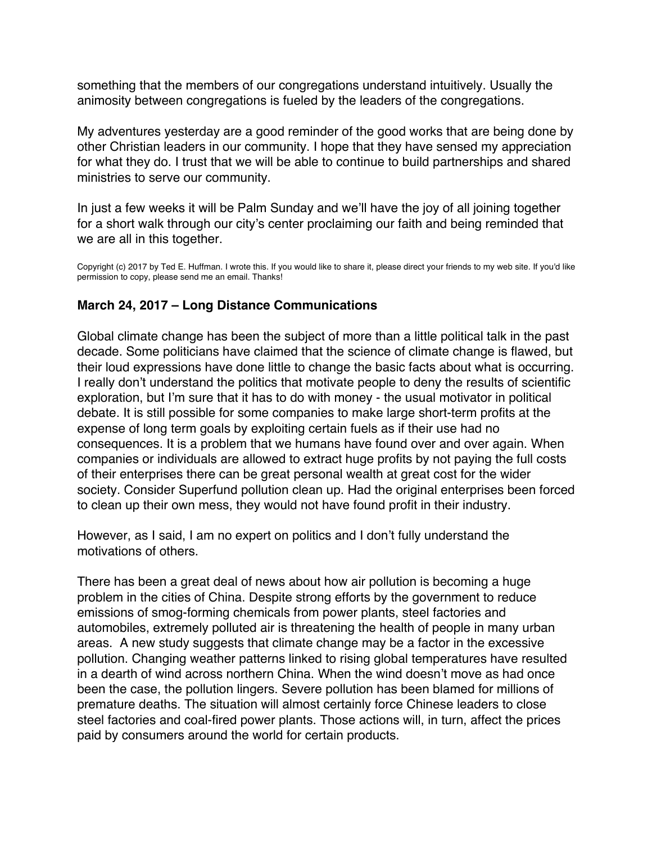<span id="page-50-0"></span>something that the members of our congregations understand intuitively. Usually the animosity between congregations is fueled by the leaders of the congregations.

My adventures yesterday are a good reminder of the good works that are being done by other Christian leaders in our community. I hope that they have sensed my appreciation for what they do. I trust that we will be able to continue to build partnerships and shared ministries to serve our community.

In just a few weeks it will be Palm Sunday and we'll have the joy of all joining together for a short walk through our city's center proclaiming our faith and being reminded that we are all in this together.

Copyright (c) 2017 by Ted E. Huffman. I wrote this. If you would like to share it, please direct your friends to my web site. If you'd like permission to copy, please send me an email. Thanks!

# **March 24, 2017 – Long Distance Communications**

Global climate change has been the subject of more than a little political talk in the past decade. Some politicians have claimed that the science of climate change is flawed, but their loud expressions have done little to change the basic facts about what is occurring. I really don't understand the politics that motivate people to deny the results of scientific exploration, but I'm sure that it has to do with money - the usual motivator in political debate. It is still possible for some companies to make large short-term profits at the expense of long term goals by exploiting certain fuels as if their use had no consequences. It is a problem that we humans have found over and over again. When companies or individuals are allowed to extract huge profits by not paying the full costs of their enterprises there can be great personal wealth at great cost for the wider society. Consider Superfund pollution clean up. Had the original enterprises been forced to clean up their own mess, they would not have found profit in their industry.

However, as I said, I am no expert on politics and I don't fully understand the motivations of others.

There has been a great deal of news about how air pollution is becoming a huge problem in the cities of China. Despite strong efforts by the government to reduce emissions of smog-forming chemicals from power plants, steel factories and automobiles, extremely polluted air is threatening the health of people in many urban areas. A new study suggests that climate change may be a factor in the excessive pollution. Changing weather patterns linked to rising global temperatures have resulted in a dearth of wind across northern China. When the wind doesn't move as had once been the case, the pollution lingers. Severe pollution has been blamed for millions of premature deaths. The situation will almost certainly force Chinese leaders to close steel factories and coal-fired power plants. Those actions will, in turn, affect the prices paid by consumers around the world for certain products.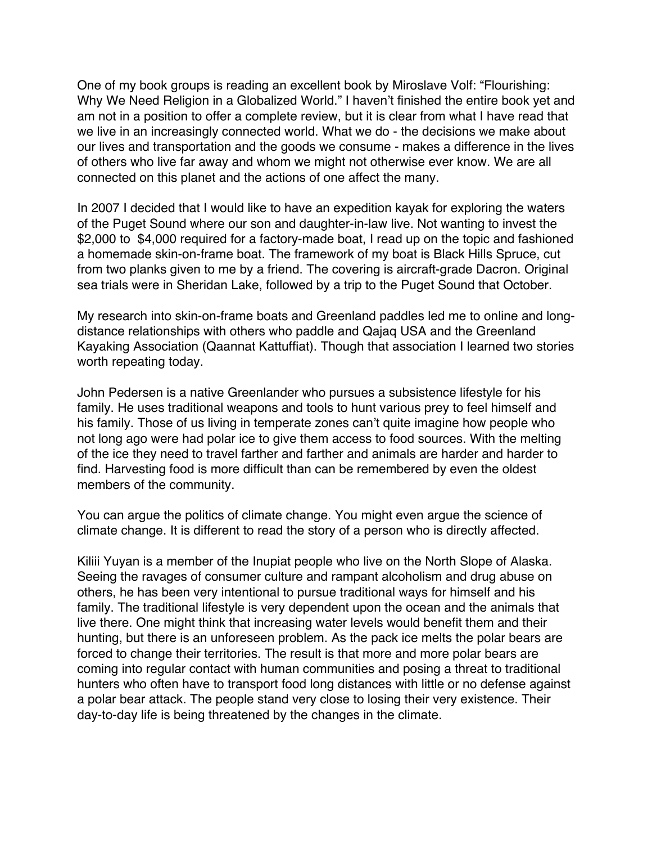One of my book groups is reading an excellent book by Miroslave Volf: "Flourishing: Why We Need Religion in a Globalized World." I haven't finished the entire book yet and am not in a position to offer a complete review, but it is clear from what I have read that we live in an increasingly connected world. What we do - the decisions we make about our lives and transportation and the goods we consume - makes a difference in the lives of others who live far away and whom we might not otherwise ever know. We are all connected on this planet and the actions of one affect the many.

In 2007 I decided that I would like to have an expedition kayak for exploring the waters of the Puget Sound where our son and daughter-in-law live. Not wanting to invest the \$2,000 to \$4,000 required for a factory-made boat, I read up on the topic and fashioned a homemade skin-on-frame boat. The framework of my boat is Black Hills Spruce, cut from two planks given to me by a friend. The covering is aircraft-grade Dacron. Original sea trials were in Sheridan Lake, followed by a trip to the Puget Sound that October.

My research into skin-on-frame boats and Greenland paddles led me to online and longdistance relationships with others who paddle and Qajaq USA and the Greenland Kayaking Association (Qaannat Kattuffiat). Though that association I learned two stories worth repeating today.

John Pedersen is a native Greenlander who pursues a subsistence lifestyle for his family. He uses traditional weapons and tools to hunt various prey to feel himself and his family. Those of us living in temperate zones can't quite imagine how people who not long ago were had polar ice to give them access to food sources. With the melting of the ice they need to travel farther and farther and animals are harder and harder to find. Harvesting food is more difficult than can be remembered by even the oldest members of the community.

You can argue the politics of climate change. You might even argue the science of climate change. It is different to read the story of a person who is directly affected.

Kiliii Yuyan is a member of the Inupiat people who live on the North Slope of Alaska. Seeing the ravages of consumer culture and rampant alcoholism and drug abuse on others, he has been very intentional to pursue traditional ways for himself and his family. The traditional lifestyle is very dependent upon the ocean and the animals that live there. One might think that increasing water levels would benefit them and their hunting, but there is an unforeseen problem. As the pack ice melts the polar bears are forced to change their territories. The result is that more and more polar bears are coming into regular contact with human communities and posing a threat to traditional hunters who often have to transport food long distances with little or no defense against a polar bear attack. The people stand very close to losing their very existence. Their day-to-day life is being threatened by the changes in the climate.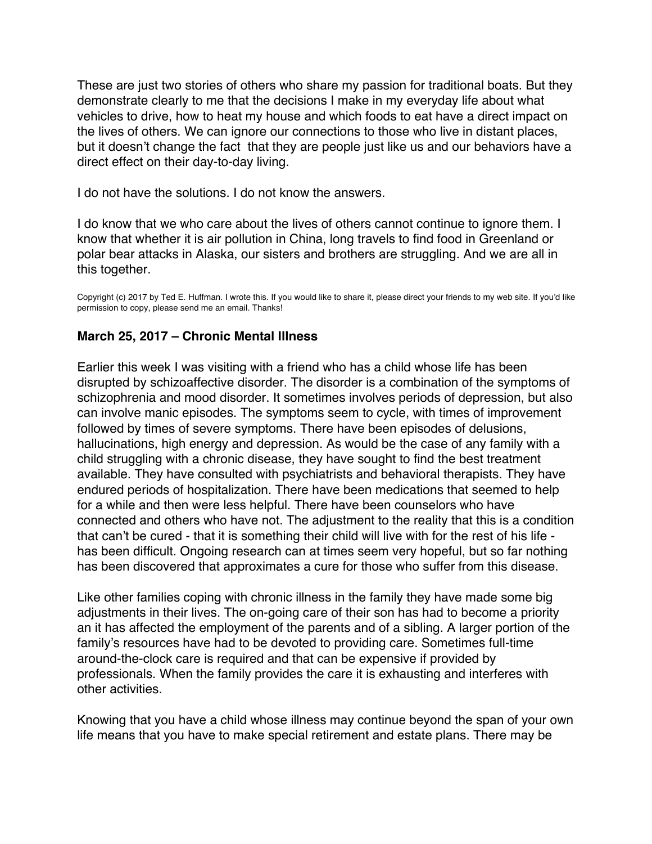<span id="page-52-0"></span>These are just two stories of others who share my passion for traditional boats. But they demonstrate clearly to me that the decisions I make in my everyday life about what vehicles to drive, how to heat my house and which foods to eat have a direct impact on the lives of others. We can ignore our connections to those who live in distant places, but it doesn't change the fact that they are people just like us and our behaviors have a direct effect on their day-to-day living.

I do not have the solutions. I do not know the answers.

I do know that we who care about the lives of others cannot continue to ignore them. I know that whether it is air pollution in China, long travels to find food in Greenland or polar bear attacks in Alaska, our sisters and brothers are struggling. And we are all in this together.

Copyright (c) 2017 by Ted E. Huffman. I wrote this. If you would like to share it, please direct your friends to my web site. If you'd like permission to copy, please send me an email. Thanks!

### **March 25, 2017 – Chronic Mental Illness**

Earlier this week I was visiting with a friend who has a child whose life has been disrupted by schizoaffective disorder. The disorder is a combination of the symptoms of schizophrenia and mood disorder. It sometimes involves periods of depression, but also can involve manic episodes. The symptoms seem to cycle, with times of improvement followed by times of severe symptoms. There have been episodes of delusions, hallucinations, high energy and depression. As would be the case of any family with a child struggling with a chronic disease, they have sought to find the best treatment available. They have consulted with psychiatrists and behavioral therapists. They have endured periods of hospitalization. There have been medications that seemed to help for a while and then were less helpful. There have been counselors who have connected and others who have not. The adjustment to the reality that this is a condition that can't be cured - that it is something their child will live with for the rest of his life has been difficult. Ongoing research can at times seem very hopeful, but so far nothing has been discovered that approximates a cure for those who suffer from this disease.

Like other families coping with chronic illness in the family they have made some big adjustments in their lives. The on-going care of their son has had to become a priority an it has affected the employment of the parents and of a sibling. A larger portion of the family's resources have had to be devoted to providing care. Sometimes full-time around-the-clock care is required and that can be expensive if provided by professionals. When the family provides the care it is exhausting and interferes with other activities.

Knowing that you have a child whose illness may continue beyond the span of your own life means that you have to make special retirement and estate plans. There may be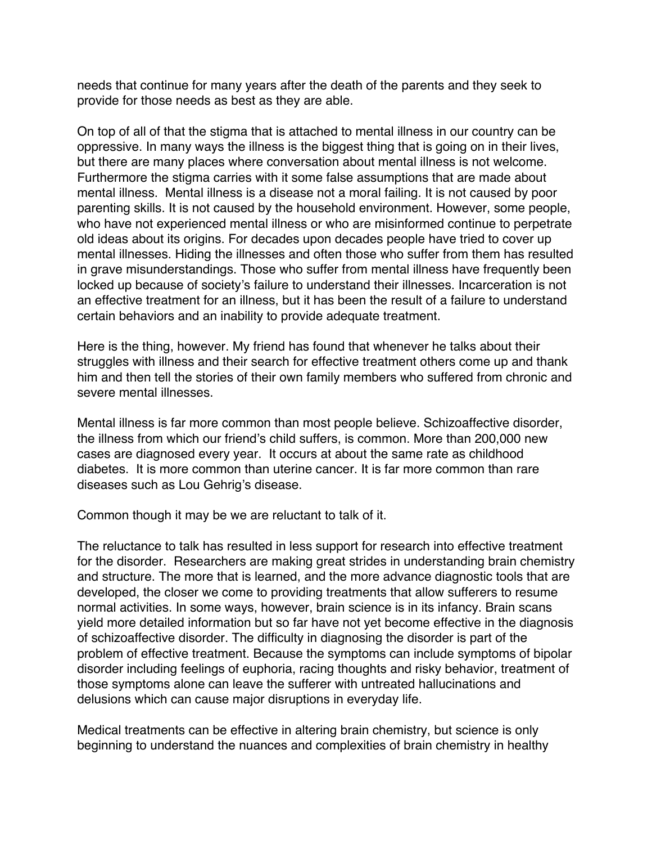needs that continue for many years after the death of the parents and they seek to provide for those needs as best as they are able.

On top of all of that the stigma that is attached to mental illness in our country can be oppressive. In many ways the illness is the biggest thing that is going on in their lives, but there are many places where conversation about mental illness is not welcome. Furthermore the stigma carries with it some false assumptions that are made about mental illness. Mental illness is a disease not a moral failing. It is not caused by poor parenting skills. It is not caused by the household environment. However, some people, who have not experienced mental illness or who are misinformed continue to perpetrate old ideas about its origins. For decades upon decades people have tried to cover up mental illnesses. Hiding the illnesses and often those who suffer from them has resulted in grave misunderstandings. Those who suffer from mental illness have frequently been locked up because of society's failure to understand their illnesses. Incarceration is not an effective treatment for an illness, but it has been the result of a failure to understand certain behaviors and an inability to provide adequate treatment.

Here is the thing, however. My friend has found that whenever he talks about their struggles with illness and their search for effective treatment others come up and thank him and then tell the stories of their own family members who suffered from chronic and severe mental illnesses.

Mental illness is far more common than most people believe. Schizoaffective disorder, the illness from which our friend's child suffers, is common. More than 200,000 new cases are diagnosed every year. It occurs at about the same rate as childhood diabetes. It is more common than uterine cancer. It is far more common than rare diseases such as Lou Gehrig's disease.

Common though it may be we are reluctant to talk of it.

The reluctance to talk has resulted in less support for research into effective treatment for the disorder. Researchers are making great strides in understanding brain chemistry and structure. The more that is learned, and the more advance diagnostic tools that are developed, the closer we come to providing treatments that allow sufferers to resume normal activities. In some ways, however, brain science is in its infancy. Brain scans yield more detailed information but so far have not yet become effective in the diagnosis of schizoaffective disorder. The difficulty in diagnosing the disorder is part of the problem of effective treatment. Because the symptoms can include symptoms of bipolar disorder including feelings of euphoria, racing thoughts and risky behavior, treatment of those symptoms alone can leave the sufferer with untreated hallucinations and delusions which can cause major disruptions in everyday life.

Medical treatments can be effective in altering brain chemistry, but science is only beginning to understand the nuances and complexities of brain chemistry in healthy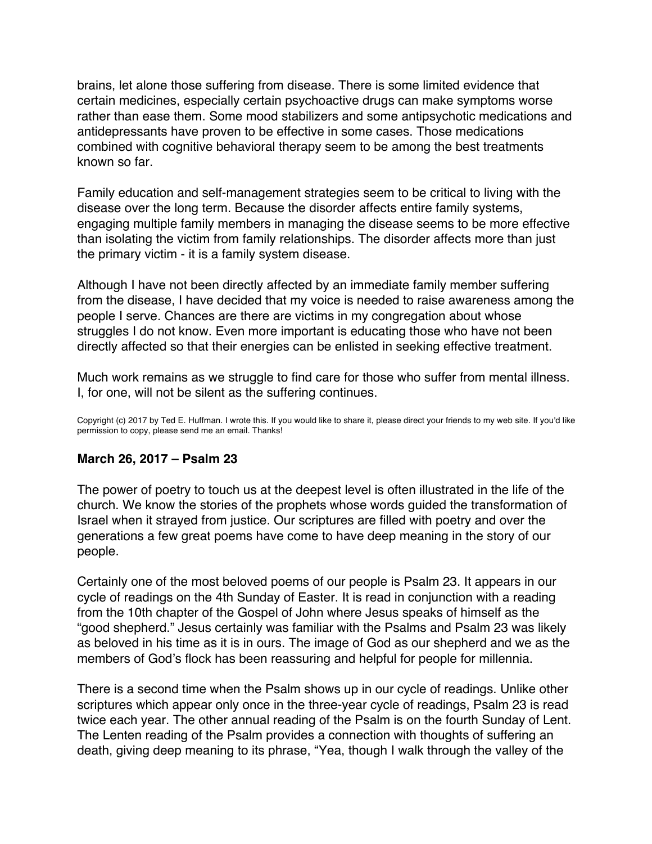<span id="page-54-0"></span>brains, let alone those suffering from disease. There is some limited evidence that certain medicines, especially certain psychoactive drugs can make symptoms worse rather than ease them. Some mood stabilizers and some antipsychotic medications and antidepressants have proven to be effective in some cases. Those medications combined with cognitive behavioral therapy seem to be among the best treatments known so far.

Family education and self-management strategies seem to be critical to living with the disease over the long term. Because the disorder affects entire family systems, engaging multiple family members in managing the disease seems to be more effective than isolating the victim from family relationships. The disorder affects more than just the primary victim - it is a family system disease.

Although I have not been directly affected by an immediate family member suffering from the disease, I have decided that my voice is needed to raise awareness among the people I serve. Chances are there are victims in my congregation about whose struggles I do not know. Even more important is educating those who have not been directly affected so that their energies can be enlisted in seeking effective treatment.

Much work remains as we struggle to find care for those who suffer from mental illness. I, for one, will not be silent as the suffering continues.

Copyright (c) 2017 by Ted E. Huffman. I wrote this. If you would like to share it, please direct your friends to my web site. If you'd like permission to copy, please send me an email. Thanks!

### **March 26, 2017 – Psalm 23**

The power of poetry to touch us at the deepest level is often illustrated in the life of the church. We know the stories of the prophets whose words guided the transformation of Israel when it strayed from justice. Our scriptures are filled with poetry and over the generations a few great poems have come to have deep meaning in the story of our people.

Certainly one of the most beloved poems of our people is Psalm 23. It appears in our cycle of readings on the 4th Sunday of Easter. It is read in conjunction with a reading from the 10th chapter of the Gospel of John where Jesus speaks of himself as the "good shepherd." Jesus certainly was familiar with the Psalms and Psalm 23 was likely as beloved in his time as it is in ours. The image of God as our shepherd and we as the members of God's flock has been reassuring and helpful for people for millennia.

There is a second time when the Psalm shows up in our cycle of readings. Unlike other scriptures which appear only once in the three-year cycle of readings, Psalm 23 is read twice each year. The other annual reading of the Psalm is on the fourth Sunday of Lent. The Lenten reading of the Psalm provides a connection with thoughts of suffering an death, giving deep meaning to its phrase, "Yea, though I walk through the valley of the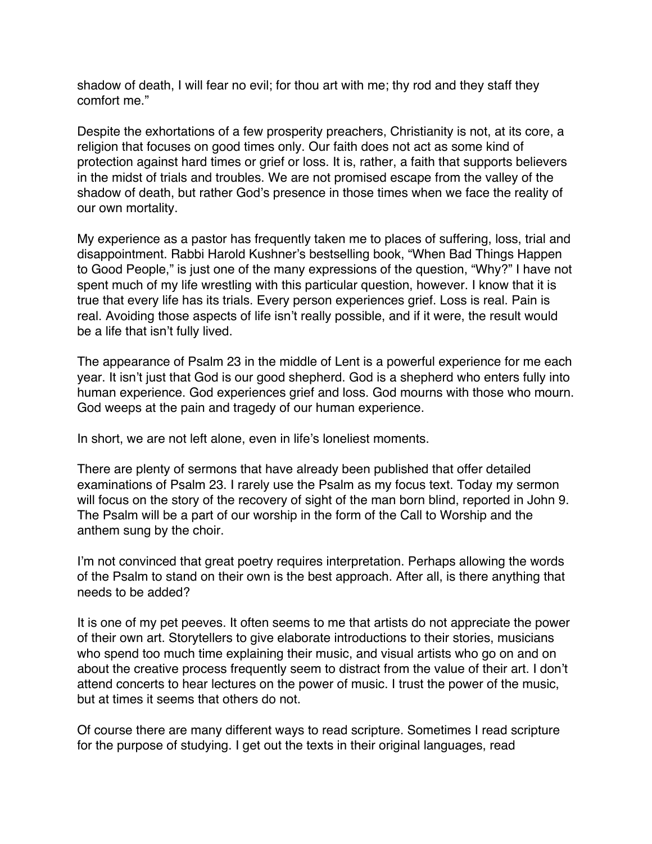shadow of death, I will fear no evil; for thou art with me; thy rod and they staff they comfort me."

Despite the exhortations of a few prosperity preachers, Christianity is not, at its core, a religion that focuses on good times only. Our faith does not act as some kind of protection against hard times or grief or loss. It is, rather, a faith that supports believers in the midst of trials and troubles. We are not promised escape from the valley of the shadow of death, but rather God's presence in those times when we face the reality of our own mortality.

My experience as a pastor has frequently taken me to places of suffering, loss, trial and disappointment. Rabbi Harold Kushner's bestselling book, "When Bad Things Happen to Good People," is just one of the many expressions of the question, "Why?" I have not spent much of my life wrestling with this particular question, however. I know that it is true that every life has its trials. Every person experiences grief. Loss is real. Pain is real. Avoiding those aspects of life isn't really possible, and if it were, the result would be a life that isn't fully lived.

The appearance of Psalm 23 in the middle of Lent is a powerful experience for me each year. It isn't just that God is our good shepherd. God is a shepherd who enters fully into human experience. God experiences grief and loss. God mourns with those who mourn. God weeps at the pain and tragedy of our human experience.

In short, we are not left alone, even in life's loneliest moments.

There are plenty of sermons that have already been published that offer detailed examinations of Psalm 23. I rarely use the Psalm as my focus text. Today my sermon will focus on the story of the recovery of sight of the man born blind, reported in John 9. The Psalm will be a part of our worship in the form of the Call to Worship and the anthem sung by the choir.

I'm not convinced that great poetry requires interpretation. Perhaps allowing the words of the Psalm to stand on their own is the best approach. After all, is there anything that needs to be added?

It is one of my pet peeves. It often seems to me that artists do not appreciate the power of their own art. Storytellers to give elaborate introductions to their stories, musicians who spend too much time explaining their music, and visual artists who go on and on about the creative process frequently seem to distract from the value of their art. I don't attend concerts to hear lectures on the power of music. I trust the power of the music, but at times it seems that others do not.

Of course there are many different ways to read scripture. Sometimes I read scripture for the purpose of studying. I get out the texts in their original languages, read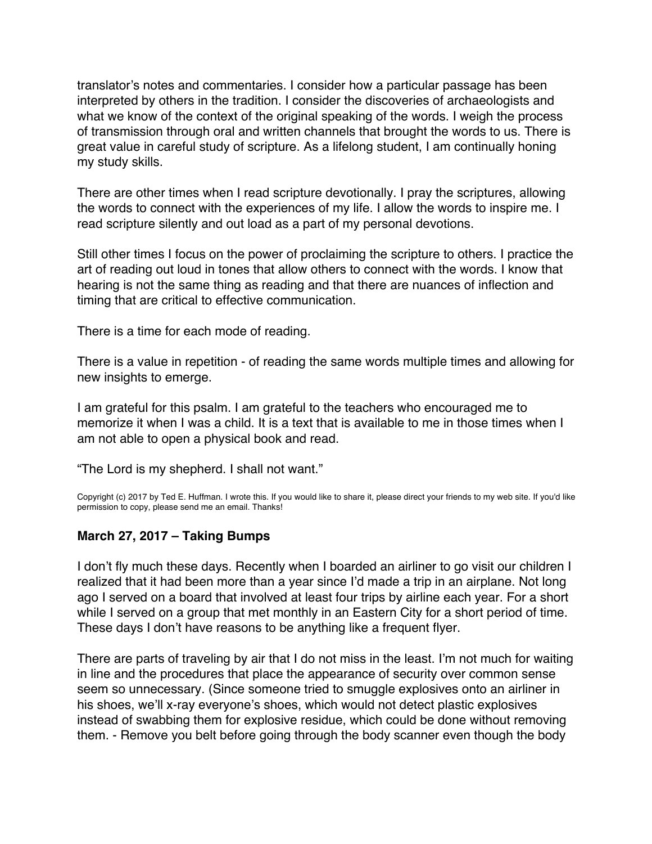<span id="page-56-0"></span>translator's notes and commentaries. I consider how a particular passage has been interpreted by others in the tradition. I consider the discoveries of archaeologists and what we know of the context of the original speaking of the words. I weigh the process of transmission through oral and written channels that brought the words to us. There is great value in careful study of scripture. As a lifelong student, I am continually honing my study skills.

There are other times when I read scripture devotionally. I pray the scriptures, allowing the words to connect with the experiences of my life. I allow the words to inspire me. I read scripture silently and out load as a part of my personal devotions.

Still other times I focus on the power of proclaiming the scripture to others. I practice the art of reading out loud in tones that allow others to connect with the words. I know that hearing is not the same thing as reading and that there are nuances of inflection and timing that are critical to effective communication.

There is a time for each mode of reading.

There is a value in repetition - of reading the same words multiple times and allowing for new insights to emerge.

I am grateful for this psalm. I am grateful to the teachers who encouraged me to memorize it when I was a child. It is a text that is available to me in those times when I am not able to open a physical book and read.

"The Lord is my shepherd. I shall not want."

Copyright (c) 2017 by Ted E. Huffman. I wrote this. If you would like to share it, please direct your friends to my web site. If you'd like permission to copy, please send me an email. Thanks!

### **March 27, 2017 – Taking Bumps**

I don't fly much these days. Recently when I boarded an airliner to go visit our children I realized that it had been more than a year since I'd made a trip in an airplane. Not long ago I served on a board that involved at least four trips by airline each year. For a short while I served on a group that met monthly in an Eastern City for a short period of time. These days I don't have reasons to be anything like a frequent flyer.

There are parts of traveling by air that I do not miss in the least. I'm not much for waiting in line and the procedures that place the appearance of security over common sense seem so unnecessary. (Since someone tried to smuggle explosives onto an airliner in his shoes, we'll x-ray everyone's shoes, which would not detect plastic explosives instead of swabbing them for explosive residue, which could be done without removing them. - Remove you belt before going through the body scanner even though the body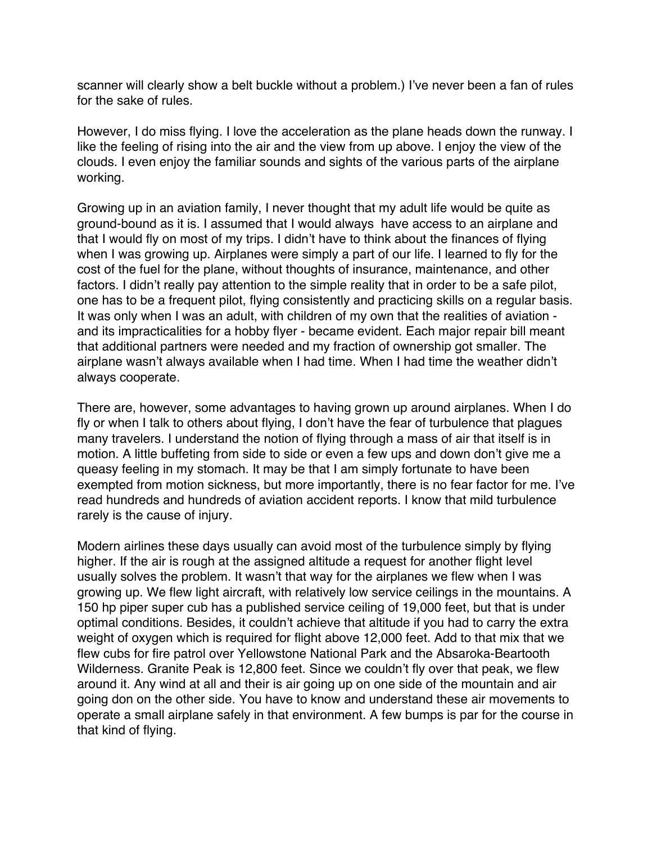scanner will clearly show a belt buckle without a problem.) I've never been a fan of rules for the sake of rules.

However, I do miss flying. I love the acceleration as the plane heads down the runway. I like the feeling of rising into the air and the view from up above. I enjoy the view of the clouds. I even enjoy the familiar sounds and sights of the various parts of the airplane working.

Growing up in an aviation family, I never thought that my adult life would be quite as ground-bound as it is. I assumed that I would always have access to an airplane and that I would fly on most of my trips. I didn't have to think about the finances of flying when I was growing up. Airplanes were simply a part of our life. I learned to fly for the cost of the fuel for the plane, without thoughts of insurance, maintenance, and other factors. I didn't really pay attention to the simple reality that in order to be a safe pilot, one has to be a frequent pilot, flying consistently and practicing skills on a regular basis. It was only when I was an adult, with children of my own that the realities of aviation and its impracticalities for a hobby flyer - became evident. Each major repair bill meant that additional partners were needed and my fraction of ownership got smaller. The airplane wasn't always available when I had time. When I had time the weather didn't always cooperate.

There are, however, some advantages to having grown up around airplanes. When I do fly or when I talk to others about flying, I don't have the fear of turbulence that plagues many travelers. I understand the notion of flying through a mass of air that itself is in motion. A little buffeting from side to side or even a few ups and down don't give me a queasy feeling in my stomach. It may be that I am simply fortunate to have been exempted from motion sickness, but more importantly, there is no fear factor for me. I've read hundreds and hundreds of aviation accident reports. I know that mild turbulence rarely is the cause of injury.

Modern airlines these days usually can avoid most of the turbulence simply by flying higher. If the air is rough at the assigned altitude a request for another flight level usually solves the problem. It wasn't that way for the airplanes we flew when I was growing up. We flew light aircraft, with relatively low service ceilings in the mountains. A 150 hp piper super cub has a published service ceiling of 19,000 feet, but that is under optimal conditions. Besides, it couldn't achieve that altitude if you had to carry the extra weight of oxygen which is required for flight above 12,000 feet. Add to that mix that we flew cubs for fire patrol over Yellowstone National Park and the Absaroka-Beartooth Wilderness. Granite Peak is 12,800 feet. Since we couldn't fly over that peak, we flew around it. Any wind at all and their is air going up on one side of the mountain and air going don on the other side. You have to know and understand these air movements to operate a small airplane safely in that environment. A few bumps is par for the course in that kind of flying.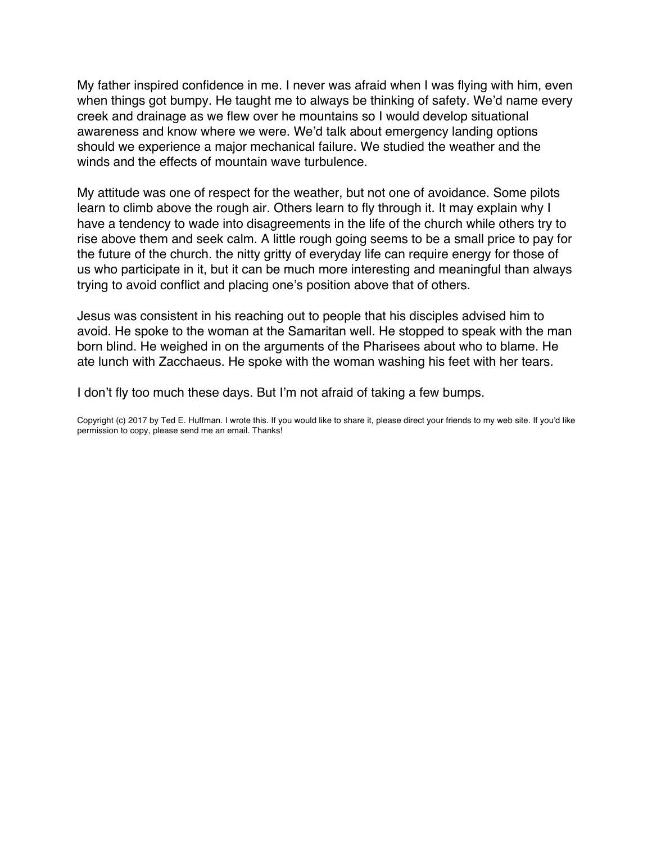My father inspired confidence in me. I never was afraid when I was flying with him, even when things got bumpy. He taught me to always be thinking of safety. We'd name every creek and drainage as we flew over he mountains so I would develop situational awareness and know where we were. We'd talk about emergency landing options should we experience a major mechanical failure. We studied the weather and the winds and the effects of mountain wave turbulence.

My attitude was one of respect for the weather, but not one of avoidance. Some pilots learn to climb above the rough air. Others learn to fly through it. It may explain why I have a tendency to wade into disagreements in the life of the church while others try to rise above them and seek calm. A little rough going seems to be a small price to pay for the future of the church. the nitty gritty of everyday life can require energy for those of us who participate in it, but it can be much more interesting and meaningful than always trying to avoid conflict and placing one's position above that of others.

Jesus was consistent in his reaching out to people that his disciples advised him to avoid. He spoke to the woman at the Samaritan well. He stopped to speak with the man born blind. He weighed in on the arguments of the Pharisees about who to blame. He ate lunch with Zacchaeus. He spoke with the woman washing his feet with her tears.

I don't fly too much these days. But I'm not afraid of taking a few bumps.

Copyright (c) 2017 by Ted E. Huffman. I wrote this. If you would like to share it, please direct your friends to my web site. If you'd like permission to copy, please send me an email. Thanks!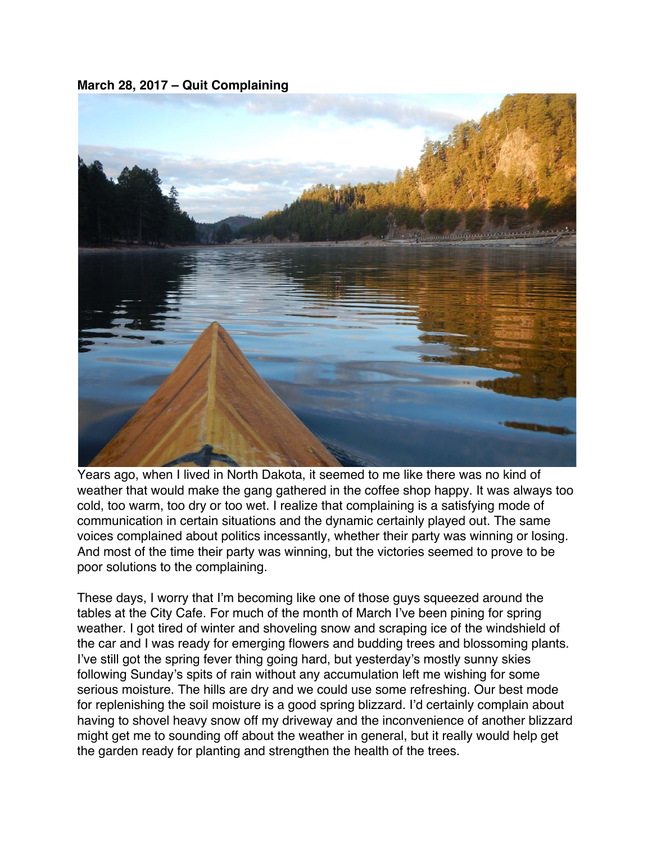<span id="page-59-0"></span>**March 28, 2017 – Quit Complaining**



Years ago, when I lived in North Dakota, it seemed to me like there was no kind of weather that would make the gang gathered in the coffee shop happy. It was always too cold, too warm, too dry or too wet. I realize that complaining is a satisfying mode of communication in certain situations and the dynamic certainly played out. The same voices complained about politics incessantly, whether their party was winning or losing. And most of the time their party was winning, but the victories seemed to prove to be poor solutions to the complaining.

These days, I worry that I'm becoming like one of those guys squeezed around the tables at the City Cafe. For much of the month of March I've been pining for spring weather. I got tired of winter and shoveling snow and scraping ice of the windshield of the car and I was ready for emerging flowers and budding trees and blossoming plants. I've still got the spring fever thing going hard, but yesterday's mostly sunny skies following Sunday's spits of rain without any accumulation left me wishing for some serious moisture. The hills are dry and we could use some refreshing. Our best mode for replenishing the soil moisture is a good spring blizzard. I'd certainly complain about having to shovel heavy snow off my driveway and the inconvenience of another blizzard might get me to sounding off about the weather in general, but it really would help get the garden ready for planting and strengthen the health of the trees.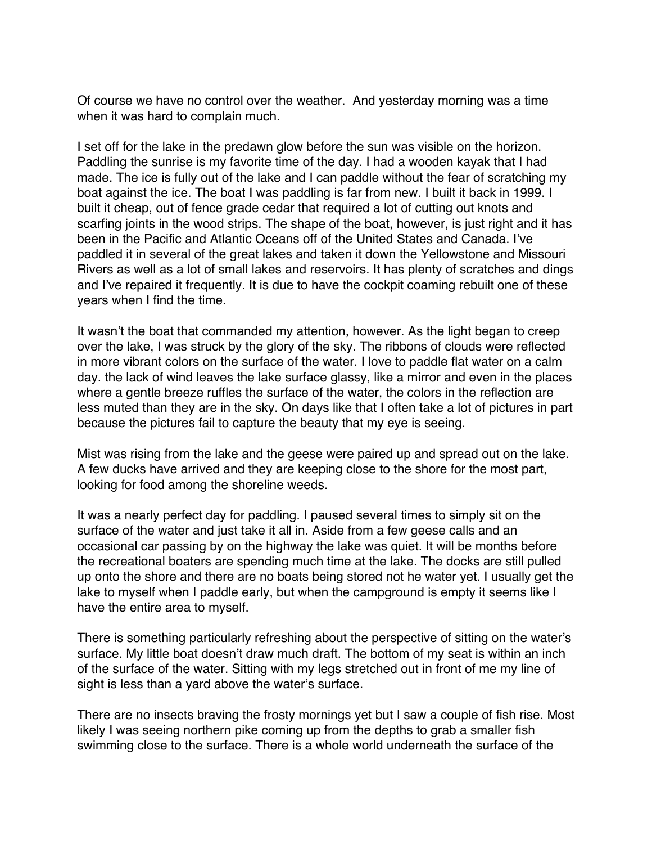Of course we have no control over the weather. And yesterday morning was a time when it was hard to complain much.

I set off for the lake in the predawn glow before the sun was visible on the horizon. Paddling the sunrise is my favorite time of the day. I had a wooden kayak that I had made. The ice is fully out of the lake and I can paddle without the fear of scratching my boat against the ice. The boat I was paddling is far from new. I built it back in 1999. I built it cheap, out of fence grade cedar that required a lot of cutting out knots and scarfing joints in the wood strips. The shape of the boat, however, is just right and it has been in the Pacific and Atlantic Oceans off of the United States and Canada. I've paddled it in several of the great lakes and taken it down the Yellowstone and Missouri Rivers as well as a lot of small lakes and reservoirs. It has plenty of scratches and dings and I've repaired it frequently. It is due to have the cockpit coaming rebuilt one of these years when I find the time.

It wasn't the boat that commanded my attention, however. As the light began to creep over the lake, I was struck by the glory of the sky. The ribbons of clouds were reflected in more vibrant colors on the surface of the water. I love to paddle flat water on a calm day. the lack of wind leaves the lake surface glassy, like a mirror and even in the places where a gentle breeze ruffles the surface of the water, the colors in the reflection are less muted than they are in the sky. On days like that I often take a lot of pictures in part because the pictures fail to capture the beauty that my eye is seeing.

Mist was rising from the lake and the geese were paired up and spread out on the lake. A few ducks have arrived and they are keeping close to the shore for the most part, looking for food among the shoreline weeds.

It was a nearly perfect day for paddling. I paused several times to simply sit on the surface of the water and just take it all in. Aside from a few geese calls and an occasional car passing by on the highway the lake was quiet. It will be months before the recreational boaters are spending much time at the lake. The docks are still pulled up onto the shore and there are no boats being stored not he water yet. I usually get the lake to myself when I paddle early, but when the campground is empty it seems like I have the entire area to myself.

There is something particularly refreshing about the perspective of sitting on the water's surface. My little boat doesn't draw much draft. The bottom of my seat is within an inch of the surface of the water. Sitting with my legs stretched out in front of me my line of sight is less than a yard above the water's surface.

There are no insects braving the frosty mornings yet but I saw a couple of fish rise. Most likely I was seeing northern pike coming up from the depths to grab a smaller fish swimming close to the surface. There is a whole world underneath the surface of the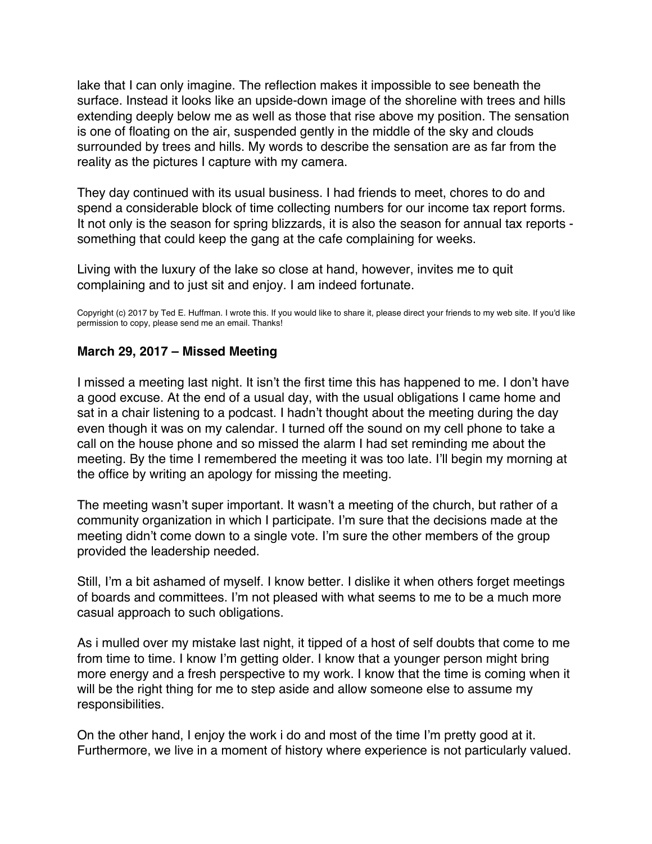<span id="page-61-0"></span>lake that I can only imagine. The reflection makes it impossible to see beneath the surface. Instead it looks like an upside-down image of the shoreline with trees and hills extending deeply below me as well as those that rise above my position. The sensation is one of floating on the air, suspended gently in the middle of the sky and clouds surrounded by trees and hills. My words to describe the sensation are as far from the reality as the pictures I capture with my camera.

They day continued with its usual business. I had friends to meet, chores to do and spend a considerable block of time collecting numbers for our income tax report forms. It not only is the season for spring blizzards, it is also the season for annual tax reports something that could keep the gang at the cafe complaining for weeks.

Living with the luxury of the lake so close at hand, however, invites me to quit complaining and to just sit and enjoy. I am indeed fortunate.

Copyright (c) 2017 by Ted E. Huffman. I wrote this. If you would like to share it, please direct your friends to my web site. If you'd like permission to copy, please send me an email. Thanks!

### **March 29, 2017 – Missed Meeting**

I missed a meeting last night. It isn't the first time this has happened to me. I don't have a good excuse. At the end of a usual day, with the usual obligations I came home and sat in a chair listening to a podcast. I hadn't thought about the meeting during the day even though it was on my calendar. I turned off the sound on my cell phone to take a call on the house phone and so missed the alarm I had set reminding me about the meeting. By the time I remembered the meeting it was too late. I'll begin my morning at the office by writing an apology for missing the meeting.

The meeting wasn't super important. It wasn't a meeting of the church, but rather of a community organization in which I participate. I'm sure that the decisions made at the meeting didn't come down to a single vote. I'm sure the other members of the group provided the leadership needed.

Still, I'm a bit ashamed of myself. I know better. I dislike it when others forget meetings of boards and committees. I'm not pleased with what seems to me to be a much more casual approach to such obligations.

As i mulled over my mistake last night, it tipped of a host of self doubts that come to me from time to time. I know I'm getting older. I know that a younger person might bring more energy and a fresh perspective to my work. I know that the time is coming when it will be the right thing for me to step aside and allow someone else to assume my responsibilities.

On the other hand, I enjoy the work i do and most of the time I'm pretty good at it. Furthermore, we live in a moment of history where experience is not particularly valued.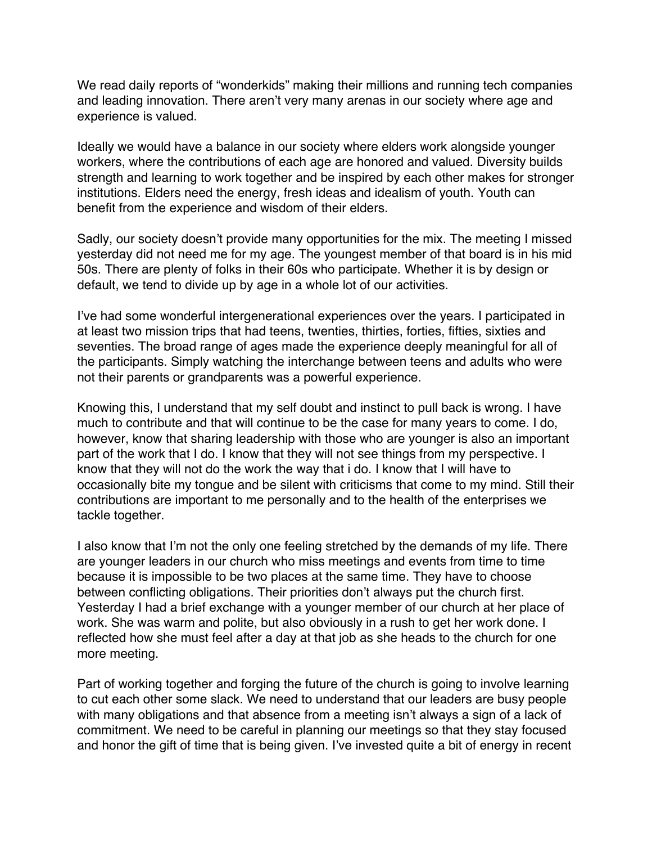We read daily reports of "wonderkids" making their millions and running tech companies and leading innovation. There aren't very many arenas in our society where age and experience is valued.

Ideally we would have a balance in our society where elders work alongside younger workers, where the contributions of each age are honored and valued. Diversity builds strength and learning to work together and be inspired by each other makes for stronger institutions. Elders need the energy, fresh ideas and idealism of youth. Youth can benefit from the experience and wisdom of their elders.

Sadly, our society doesn't provide many opportunities for the mix. The meeting I missed yesterday did not need me for my age. The youngest member of that board is in his mid 50s. There are plenty of folks in their 60s who participate. Whether it is by design or default, we tend to divide up by age in a whole lot of our activities.

I've had some wonderful intergenerational experiences over the years. I participated in at least two mission trips that had teens, twenties, thirties, forties, fifties, sixties and seventies. The broad range of ages made the experience deeply meaningful for all of the participants. Simply watching the interchange between teens and adults who were not their parents or grandparents was a powerful experience.

Knowing this, I understand that my self doubt and instinct to pull back is wrong. I have much to contribute and that will continue to be the case for many years to come. I do, however, know that sharing leadership with those who are younger is also an important part of the work that I do. I know that they will not see things from my perspective. I know that they will not do the work the way that i do. I know that I will have to occasionally bite my tongue and be silent with criticisms that come to my mind. Still their contributions are important to me personally and to the health of the enterprises we tackle together.

I also know that I'm not the only one feeling stretched by the demands of my life. There are younger leaders in our church who miss meetings and events from time to time because it is impossible to be two places at the same time. They have to choose between conflicting obligations. Their priorities don't always put the church first. Yesterday I had a brief exchange with a younger member of our church at her place of work. She was warm and polite, but also obviously in a rush to get her work done. I reflected how she must feel after a day at that job as she heads to the church for one more meeting.

Part of working together and forging the future of the church is going to involve learning to cut each other some slack. We need to understand that our leaders are busy people with many obligations and that absence from a meeting isn't always a sign of a lack of commitment. We need to be careful in planning our meetings so that they stay focused and honor the gift of time that is being given. I've invested quite a bit of energy in recent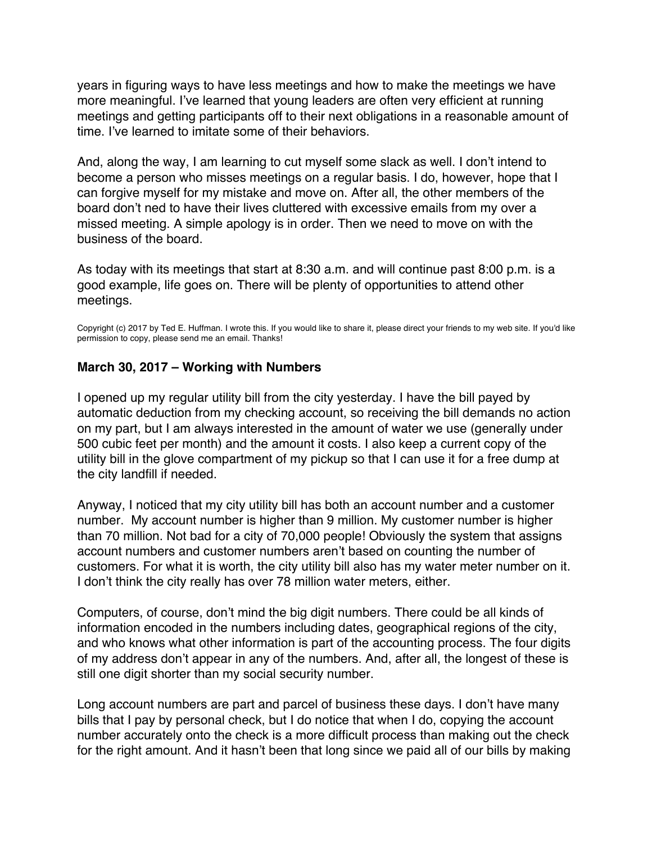<span id="page-63-0"></span>years in figuring ways to have less meetings and how to make the meetings we have more meaningful. I've learned that young leaders are often very efficient at running meetings and getting participants off to their next obligations in a reasonable amount of time. I've learned to imitate some of their behaviors.

And, along the way, I am learning to cut myself some slack as well. I don't intend to become a person who misses meetings on a regular basis. I do, however, hope that I can forgive myself for my mistake and move on. After all, the other members of the board don't ned to have their lives cluttered with excessive emails from my over a missed meeting. A simple apology is in order. Then we need to move on with the business of the board.

As today with its meetings that start at 8:30 a.m. and will continue past 8:00 p.m. is a good example, life goes on. There will be plenty of opportunities to attend other meetings.

Copyright (c) 2017 by Ted E. Huffman. I wrote this. If you would like to share it, please direct your friends to my web site. If you'd like permission to copy, please send me an email. Thanks!

#### **March 30, 2017 – Working with Numbers**

I opened up my regular utility bill from the city yesterday. I have the bill payed by automatic deduction from my checking account, so receiving the bill demands no action on my part, but I am always interested in the amount of water we use (generally under 500 cubic feet per month) and the amount it costs. I also keep a current copy of the utility bill in the glove compartment of my pickup so that I can use it for a free dump at the city landfill if needed.

Anyway, I noticed that my city utility bill has both an account number and a customer number. My account number is higher than 9 million. My customer number is higher than 70 million. Not bad for a city of 70,000 people! Obviously the system that assigns account numbers and customer numbers aren't based on counting the number of customers. For what it is worth, the city utility bill also has my water meter number on it. I don't think the city really has over 78 million water meters, either.

Computers, of course, don't mind the big digit numbers. There could be all kinds of information encoded in the numbers including dates, geographical regions of the city, and who knows what other information is part of the accounting process. The four digits of my address don't appear in any of the numbers. And, after all, the longest of these is still one digit shorter than my social security number.

Long account numbers are part and parcel of business these days. I don't have many bills that I pay by personal check, but I do notice that when I do, copying the account number accurately onto the check is a more difficult process than making out the check for the right amount. And it hasn't been that long since we paid all of our bills by making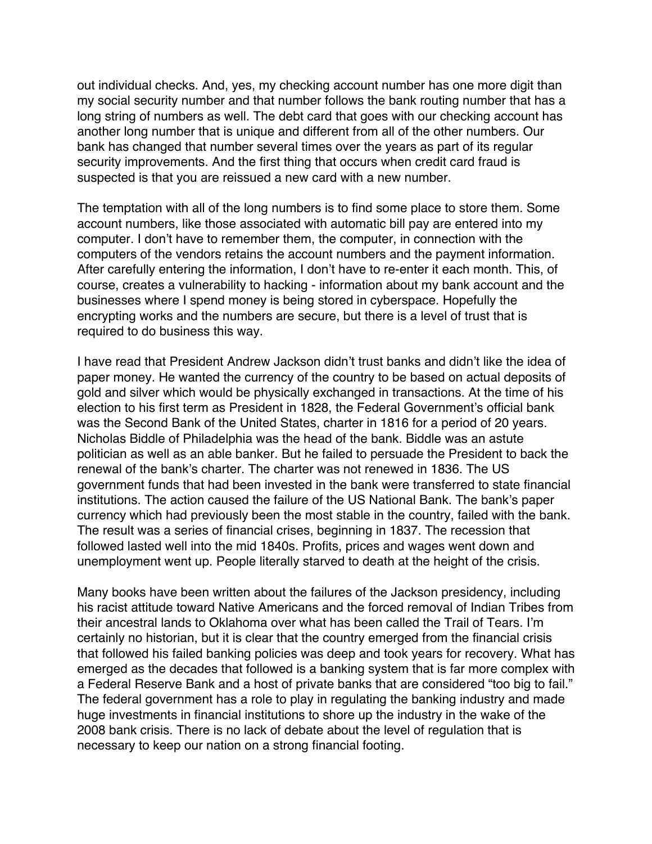out individual checks. And, yes, my checking account number has one more digit than my social security number and that number follows the bank routing number that has a long string of numbers as well. The debt card that goes with our checking account has another long number that is unique and different from all of the other numbers. Our bank has changed that number several times over the years as part of its regular security improvements. And the first thing that occurs when credit card fraud is suspected is that you are reissued a new card with a new number.

The temptation with all of the long numbers is to find some place to store them. Some account numbers, like those associated with automatic bill pay are entered into my computer. I don't have to remember them, the computer, in connection with the computers of the vendors retains the account numbers and the payment information. After carefully entering the information, I don't have to re-enter it each month. This, of course, creates a vulnerability to hacking - information about my bank account and the businesses where I spend money is being stored in cyberspace. Hopefully the encrypting works and the numbers are secure, but there is a level of trust that is required to do business this way.

I have read that President Andrew Jackson didn't trust banks and didn't like the idea of paper money. He wanted the currency of the country to be based on actual deposits of gold and silver which would be physically exchanged in transactions. At the time of his election to his first term as President in 1828, the Federal Government's official bank was the Second Bank of the United States, charter in 1816 for a period of 20 years. Nicholas Biddle of Philadelphia was the head of the bank. Biddle was an astute politician as well as an able banker. But he failed to persuade the President to back the renewal of the bank's charter. The charter was not renewed in 1836. The US government funds that had been invested in the bank were transferred to state financial institutions. The action caused the failure of the US National Bank. The bank's paper currency which had previously been the most stable in the country, failed with the bank. The result was a series of financial crises, beginning in 1837. The recession that followed lasted well into the mid 1840s. Profits, prices and wages went down and unemployment went up. People literally starved to death at the height of the crisis.

Many books have been written about the failures of the Jackson presidency, including his racist attitude toward Native Americans and the forced removal of Indian Tribes from their ancestral lands to Oklahoma over what has been called the Trail of Tears. I'm certainly no historian, but it is clear that the country emerged from the financial crisis that followed his failed banking policies was deep and took years for recovery. What has emerged as the decades that followed is a banking system that is far more complex with a Federal Reserve Bank and a host of private banks that are considered "too big to fail." The federal government has a role to play in regulating the banking industry and made huge investments in financial institutions to shore up the industry in the wake of the 2008 bank crisis. There is no lack of debate about the level of regulation that is necessary to keep our nation on a strong financial footing.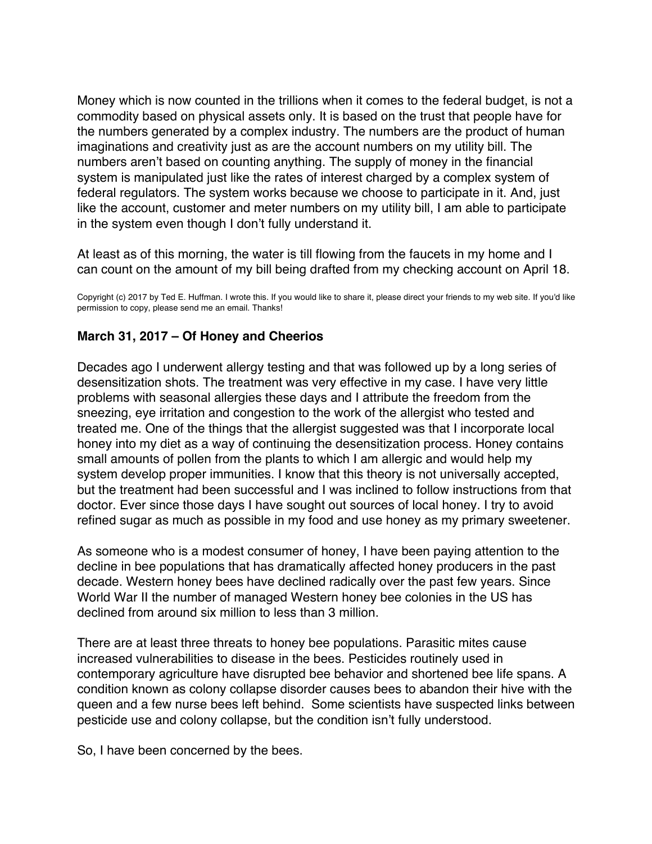<span id="page-65-0"></span>Money which is now counted in the trillions when it comes to the federal budget, is not a commodity based on physical assets only. It is based on the trust that people have for the numbers generated by a complex industry. The numbers are the product of human imaginations and creativity just as are the account numbers on my utility bill. The numbers aren't based on counting anything. The supply of money in the financial system is manipulated just like the rates of interest charged by a complex system of federal regulators. The system works because we choose to participate in it. And, just like the account, customer and meter numbers on my utility bill, I am able to participate in the system even though I don't fully understand it.

At least as of this morning, the water is till flowing from the faucets in my home and I can count on the amount of my bill being drafted from my checking account on April 18.

Copyright (c) 2017 by Ted E. Huffman. I wrote this. If you would like to share it, please direct your friends to my web site. If you'd like permission to copy, please send me an email. Thanks!

#### **March 31, 2017 – Of Honey and Cheerios**

Decades ago I underwent allergy testing and that was followed up by a long series of desensitization shots. The treatment was very effective in my case. I have very little problems with seasonal allergies these days and I attribute the freedom from the sneezing, eye irritation and congestion to the work of the allergist who tested and treated me. One of the things that the allergist suggested was that I incorporate local honey into my diet as a way of continuing the desensitization process. Honey contains small amounts of pollen from the plants to which I am allergic and would help my system develop proper immunities. I know that this theory is not universally accepted, but the treatment had been successful and I was inclined to follow instructions from that doctor. Ever since those days I have sought out sources of local honey. I try to avoid refined sugar as much as possible in my food and use honey as my primary sweetener.

As someone who is a modest consumer of honey, I have been paying attention to the decline in bee populations that has dramatically affected honey producers in the past decade. Western honey bees have declined radically over the past few years. Since World War II the number of managed Western honey bee colonies in the US has declined from around six million to less than 3 million.

There are at least three threats to honey bee populations. Parasitic mites cause increased vulnerabilities to disease in the bees. Pesticides routinely used in contemporary agriculture have disrupted bee behavior and shortened bee life spans. A condition known as colony collapse disorder causes bees to abandon their hive with the queen and a few nurse bees left behind. Some scientists have suspected links between pesticide use and colony collapse, but the condition isn't fully understood.

So, I have been concerned by the bees.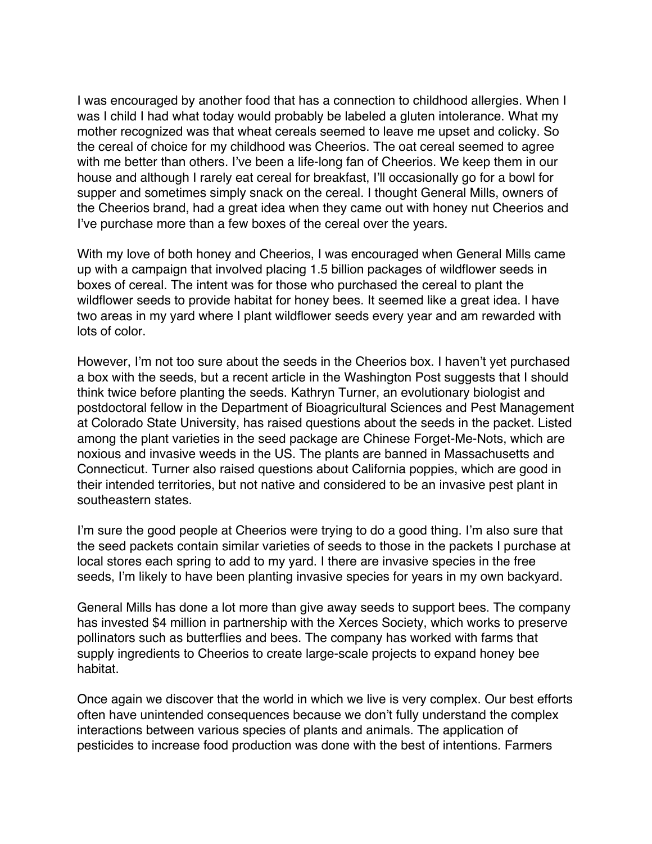I was encouraged by another food that has a connection to childhood allergies. When I was I child I had what today would probably be labeled a gluten intolerance. What my mother recognized was that wheat cereals seemed to leave me upset and colicky. So the cereal of choice for my childhood was Cheerios. The oat cereal seemed to agree with me better than others. I've been a life-long fan of Cheerios. We keep them in our house and although I rarely eat cereal for breakfast, I'll occasionally go for a bowl for supper and sometimes simply snack on the cereal. I thought General Mills, owners of the Cheerios brand, had a great idea when they came out with honey nut Cheerios and I've purchase more than a few boxes of the cereal over the years.

With my love of both honey and Cheerios, I was encouraged when General Mills came up with a campaign that involved placing 1.5 billion packages of wildflower seeds in boxes of cereal. The intent was for those who purchased the cereal to plant the wildflower seeds to provide habitat for honey bees. It seemed like a great idea. I have two areas in my yard where I plant wildflower seeds every year and am rewarded with lots of color.

However, I'm not too sure about the seeds in the Cheerios box. I haven't yet purchased a box with the seeds, but a recent article in the Washington Post suggests that I should think twice before planting the seeds. Kathryn Turner, an evolutionary biologist and postdoctoral fellow in the Department of Bioagricultural Sciences and Pest Management at Colorado State University, has raised questions about the seeds in the packet. Listed among the plant varieties in the seed package are Chinese Forget-Me-Nots, which are noxious and invasive weeds in the US. The plants are banned in Massachusetts and Connecticut. Turner also raised questions about California poppies, which are good in their intended territories, but not native and considered to be an invasive pest plant in southeastern states.

I'm sure the good people at Cheerios were trying to do a good thing. I'm also sure that the seed packets contain similar varieties of seeds to those in the packets I purchase at local stores each spring to add to my yard. I there are invasive species in the free seeds, I'm likely to have been planting invasive species for years in my own backyard.

General Mills has done a lot more than give away seeds to support bees. The company has invested \$4 million in partnership with the Xerces Society, which works to preserve pollinators such as butterflies and bees. The company has worked with farms that supply ingredients to Cheerios to create large-scale projects to expand honey bee habitat.

Once again we discover that the world in which we live is very complex. Our best efforts often have unintended consequences because we don't fully understand the complex interactions between various species of plants and animals. The application of pesticides to increase food production was done with the best of intentions. Farmers